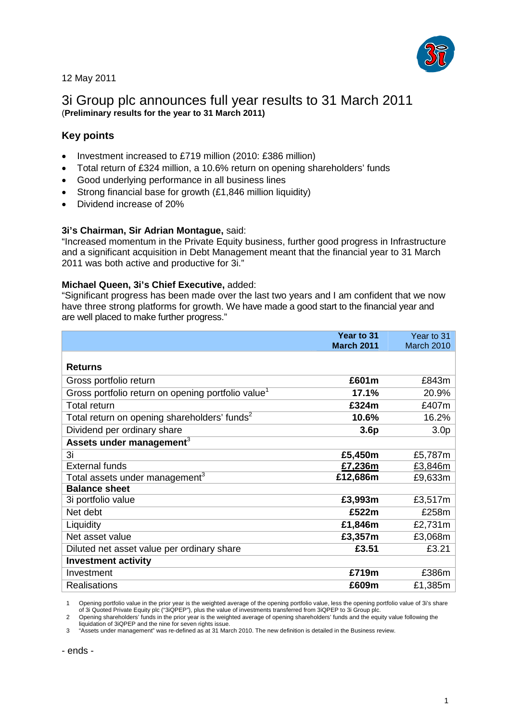

12 May 2011

# 3i Group plc announces full year results to 31 March 2011 (**Preliminary results for the year to 31 March 2011)**

## **Key points**

- Investment increased to £719 million (2010: £386 million)
- Total return of £324 million, a 10.6% return on opening shareholders' funds
- Good underlying performance in all business lines
- Strong financial base for growth (£1,846 million liquidity)
- Dividend increase of 20%

## **3i's Chairman, Sir Adrian Montague,** said:

"Increased momentum in the Private Equity business, further good progress in Infrastructure and a significant acquisition in Debt Management meant that the financial year to 31 March 2011 was both active and productive for 3i."

## **Michael Queen, 3i's Chief Executive,** added:

"Significant progress has been made over the last two years and I am confident that we now have three strong platforms for growth. We have made a good start to the financial year and are well placed to make further progress."

|                                                                | Year to 31<br><b>March 2011</b> | Year to 31<br>March 2010 |
|----------------------------------------------------------------|---------------------------------|--------------------------|
|                                                                |                                 |                          |
| <b>Returns</b>                                                 |                                 |                          |
| Gross portfolio return                                         | £601m                           | £843m                    |
| Gross portfolio return on opening portfolio value <sup>1</sup> | 17.1%                           | 20.9%                    |
| <b>Total return</b>                                            | £324m                           | £407m                    |
| Total return on opening shareholders' funds <sup>2</sup>       | 10.6%                           | 16.2%                    |
| Dividend per ordinary share                                    | 3.6 <sub>p</sub>                | 3.0 <sub>p</sub>         |
| Assets under management $3$                                    |                                 |                          |
| 3i                                                             | £5,450m                         | £5,787m                  |
| <b>External funds</b>                                          | £7,236m                         | £3,846m                  |
| Total assets under management $^3$                             | £12,686m                        | £9,633m                  |
| <b>Balance sheet</b>                                           |                                 |                          |
| 3i portfolio value                                             | £3,993m                         | £3,517m                  |
| Net debt                                                       | £522m                           | £258m                    |
| Liquidity                                                      | £1,846m                         | £2,731m                  |
| Net asset value                                                | £3,357m                         | £3,068m                  |
| Diluted net asset value per ordinary share                     | £3.51                           | £3.21                    |
| <b>Investment activity</b>                                     |                                 |                          |
| Investment                                                     | £719m                           | £386m                    |
| <b>Realisations</b>                                            | £609m                           | £1,385m                  |

1 Opening portfolio value in the prior year is the weighted average of the opening portfolio value, less the opening portfolio value of 3i's share

of 3i Quoted Private Equity plc ("3iQPEP"), plus the value of investments transferred from 3iQPEP to 3i Group plc. 2 Opening shareholders' funds in the prior year is the weighted average of opening shareholders' funds and the equity value following the

liquidation of 3iQPEP and the nine for seven rights issue. 3 "Assets under management" was re-defined as at 31 March 2010. The new definition is detailed in the Business review.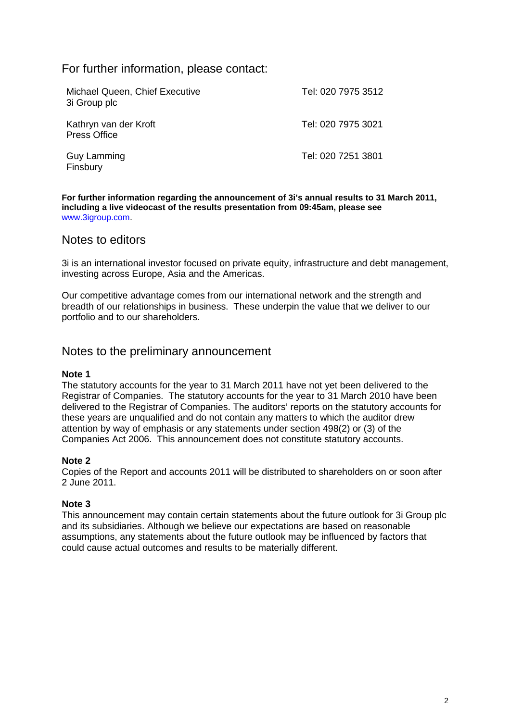## For further information, please contact:

| Michael Queen, Chief Executive<br>3i Group plc | Tel: 020 7975 3512 |
|------------------------------------------------|--------------------|
| Kathryn van der Kroft<br><b>Press Office</b>   | Tel: 020 7975 3021 |
| <b>Guy Lamming</b><br>Finsbury                 | Tel: 020 7251 3801 |

**For further information regarding the announcement of 3i's annual results to 31 March 2011, including a live videocast of the results presentation from 09:45am, please see**  www.3igroup.com.

## Notes to editors

3i is an international investor focused on private equity, infrastructure and debt management, investing across Europe, Asia and the Americas.

Our competitive advantage comes from our international network and the strength and breadth of our relationships in business. These underpin the value that we deliver to our portfolio and to our shareholders.

## Notes to the preliminary announcement

## **Note 1**

The statutory accounts for the year to 31 March 2011 have not yet been delivered to the Registrar of Companies. The statutory accounts for the year to 31 March 2010 have been delivered to the Registrar of Companies. The auditors' reports on the statutory accounts for these years are unqualified and do not contain any matters to which the auditor drew attention by way of emphasis or any statements under section 498(2) or (3) of the Companies Act 2006. This announcement does not constitute statutory accounts.

## **Note 2**

Copies of the Report and accounts 2011 will be distributed to shareholders on or soon after 2 June 2011.

## **Note 3**

This announcement may contain certain statements about the future outlook for 3i Group plc and its subsidiaries. Although we believe our expectations are based on reasonable assumptions, any statements about the future outlook may be influenced by factors that could cause actual outcomes and results to be materially different.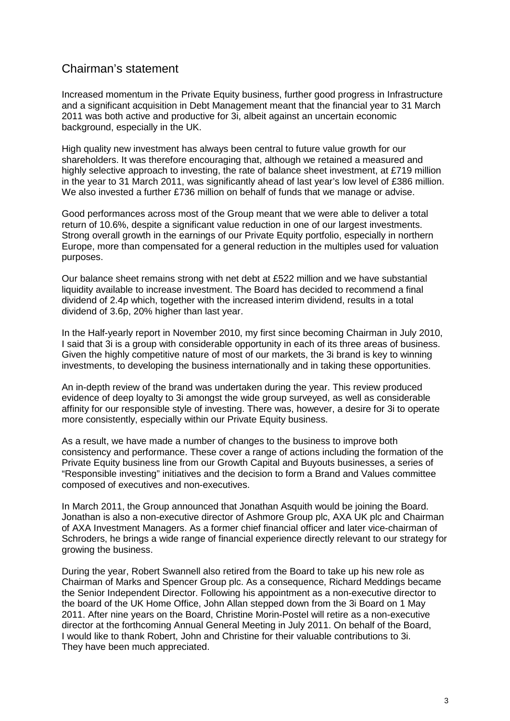# Chairman's statement

Increased momentum in the Private Equity business, further good progress in Infrastructure and a significant acquisition in Debt Management meant that the financial year to 31 March 2011 was both active and productive for 3i, albeit against an uncertain economic background, especially in the UK.

High quality new investment has always been central to future value growth for our shareholders. It was therefore encouraging that, although we retained a measured and highly selective approach to investing, the rate of balance sheet investment, at £719 million in the year to 31 March 2011, was significantly ahead of last year's low level of £386 million. We also invested a further £736 million on behalf of funds that we manage or advise.

Good performances across most of the Group meant that we were able to deliver a total return of 10.6%, despite a significant value reduction in one of our largest investments. Strong overall growth in the earnings of our Private Equity portfolio, especially in northern Europe, more than compensated for a general reduction in the multiples used for valuation purposes.

Our balance sheet remains strong with net debt at £522 million and we have substantial liquidity available to increase investment. The Board has decided to recommend a final dividend of 2.4p which, together with the increased interim dividend, results in a total dividend of 3.6p, 20% higher than last year.

In the Half-yearly report in November 2010, my first since becoming Chairman in July 2010, I said that 3i is a group with considerable opportunity in each of its three areas of business. Given the highly competitive nature of most of our markets, the 3i brand is key to winning investments, to developing the business internationally and in taking these opportunities.

An in-depth review of the brand was undertaken during the year. This review produced evidence of deep loyalty to 3i amongst the wide group surveyed, as well as considerable affinity for our responsible style of investing. There was, however, a desire for 3i to operate more consistently, especially within our Private Equity business.

As a result, we have made a number of changes to the business to improve both consistency and performance. These cover a range of actions including the formation of the Private Equity business line from our Growth Capital and Buyouts businesses, a series of "Responsible investing" initiatives and the decision to form a Brand and Values committee composed of executives and non-executives.

In March 2011, the Group announced that Jonathan Asquith would be joining the Board. Jonathan is also a non-executive director of Ashmore Group plc, AXA UK plc and Chairman of AXA Investment Managers. As a former chief financial officer and later vice-chairman of Schroders, he brings a wide range of financial experience directly relevant to our strategy for growing the business.

During the year, Robert Swannell also retired from the Board to take up his new role as Chairman of Marks and Spencer Group plc. As a consequence, Richard Meddings became the Senior Independent Director. Following his appointment as a non-executive director to the board of the UK Home Office, John Allan stepped down from the 3i Board on 1 May 2011. After nine years on the Board, Christine Morin-Postel will retire as a non-executive director at the forthcoming Annual General Meeting in July 2011. On behalf of the Board, I would like to thank Robert, John and Christine for their valuable contributions to 3i. They have been much appreciated.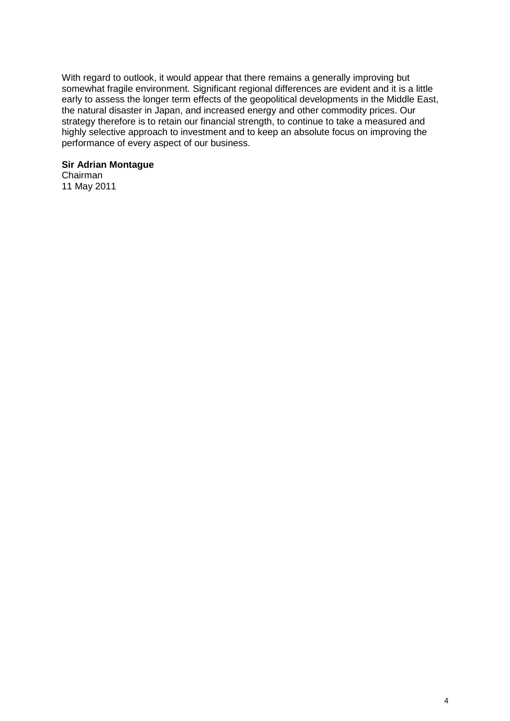With regard to outlook, it would appear that there remains a generally improving but somewhat fragile environment. Significant regional differences are evident and it is a little early to assess the longer term effects of the geopolitical developments in the Middle East, the natural disaster in Japan, and increased energy and other commodity prices. Our strategy therefore is to retain our financial strength, to continue to take a measured and highly selective approach to investment and to keep an absolute focus on improving the performance of every aspect of our business.

## **Sir Adrian Montague**

Chairman 11 May 2011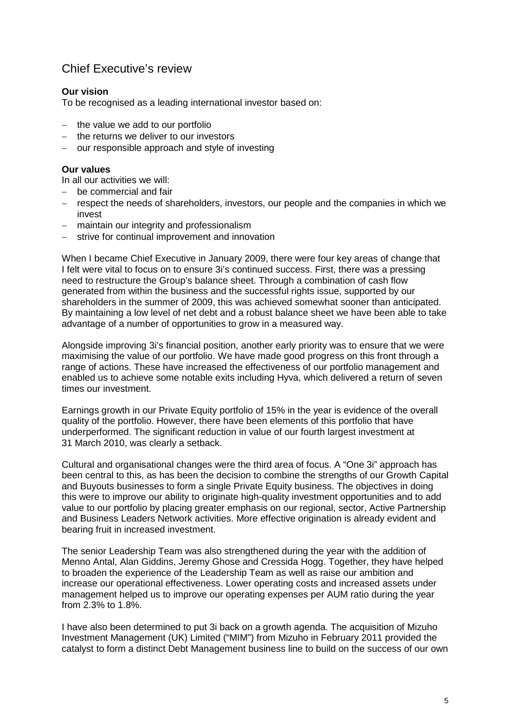# Chief Executive's review

## **Our vision**

To be recognised as a leading international investor based on:

- − the value we add to our portfolio
- − the returns we deliver to our investors
- − our responsible approach and style of investing

## **Our values**

In all our activities we will:

- − be commercial and fair
- respect the needs of shareholders, investors, our people and the companies in which we invest
- maintain our integrity and professionalism
- strive for continual improvement and innovation

When I became Chief Executive in January 2009, there were four key areas of change that I felt were vital to focus on to ensure 3i's continued success. First, there was a pressing need to restructure the Group's balance sheet. Through a combination of cash flow generated from within the business and the successful rights issue, supported by our shareholders in the summer of 2009, this was achieved somewhat sooner than anticipated. By maintaining a low level of net debt and a robust balance sheet we have been able to take advantage of a number of opportunities to grow in a measured way.

Alongside improving 3i's financial position, another early priority was to ensure that we were maximising the value of our portfolio. We have made good progress on this front through a range of actions. These have increased the effectiveness of our portfolio management and enabled us to achieve some notable exits including Hyva, which delivered a return of seven times our investment.

Earnings growth in our Private Equity portfolio of 15% in the year is evidence of the overall quality of the portfolio. However, there have been elements of this portfolio that have underperformed. The significant reduction in value of our fourth largest investment at 31 March 2010, was clearly a setback.

Cultural and organisational changes were the third area of focus. A "One 3i" approach has been central to this, as has been the decision to combine the strengths of our Growth Capital and Buyouts businesses to form a single Private Equity business. The objectives in doing this were to improve our ability to originate high-quality investment opportunities and to add value to our portfolio by placing greater emphasis on our regional, sector, Active Partnership and Business Leaders Network activities. More effective origination is already evident and bearing fruit in increased investment.

The senior Leadership Team was also strengthened during the year with the addition of Menno Antal, Alan Giddins, Jeremy Ghose and Cressida Hogg. Together, they have helped to broaden the experience of the Leadership Team as well as raise our ambition and increase our operational effectiveness. Lower operating costs and increased assets under management helped us to improve our operating expenses per AUM ratio during the year from 2.3% to 1.8%.

I have also been determined to put 3i back on a growth agenda. The acquisition of Mizuho Investment Management (UK) Limited ("MIM") from Mizuho in February 2011 provided the catalyst to form a distinct Debt Management business line to build on the success of our own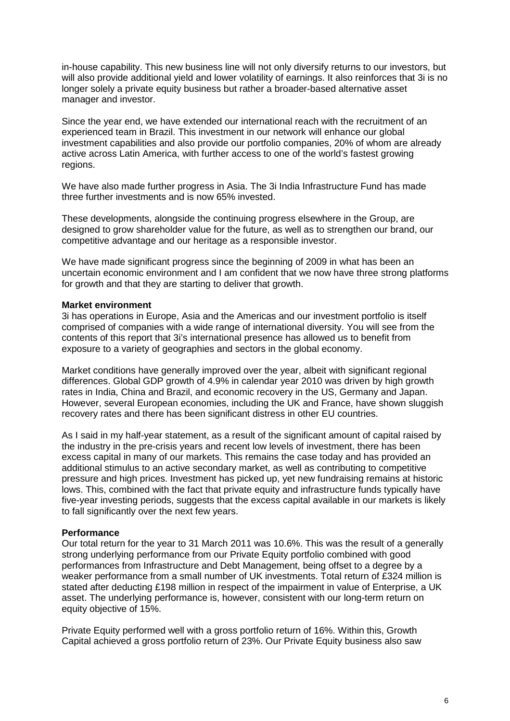in-house capability. This new business line will not only diversify returns to our investors, but will also provide additional yield and lower volatility of earnings. It also reinforces that 3i is no longer solely a private equity business but rather a broader-based alternative asset manager and investor.

Since the year end, we have extended our international reach with the recruitment of an experienced team in Brazil. This investment in our network will enhance our global investment capabilities and also provide our portfolio companies, 20% of whom are already active across Latin America, with further access to one of the world's fastest growing regions.

We have also made further progress in Asia. The 3i India Infrastructure Fund has made three further investments and is now 65% invested.

These developments, alongside the continuing progress elsewhere in the Group, are designed to grow shareholder value for the future, as well as to strengthen our brand, our competitive advantage and our heritage as a responsible investor.

We have made significant progress since the beginning of 2009 in what has been an uncertain economic environment and I am confident that we now have three strong platforms for growth and that they are starting to deliver that growth.

## **Market environment**

3i has operations in Europe, Asia and the Americas and our investment portfolio is itself comprised of companies with a wide range of international diversity. You will see from the contents of this report that 3i's international presence has allowed us to benefit from exposure to a variety of geographies and sectors in the global economy.

Market conditions have generally improved over the year, albeit with significant regional differences. Global GDP growth of 4.9% in calendar year 2010 was driven by high growth rates in India, China and Brazil, and economic recovery in the US, Germany and Japan. However, several European economies, including the UK and France, have shown sluggish recovery rates and there has been significant distress in other EU countries.

As I said in my half-year statement, as a result of the significant amount of capital raised by the industry in the pre-crisis years and recent low levels of investment, there has been excess capital in many of our markets. This remains the case today and has provided an additional stimulus to an active secondary market, as well as contributing to competitive pressure and high prices. Investment has picked up, yet new fundraising remains at historic lows. This, combined with the fact that private equity and infrastructure funds typically have five-year investing periods, suggests that the excess capital available in our markets is likely to fall significantly over the next few years.

## **Performance**

Our total return for the year to 31 March 2011 was 10.6%. This was the result of a generally strong underlying performance from our Private Equity portfolio combined with good performances from Infrastructure and Debt Management, being offset to a degree by a weaker performance from a small number of UK investments. Total return of £324 million is stated after deducting £198 million in respect of the impairment in value of Enterprise, a UK asset. The underlying performance is, however, consistent with our long-term return on equity objective of 15%.

Private Equity performed well with a gross portfolio return of 16%. Within this, Growth Capital achieved a gross portfolio return of 23%. Our Private Equity business also saw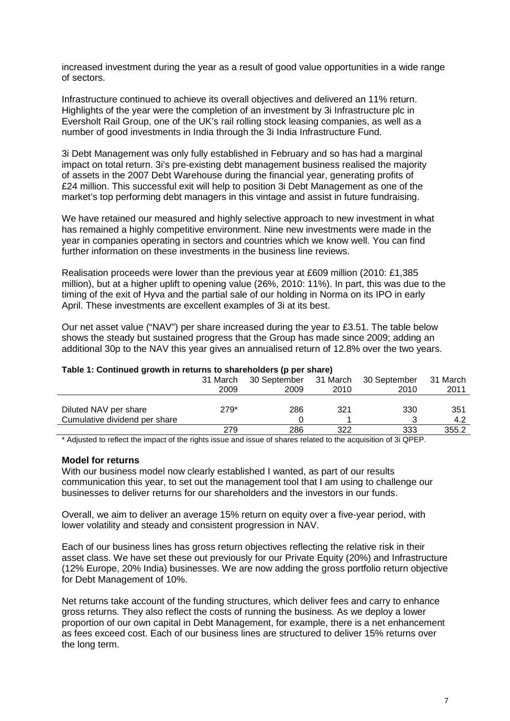increased investment during the year as a result of good value opportunities in a wide range of sectors.

Infrastructure continued to achieve its overall objectives and delivered an 11% return. Highlights of the year were the completion of an investment by 3i Infrastructure plc in Eversholt Rail Group, one of the UK's rail rolling stock leasing companies, as well as a number of good investments in India through the 3i India Infrastructure Fund.

3i Debt Management was only fully established in February and so has had a marginal impact on total return. 3i's pre-existing debt management business realised the majority of assets in the 2007 Debt Warehouse during the financial year, generating profits of £24 million. This successful exit will help to position 3i Debt Management as one of the market's top performing debt managers in this vintage and assist in future fundraising.

We have retained our measured and highly selective approach to new investment in what has remained a highly competitive environment. Nine new investments were made in the year in companies operating in sectors and countries which we know well. You can find further information on these investments in the business line reviews.

Realisation proceeds were lower than the previous year at £609 million (2010: £1,385 million), but at a higher uplift to opening value (26%, 2010: 11%). In part, this was due to the timing of the exit of Hyva and the partial sale of our holding in Norma on its IPO in early April. These investments are excellent examples of 3i at its best.

Our net asset value ("NAV") per share increased during the year to £3.51. The table below shows the steady but sustained progress that the Group has made since 2009; adding an additional 30p to the NAV this year gives an annualised return of 12.8% over the two years.

| Table 1. Ochtmaca growth in rotarno to onarcholació (p per onarc)                     |          |                                    |      |                           |          |
|---------------------------------------------------------------------------------------|----------|------------------------------------|------|---------------------------|----------|
|                                                                                       | 31 March | 30 September 31 March 30 September |      |                           | 31 March |
|                                                                                       | 2009     | 2009                               | 2010 | 2010                      | 2011     |
|                                                                                       |          |                                    |      |                           |          |
| Diluted NAV per share                                                                 | $279*$   | 286                                | 321  | 330                       | 351      |
| Cumulative dividend per share                                                         |          |                                    |      |                           | 4.2      |
|                                                                                       | 279      | 286                                | 322  | 333                       | 355.2    |
| .<br>$\mathbf{A}$ and $\mathbf{A}$ and $\mathbf{A}$ and $\mathbf{A}$ and $\mathbf{A}$ |          | . .                                | .    | $\cdots$<br>$- - - - - -$ |          |

#### **Table 1: Continued growth in returns to shareholders (p per share)**

\* Adjusted to reflect the impact of the rights issue and issue of shares related to the acquisition of 3i QPEP.

#### **Model for returns**

With our business model now clearly established I wanted, as part of our results communication this year, to set out the management tool that I am using to challenge our businesses to deliver returns for our shareholders and the investors in our funds.

Overall, we aim to deliver an average 15% return on equity over a five-year period, with lower volatility and steady and consistent progression in NAV.

Each of our business lines has gross return objectives reflecting the relative risk in their asset class. We have set these out previously for our Private Equity (20%) and Infrastructure (12% Europe, 20% India) businesses. We are now adding the gross portfolio return objective for Debt Management of 10%.

Net returns take account of the funding structures, which deliver fees and carry to enhance gross returns. They also reflect the costs of running the business. As we deploy a lower proportion of our own capital in Debt Management, for example, there is a net enhancement as fees exceed cost. Each of our business lines are structured to deliver 15% returns over the long term.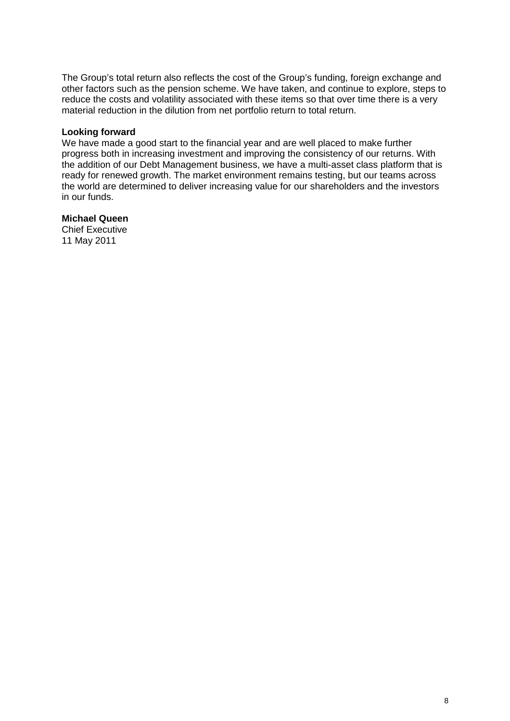The Group's total return also reflects the cost of the Group's funding, foreign exchange and other factors such as the pension scheme. We have taken, and continue to explore, steps to reduce the costs and volatility associated with these items so that over time there is a very material reduction in the dilution from net portfolio return to total return.

## **Looking forward**

We have made a good start to the financial year and are well placed to make further progress both in increasing investment and improving the consistency of our returns. With the addition of our Debt Management business, we have a multi-asset class platform that is ready for renewed growth. The market environment remains testing, but our teams across the world are determined to deliver increasing value for our shareholders and the investors in our funds.

## **Michael Queen**

Chief Executive 11 May 2011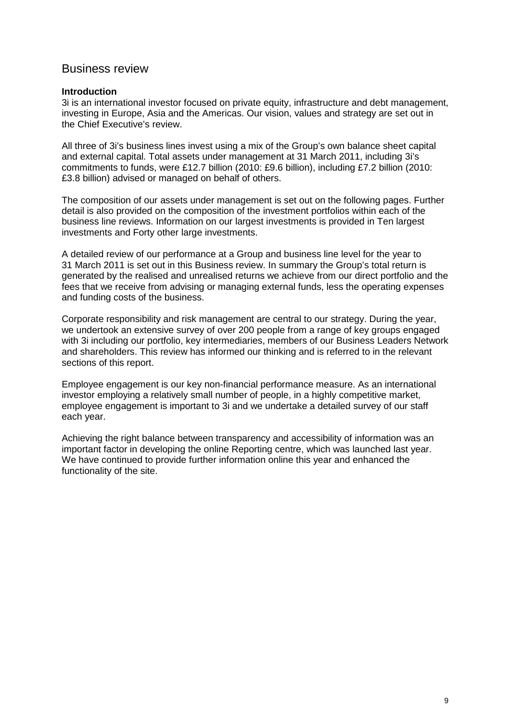## Business review

## **Introduction**

3i is an international investor focused on private equity, infrastructure and debt management, investing in Europe, Asia and the Americas. Our vision, values and strategy are set out in the Chief Executive's review.

All three of 3i's business lines invest using a mix of the Group's own balance sheet capital and external capital. Total assets under management at 31 March 2011, including 3i's commitments to funds, were £12.7 billion (2010: £9.6 billion), including £7.2 billion (2010: £3.8 billion) advised or managed on behalf of others.

The composition of our assets under management is set out on the following pages. Further detail is also provided on the composition of the investment portfolios within each of the business line reviews. Information on our largest investments is provided in Ten largest investments and Forty other large investments.

A detailed review of our performance at a Group and business line level for the year to 31 March 2011 is set out in this Business review. In summary the Group's total return is generated by the realised and unrealised returns we achieve from our direct portfolio and the fees that we receive from advising or managing external funds, less the operating expenses and funding costs of the business.

Corporate responsibility and risk management are central to our strategy. During the year, we undertook an extensive survey of over 200 people from a range of key groups engaged with 3i including our portfolio, key intermediaries, members of our Business Leaders Network and shareholders. This review has informed our thinking and is referred to in the relevant sections of this report.

Employee engagement is our key non-financial performance measure. As an international investor employing a relatively small number of people, in a highly competitive market, employee engagement is important to 3i and we undertake a detailed survey of our staff each year.

Achieving the right balance between transparency and accessibility of information was an important factor in developing the online Reporting centre, which was launched last year. We have continued to provide further information online this year and enhanced the functionality of the site.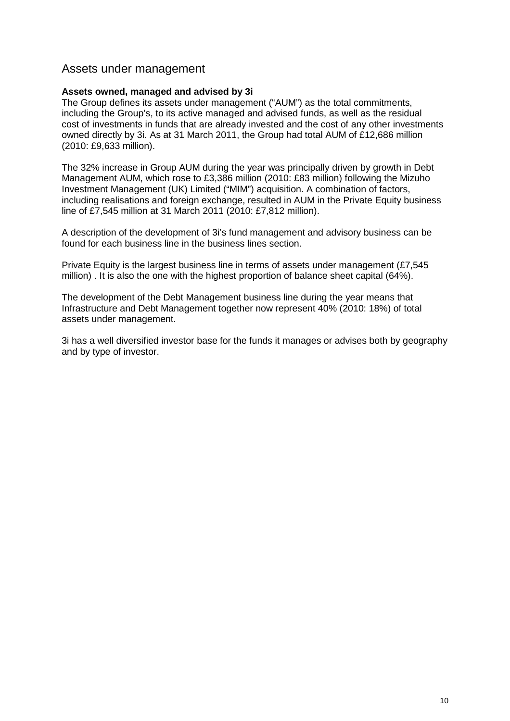## Assets under management

## **Assets owned, managed and advised by 3i**

The Group defines its assets under management ("AUM") as the total commitments, including the Group's, to its active managed and advised funds, as well as the residual cost of investments in funds that are already invested and the cost of any other investments owned directly by 3i. As at 31 March 2011, the Group had total AUM of £12,686 million (2010: £9,633 million).

The 32% increase in Group AUM during the year was principally driven by growth in Debt Management AUM, which rose to £3,386 million (2010: £83 million) following the Mizuho Investment Management (UK) Limited ("MIM") acquisition. A combination of factors, including realisations and foreign exchange, resulted in AUM in the Private Equity business line of £7,545 million at 31 March 2011 (2010: £7,812 million).

A description of the development of 3i's fund management and advisory business can be found for each business line in the business lines section.

Private Equity is the largest business line in terms of assets under management (£7,545 million) . It is also the one with the highest proportion of balance sheet capital (64%).

The development of the Debt Management business line during the year means that Infrastructure and Debt Management together now represent 40% (2010: 18%) of total assets under management.

3i has a well diversified investor base for the funds it manages or advises both by geography and by type of investor.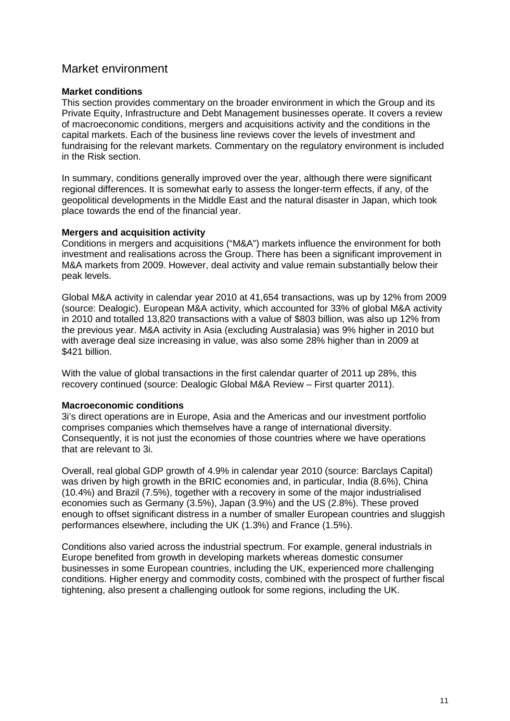## Market environment

## **Market conditions**

This section provides commentary on the broader environment in which the Group and its Private Equity, Infrastructure and Debt Management businesses operate. It covers a review of macroeconomic conditions, mergers and acquisitions activity and the conditions in the capital markets. Each of the business line reviews cover the levels of investment and fundraising for the relevant markets. Commentary on the regulatory environment is included in the Risk section.

In summary, conditions generally improved over the year, although there were significant regional differences. It is somewhat early to assess the longer-term effects, if any, of the geopolitical developments in the Middle East and the natural disaster in Japan, which took place towards the end of the financial year.

## **Mergers and acquisition activity**

Conditions in mergers and acquisitions ("M&A") markets influence the environment for both investment and realisations across the Group. There has been a significant improvement in M&A markets from 2009. However, deal activity and value remain substantially below their peak levels.

Global M&A activity in calendar year 2010 at 41,654 transactions, was up by 12% from 2009 (source: Dealogic). European M&A activity, which accounted for 33% of global M&A activity in 2010 and totalled 13,820 transactions with a value of \$803 billion, was also up 12% from the previous year. M&A activity in Asia (excluding Australasia) was 9% higher in 2010 but with average deal size increasing in value, was also some 28% higher than in 2009 at \$421 billion.

With the value of global transactions in the first calendar quarter of 2011 up 28%, this recovery continued (source: Dealogic Global M&A Review – First quarter 2011).

## **Macroeconomic conditions**

3i's direct operations are in Europe, Asia and the Americas and our investment portfolio comprises companies which themselves have a range of international diversity. Consequently, it is not just the economies of those countries where we have operations that are relevant to 3i.

Overall, real global GDP growth of 4.9% in calendar year 2010 (source: Barclays Capital) was driven by high growth in the BRIC economies and, in particular, India (8.6%), China (10.4%) and Brazil (7.5%), together with a recovery in some of the major industrialised economies such as Germany (3.5%), Japan (3.9%) and the US (2.8%). These proved enough to offset significant distress in a number of smaller European countries and sluggish performances elsewhere, including the UK (1.3%) and France (1.5%).

Conditions also varied across the industrial spectrum. For example, general industrials in Europe benefited from growth in developing markets whereas domestic consumer businesses in some European countries, including the UK, experienced more challenging conditions. Higher energy and commodity costs, combined with the prospect of further fiscal tightening, also present a challenging outlook for some regions, including the UK.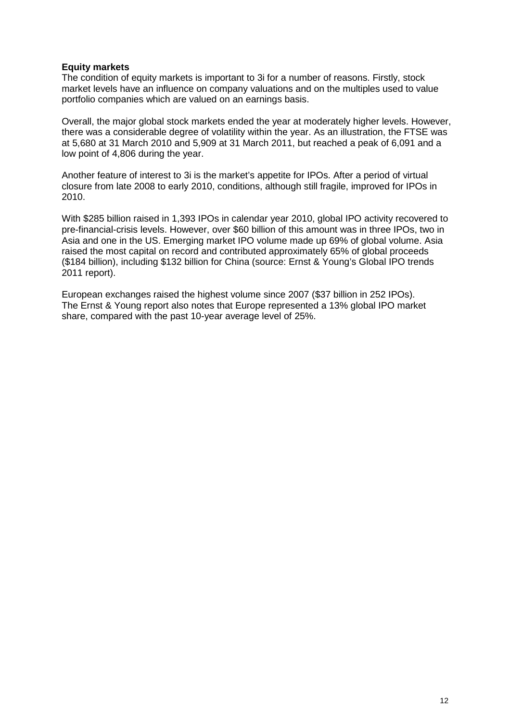## **Equity markets**

The condition of equity markets is important to 3i for a number of reasons. Firstly, stock market levels have an influence on company valuations and on the multiples used to value portfolio companies which are valued on an earnings basis.

Overall, the major global stock markets ended the year at moderately higher levels. However, there was a considerable degree of volatility within the year. As an illustration, the FTSE was at 5,680 at 31 March 2010 and 5,909 at 31 March 2011, but reached a peak of 6,091 and a low point of 4,806 during the year.

Another feature of interest to 3i is the market's appetite for IPOs. After a period of virtual closure from late 2008 to early 2010, conditions, although still fragile, improved for IPOs in 2010.

With \$285 billion raised in 1,393 IPOs in calendar year 2010, global IPO activity recovered to pre-financial-crisis levels. However, over \$60 billion of this amount was in three IPOs, two in Asia and one in the US. Emerging market IPO volume made up 69% of global volume. Asia raised the most capital on record and contributed approximately 65% of global proceeds (\$184 billion), including \$132 billion for China (source: Ernst & Young's Global IPO trends 2011 report).

European exchanges raised the highest volume since 2007 (\$37 billion in 252 IPOs). The Ernst & Young report also notes that Europe represented a 13% global IPO market share, compared with the past 10-year average level of 25%.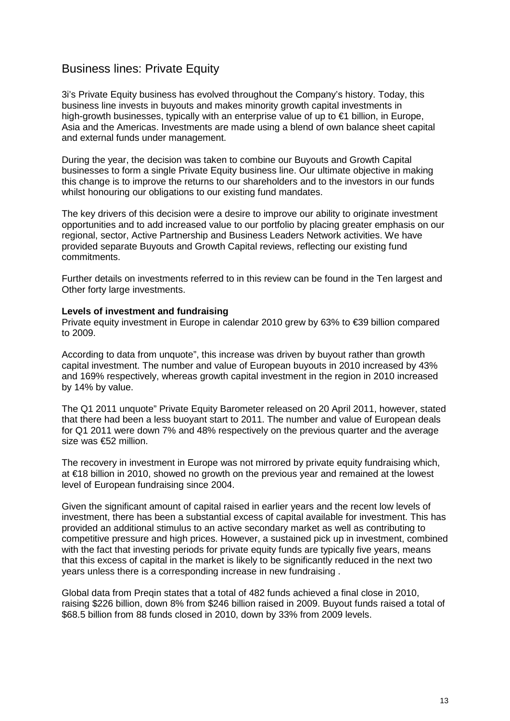# Business lines: Private Equity

3i's Private Equity business has evolved throughout the Company's history. Today, this business line invests in buyouts and makes minority growth capital investments in high-growth businesses, typically with an enterprise value of up to €1 billion, in Europe, Asia and the Americas. Investments are made using a blend of own balance sheet capital and external funds under management.

During the year, the decision was taken to combine our Buyouts and Growth Capital businesses to form a single Private Equity business line. Our ultimate objective in making this change is to improve the returns to our shareholders and to the investors in our funds whilst honouring our obligations to our existing fund mandates.

The key drivers of this decision were a desire to improve our ability to originate investment opportunities and to add increased value to our portfolio by placing greater emphasis on our regional, sector, Active Partnership and Business Leaders Network activities. We have provided separate Buyouts and Growth Capital reviews, reflecting our existing fund commitments.

Further details on investments referred to in this review can be found in the Ten largest and Other forty large investments.

#### **Levels of investment and fundraising**

Private equity investment in Europe in calendar 2010 grew by 63% to €39 billion compared to 2009.

According to data from unquote", this increase was driven by buyout rather than growth capital investment. The number and value of European buyouts in 2010 increased by 43% and 169% respectively, whereas growth capital investment in the region in 2010 increased by 14% by value.

The Q1 2011 unquote" Private Equity Barometer released on 20 April 2011, however, stated that there had been a less buoyant start to 2011. The number and value of European deals for Q1 2011 were down 7% and 48% respectively on the previous quarter and the average size was €52 million.

The recovery in investment in Europe was not mirrored by private equity fundraising which, at €18 billion in 2010, showed no growth on the previous year and remained at the lowest level of European fundraising since 2004.

Given the significant amount of capital raised in earlier years and the recent low levels of investment, there has been a substantial excess of capital available for investment. This has provided an additional stimulus to an active secondary market as well as contributing to competitive pressure and high prices. However, a sustained pick up in investment, combined with the fact that investing periods for private equity funds are typically five years, means that this excess of capital in the market is likely to be significantly reduced in the next two years unless there is a corresponding increase in new fundraising .

Global data from Preqin states that a total of 482 funds achieved a final close in 2010, raising \$226 billion, down 8% from \$246 billion raised in 2009. Buyout funds raised a total of \$68.5 billion from 88 funds closed in 2010, down by 33% from 2009 levels.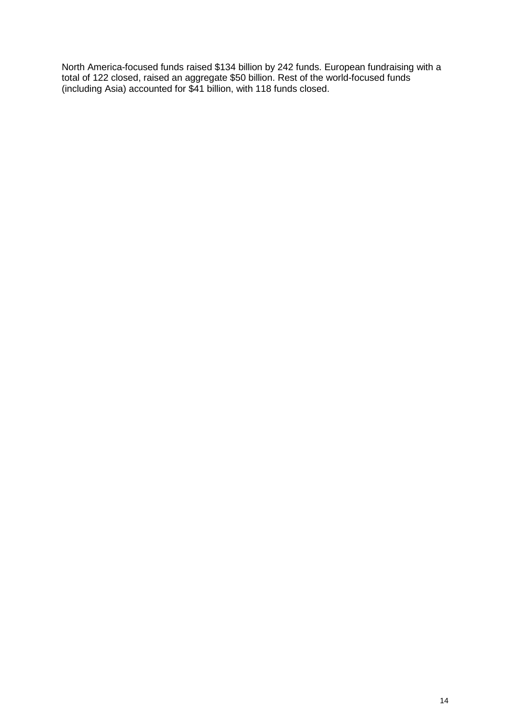North America-focused funds raised \$134 billion by 242 funds. European fundraising with a total of 122 closed, raised an aggregate \$50 billion. Rest of the world-focused funds (including Asia) accounted for \$41 billion, with 118 funds closed.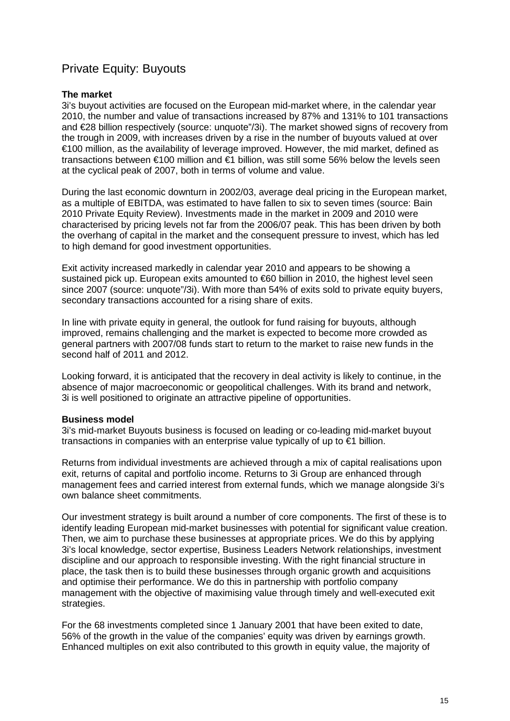# Private Equity: Buyouts

### **The market**

3i's buyout activities are focused on the European mid-market where, in the calendar year 2010, the number and value of transactions increased by 87% and 131% to 101 transactions and €28 billion respectively (source: unquote"/3i). The market showed signs of recovery from the trough in 2009, with increases driven by a rise in the number of buyouts valued at over €100 million, as the availability of leverage improved. However, the mid market, defined as transactions between €100 million and €1 billion, was still some 56% below the levels seen at the cyclical peak of 2007, both in terms of volume and value.

During the last economic downturn in 2002/03, average deal pricing in the European market, as a multiple of EBITDA, was estimated to have fallen to six to seven times (source: Bain 2010 Private Equity Review). Investments made in the market in 2009 and 2010 were characterised by pricing levels not far from the 2006/07 peak. This has been driven by both the overhang of capital in the market and the consequent pressure to invest, which has led to high demand for good investment opportunities.

Exit activity increased markedly in calendar year 2010 and appears to be showing a sustained pick up. European exits amounted to €60 billion in 2010, the highest level seen since 2007 (source: unquote"/3i). With more than 54% of exits sold to private equity buyers, secondary transactions accounted for a rising share of exits.

In line with private equity in general, the outlook for fund raising for buyouts, although improved, remains challenging and the market is expected to become more crowded as general partners with 2007/08 funds start to return to the market to raise new funds in the second half of 2011 and 2012.

Looking forward, it is anticipated that the recovery in deal activity is likely to continue, in the absence of major macroeconomic or geopolitical challenges. With its brand and network, 3i is well positioned to originate an attractive pipeline of opportunities.

#### **Business model**

3i's mid-market Buyouts business is focused on leading or co-leading mid-market buyout transactions in companies with an enterprise value typically of up to €1 billion.

Returns from individual investments are achieved through a mix of capital realisations upon exit, returns of capital and portfolio income. Returns to 3i Group are enhanced through management fees and carried interest from external funds, which we manage alongside 3i's own balance sheet commitments.

Our investment strategy is built around a number of core components. The first of these is to identify leading European mid-market businesses with potential for significant value creation. Then, we aim to purchase these businesses at appropriate prices. We do this by applying 3i's local knowledge, sector expertise, Business Leaders Network relationships, investment discipline and our approach to responsible investing. With the right financial structure in place, the task then is to build these businesses through organic growth and acquisitions and optimise their performance. We do this in partnership with portfolio company management with the objective of maximising value through timely and well-executed exit strategies.

For the 68 investments completed since 1 January 2001 that have been exited to date, 56% of the growth in the value of the companies' equity was driven by earnings growth. Enhanced multiples on exit also contributed to this growth in equity value, the majority of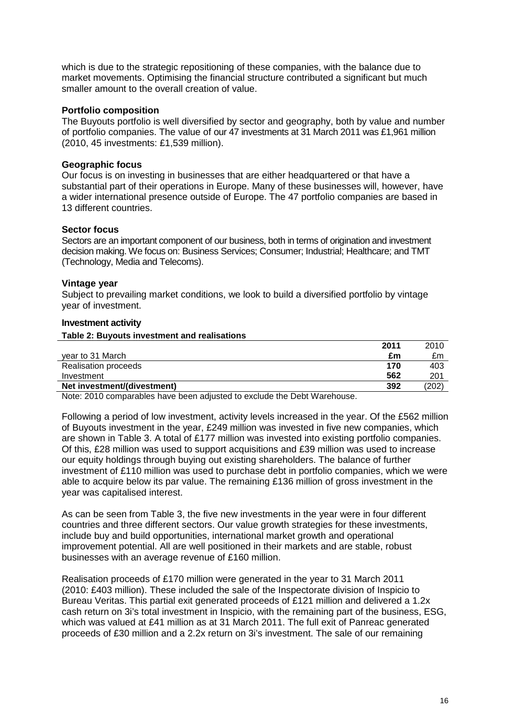which is due to the strategic repositioning of these companies, with the balance due to market movements. Optimising the financial structure contributed a significant but much smaller amount to the overall creation of value.

## **Portfolio composition**

The Buyouts portfolio is well diversified by sector and geography, both by value and number of portfolio companies. The value of our 47 investments at 31 March 2011 was £1,961 million (2010, 45 investments: £1,539 million).

## **Geographic focus**

Our focus is on investing in businesses that are either headquartered or that have a substantial part of their operations in Europe. Many of these businesses will, however, have a wider international presence outside of Europe. The 47 portfolio companies are based in 13 different countries.

## **Sector focus**

Sectors are an important component of our business, both in terms of origination and investment decision making. We focus on: Business Services; Consumer; Industrial; Healthcare; and TMT (Technology, Media and Telecoms).

## **Vintage year**

Subject to prevailing market conditions, we look to build a diversified portfolio by vintage year of investment.

#### **Investment activity**

**Table 2: Buyouts investment and realisations** 

|                             | 2011 | 2010 |
|-----------------------------|------|------|
| vear to 31 March            | £m   | £m   |
| <b>Realisation proceeds</b> | 170  | 403  |
| Investment                  | 562  | 201  |
| Net investment/(divestment) | 392  | 202) |

Note: 2010 comparables have been adjusted to exclude the Debt Warehouse.

Following a period of low investment, activity levels increased in the year. Of the £562 million of Buyouts investment in the year, £249 million was invested in five new companies, which are shown in Table 3. A total of £177 million was invested into existing portfolio companies. Of this, £28 million was used to support acquisitions and £39 million was used to increase our equity holdings through buying out existing shareholders. The balance of further investment of £110 million was used to purchase debt in portfolio companies, which we were able to acquire below its par value. The remaining £136 million of gross investment in the year was capitalised interest.

As can be seen from Table 3, the five new investments in the year were in four different countries and three different sectors. Our value growth strategies for these investments, include buy and build opportunities, international market growth and operational improvement potential. All are well positioned in their markets and are stable, robust businesses with an average revenue of £160 million.

Realisation proceeds of £170 million were generated in the year to 31 March 2011 (2010: £403 million). These included the sale of the Inspectorate division of Inspicio to Bureau Veritas. This partial exit generated proceeds of £121 million and delivered a 1.2x cash return on 3i's total investment in Inspicio, with the remaining part of the business, ESG, which was valued at £41 million as at 31 March 2011. The full exit of Panreac generated proceeds of £30 million and a 2.2x return on 3i's investment. The sale of our remaining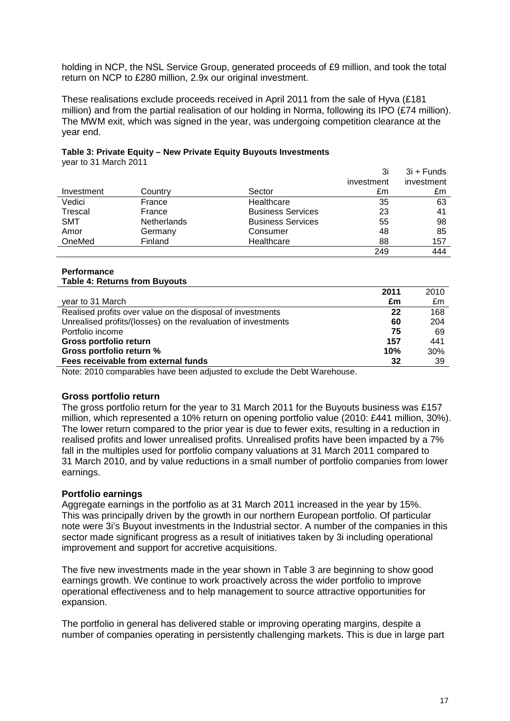holding in NCP, the NSL Service Group, generated proceeds of £9 million, and took the total return on NCP to £280 million, 2.9x our original investment.

These realisations exclude proceeds received in April 2011 from the sale of Hyva (£181 million) and from the partial realisation of our holding in Norma, following its IPO (£74 million). The MWM exit, which was signed in the year, was undergoing competition clearance at the year end.

## **Table 3: Private Equity – New Private Equity Buyouts Investments**

year to 31 March 2011

|            |                    |                          | 3i         | $3i +$ Funds |
|------------|--------------------|--------------------------|------------|--------------|
|            |                    |                          | investment | investment   |
| Investment | Country            | Sector                   | £m         | £m           |
| Vedici     | France             | Healthcare               | 35         | 63           |
| Trescal    | France             | <b>Business Services</b> | 23         | 41           |
| SMT        | <b>Netherlands</b> | <b>Business Services</b> | 55         | 98           |
| Amor       | Germany            | Consumer                 | 48         | 85           |
| OneMed     | Finland            | Healthcare               | 88         | 157          |
|            |                    |                          | 249        | 444          |

#### **Performance Table 4: Returns from Buyouts**

| 2011                                                          |     | 2010 |
|---------------------------------------------------------------|-----|------|
| year to 31 March                                              | £m  | £m   |
| Realised profits over value on the disposal of investments    | 22  | 168  |
| Unrealised profits/(losses) on the revaluation of investments | 60  | 204  |
| Portfolio income                                              | 75  | 69   |
| Gross portfolio return                                        | 157 | 441  |
| Gross portfolio return %                                      | 10% | 30%  |
| Fees receivable from external funds                           | 32  | 39   |

Note: 2010 comparables have been adjusted to exclude the Debt Warehouse.

## **Gross portfolio return**

The gross portfolio return for the year to 31 March 2011 for the Buyouts business was £157 million, which represented a 10% return on opening portfolio value (2010: £441 million, 30%). The lower return compared to the prior year is due to fewer exits, resulting in a reduction in realised profits and lower unrealised profits. Unrealised profits have been impacted by a 7% fall in the multiples used for portfolio company valuations at 31 March 2011 compared to 31 March 2010, and by value reductions in a small number of portfolio companies from lower earnings.

## **Portfolio earnings**

Aggregate earnings in the portfolio as at 31 March 2011 increased in the year by 15%. This was principally driven by the growth in our northern European portfolio. Of particular note were 3i's Buyout investments in the Industrial sector. A number of the companies in this sector made significant progress as a result of initiatives taken by 3i including operational improvement and support for accretive acquisitions.

The five new investments made in the year shown in Table 3 are beginning to show good earnings growth. We continue to work proactively across the wider portfolio to improve operational effectiveness and to help management to source attractive opportunities for expansion.

The portfolio in general has delivered stable or improving operating margins, despite a number of companies operating in persistently challenging markets. This is due in large part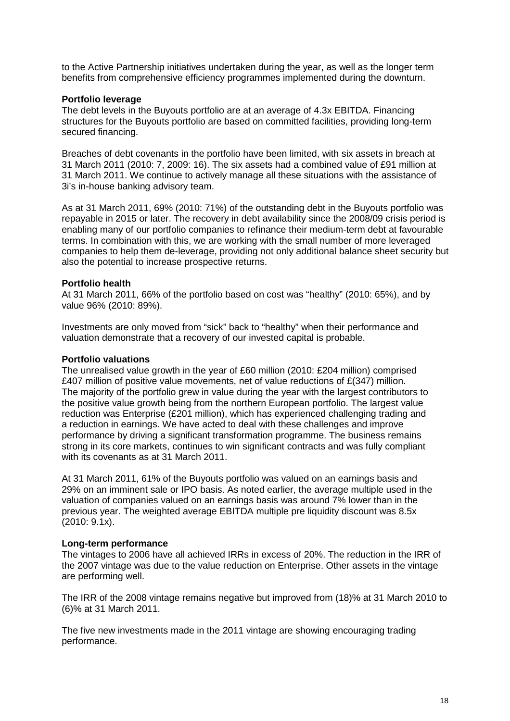to the Active Partnership initiatives undertaken during the year, as well as the longer term benefits from comprehensive efficiency programmes implemented during the downturn.

## **Portfolio leverage**

The debt levels in the Buyouts portfolio are at an average of 4.3x EBITDA. Financing structures for the Buyouts portfolio are based on committed facilities, providing long-term secured financing.

Breaches of debt covenants in the portfolio have been limited, with six assets in breach at 31 March 2011 (2010: 7, 2009: 16). The six assets had a combined value of £91 million at 31 March 2011. We continue to actively manage all these situations with the assistance of 3i's in-house banking advisory team.

As at 31 March 2011, 69% (2010: 71%) of the outstanding debt in the Buyouts portfolio was repayable in 2015 or later. The recovery in debt availability since the 2008/09 crisis period is enabling many of our portfolio companies to refinance their medium-term debt at favourable terms. In combination with this, we are working with the small number of more leveraged companies to help them de-leverage, providing not only additional balance sheet security but also the potential to increase prospective returns.

## **Portfolio health**

At 31 March 2011, 66% of the portfolio based on cost was "healthy" (2010: 65%), and by value 96% (2010: 89%).

Investments are only moved from "sick" back to "healthy" when their performance and valuation demonstrate that a recovery of our invested capital is probable.

#### **Portfolio valuations**

The unrealised value growth in the year of £60 million (2010: £204 million) comprised £407 million of positive value movements, net of value reductions of  $E(347)$  million. The majority of the portfolio grew in value during the year with the largest contributors to the positive value growth being from the northern European portfolio. The largest value reduction was Enterprise (£201 million), which has experienced challenging trading and a reduction in earnings. We have acted to deal with these challenges and improve performance by driving a significant transformation programme. The business remains strong in its core markets, continues to win significant contracts and was fully compliant with its covenants as at 31 March 2011.

At 31 March 2011, 61% of the Buyouts portfolio was valued on an earnings basis and 29% on an imminent sale or IPO basis. As noted earlier, the average multiple used in the valuation of companies valued on an earnings basis was around 7% lower than in the previous year. The weighted average EBITDA multiple pre liquidity discount was 8.5x (2010: 9.1x).

## **Long-term performance**

The vintages to 2006 have all achieved IRRs in excess of 20%. The reduction in the IRR of the 2007 vintage was due to the value reduction on Enterprise. Other assets in the vintage are performing well.

The IRR of the 2008 vintage remains negative but improved from (18)% at 31 March 2010 to (6)% at 31 March 2011.

The five new investments made in the 2011 vintage are showing encouraging trading performance.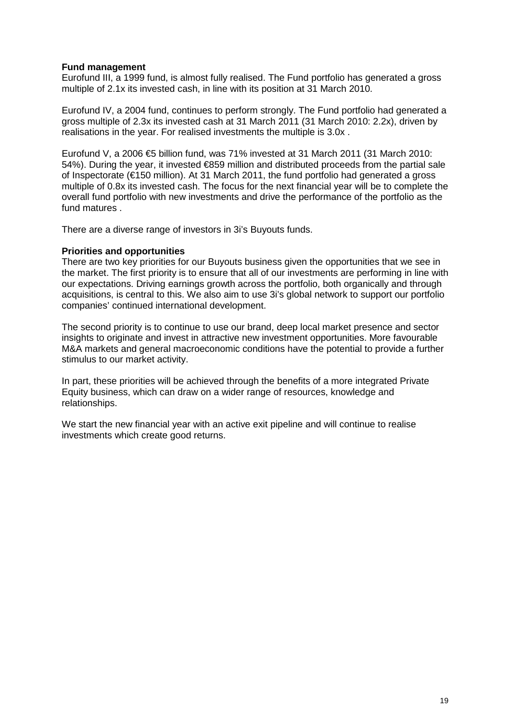## **Fund management**

Eurofund III, a 1999 fund, is almost fully realised. The Fund portfolio has generated a gross multiple of 2.1x its invested cash, in line with its position at 31 March 2010.

Eurofund IV, a 2004 fund, continues to perform strongly. The Fund portfolio had generated a gross multiple of 2.3x its invested cash at 31 March 2011 (31 March 2010: 2.2x), driven by realisations in the year. For realised investments the multiple is 3.0x .

Eurofund V, a 2006  $\epsilon$ 5 billion fund, was 71% invested at 31 March 2011 (31 March 2010: 54%). During the year, it invested €859 million and distributed proceeds from the partial sale of Inspectorate (€150 million). At 31 March 2011, the fund portfolio had generated a gross multiple of 0.8x its invested cash. The focus for the next financial year will be to complete the overall fund portfolio with new investments and drive the performance of the portfolio as the fund matures .

There are a diverse range of investors in 3i's Buyouts funds.

#### **Priorities and opportunities**

There are two key priorities for our Buyouts business given the opportunities that we see in the market. The first priority is to ensure that all of our investments are performing in line with our expectations. Driving earnings growth across the portfolio, both organically and through acquisitions, is central to this. We also aim to use 3i's global network to support our portfolio companies' continued international development.

The second priority is to continue to use our brand, deep local market presence and sector insights to originate and invest in attractive new investment opportunities. More favourable M&A markets and general macroeconomic conditions have the potential to provide a further stimulus to our market activity.

In part, these priorities will be achieved through the benefits of a more integrated Private Equity business, which can draw on a wider range of resources, knowledge and relationships.

We start the new financial year with an active exit pipeline and will continue to realise investments which create good returns.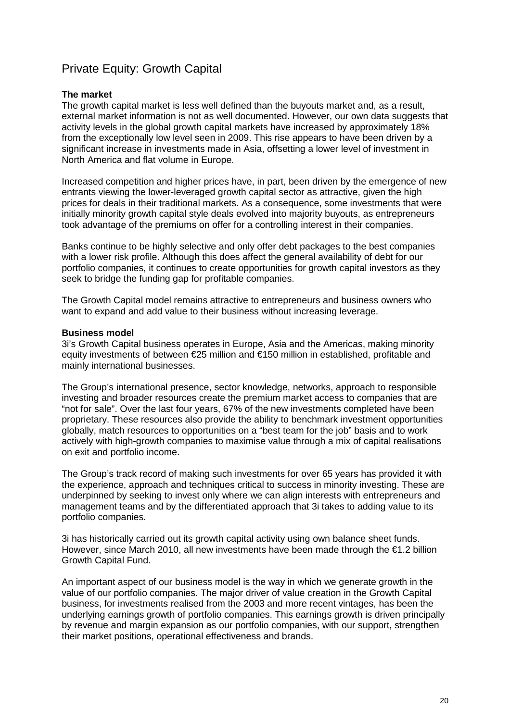# Private Equity: Growth Capital

## **The market**

The growth capital market is less well defined than the buyouts market and, as a result, external market information is not as well documented. However, our own data suggests that activity levels in the global growth capital markets have increased by approximately 18% from the exceptionally low level seen in 2009. This rise appears to have been driven by a significant increase in investments made in Asia, offsetting a lower level of investment in North America and flat volume in Europe.

Increased competition and higher prices have, in part, been driven by the emergence of new entrants viewing the lower-leveraged growth capital sector as attractive, given the high prices for deals in their traditional markets. As a consequence, some investments that were initially minority growth capital style deals evolved into majority buyouts, as entrepreneurs took advantage of the premiums on offer for a controlling interest in their companies.

Banks continue to be highly selective and only offer debt packages to the best companies with a lower risk profile. Although this does affect the general availability of debt for our portfolio companies, it continues to create opportunities for growth capital investors as they seek to bridge the funding gap for profitable companies.

The Growth Capital model remains attractive to entrepreneurs and business owners who want to expand and add value to their business without increasing leverage.

### **Business model**

3i's Growth Capital business operates in Europe, Asia and the Americas, making minority equity investments of between €25 million and €150 million in established, profitable and mainly international businesses.

The Group's international presence, sector knowledge, networks, approach to responsible investing and broader resources create the premium market access to companies that are "not for sale". Over the last four years, 67% of the new investments completed have been proprietary. These resources also provide the ability to benchmark investment opportunities globally, match resources to opportunities on a "best team for the job" basis and to work actively with high-growth companies to maximise value through a mix of capital realisations on exit and portfolio income.

The Group's track record of making such investments for over 65 years has provided it with the experience, approach and techniques critical to success in minority investing. These are underpinned by seeking to invest only where we can align interests with entrepreneurs and management teams and by the differentiated approach that 3i takes to adding value to its portfolio companies.

3i has historically carried out its growth capital activity using own balance sheet funds. However, since March 2010, all new investments have been made through the €1.2 billion Growth Capital Fund.

An important aspect of our business model is the way in which we generate growth in the value of our portfolio companies. The major driver of value creation in the Growth Capital business, for investments realised from the 2003 and more recent vintages, has been the underlying earnings growth of portfolio companies. This earnings growth is driven principally by revenue and margin expansion as our portfolio companies, with our support, strengthen their market positions, operational effectiveness and brands.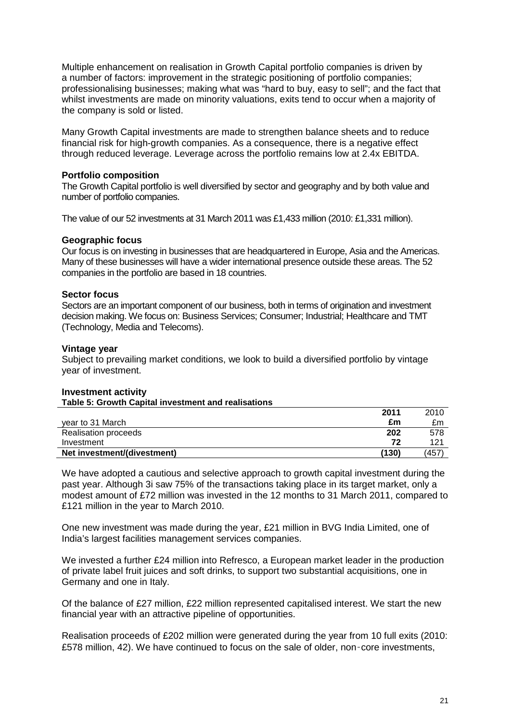Multiple enhancement on realisation in Growth Capital portfolio companies is driven by a number of factors: improvement in the strategic positioning of portfolio companies; professionalising businesses; making what was "hard to buy, easy to sell"; and the fact that whilst investments are made on minority valuations, exits tend to occur when a majority of the company is sold or listed.

Many Growth Capital investments are made to strengthen balance sheets and to reduce financial risk for high-growth companies. As a consequence, there is a negative effect through reduced leverage. Leverage across the portfolio remains low at 2.4x EBITDA.

## **Portfolio composition**

The Growth Capital portfolio is well diversified by sector and geography and by both value and number of portfolio companies.

The value of our 52 investments at 31 March 2011 was £1,433 million (2010: £1,331 million).

#### **Geographic focus**

Our focus is on investing in businesses that are headquartered in Europe, Asia and the Americas. Many of these businesses will have a wider international presence outside these areas. The 52 companies in the portfolio are based in 18 countries.

## **Sector focus**

Sectors are an important component of our business, both in terms of origination and investment decision making. We focus on: Business Services; Consumer; Industrial; Healthcare and TMT (Technology, Media and Telecoms).

## **Vintage year**

Subject to prevailing market conditions, we look to build a diversified portfolio by vintage year of investment.

## **Investment activity**

|                             | 2011  | 2010 |
|-----------------------------|-------|------|
| vear to 31 March            | £m    | £m   |
| <b>Realisation proceeds</b> | 202   | 578  |
| Investment                  | 72    | 121  |
| Net investment/(divestment) | (130) | (457 |

We have adopted a cautious and selective approach to growth capital investment during the past year. Although 3i saw 75% of the transactions taking place in its target market, only a modest amount of £72 million was invested in the 12 months to 31 March 2011, compared to £121 million in the year to March 2010.

One new investment was made during the year, £21 million in BVG India Limited, one of India's largest facilities management services companies.

We invested a further £24 million into Refresco, a European market leader in the production of private label fruit juices and soft drinks, to support two substantial acquisitions, one in Germany and one in Italy.

Of the balance of £27 million, £22 million represented capitalised interest. We start the new financial year with an attractive pipeline of opportunities.

Realisation proceeds of £202 million were generated during the year from 10 full exits (2010: £578 million, 42). We have continued to focus on the sale of older, non-core investments,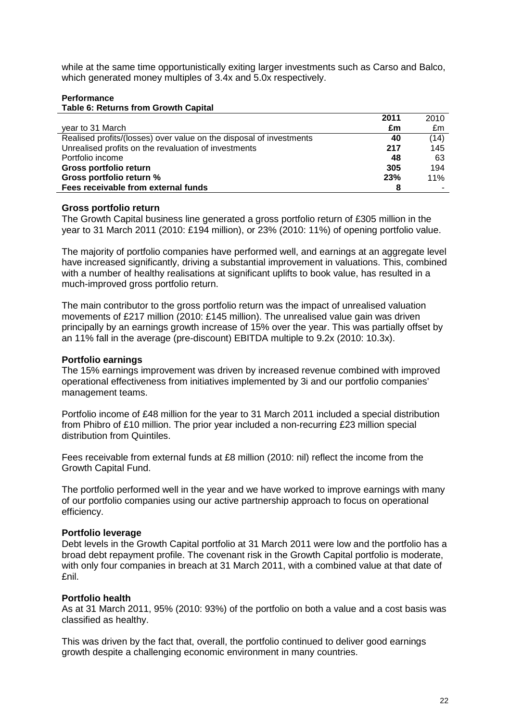while at the same time opportunistically exiting larger investments such as Carso and Balco, which generated money multiples of 3.4x and 5.0x respectively.

#### **Performance Table 6: Returns from Growth Capital**

|                                                                     | 2011 | 2010 |
|---------------------------------------------------------------------|------|------|
| year to 31 March                                                    | £m   | £m   |
| Realised profits/(losses) over value on the disposal of investments | 40   | (14) |
| Unrealised profits on the revaluation of investments                | 217  | 145  |
| Portfolio income                                                    | 48   | 63   |
| Gross portfolio return                                              | 305  | 194  |
| Gross portfolio return %                                            | 23%  | 11%  |
| Fees receivable from external funds                                 |      |      |

## **Gross portfolio return**

The Growth Capital business line generated a gross portfolio return of £305 million in the year to 31 March 2011 (2010: £194 million), or 23% (2010: 11%) of opening portfolio value.

The majority of portfolio companies have performed well, and earnings at an aggregate level have increased significantly, driving a substantial improvement in valuations. This, combined with a number of healthy realisations at significant uplifts to book value, has resulted in a much-improved gross portfolio return.

The main contributor to the gross portfolio return was the impact of unrealised valuation movements of £217 million (2010: £145 million). The unrealised value gain was driven principally by an earnings growth increase of 15% over the year. This was partially offset by an 11% fall in the average (pre-discount) EBITDA multiple to 9.2x (2010: 10.3x).

## **Portfolio earnings**

The 15% earnings improvement was driven by increased revenue combined with improved operational effectiveness from initiatives implemented by 3i and our portfolio companies' management teams.

Portfolio income of £48 million for the year to 31 March 2011 included a special distribution from Phibro of £10 million. The prior year included a non-recurring £23 million special distribution from Quintiles.

Fees receivable from external funds at £8 million (2010: nil) reflect the income from the Growth Capital Fund.

The portfolio performed well in the year and we have worked to improve earnings with many of our portfolio companies using our active partnership approach to focus on operational efficiency.

#### **Portfolio leverage**

Debt levels in the Growth Capital portfolio at 31 March 2011 were low and the portfolio has a broad debt repayment profile. The covenant risk in the Growth Capital portfolio is moderate, with only four companies in breach at 31 March 2011, with a combined value at that date of £nil.

## **Portfolio health**

As at 31 March 2011, 95% (2010: 93%) of the portfolio on both a value and a cost basis was classified as healthy.

This was driven by the fact that, overall, the portfolio continued to deliver good earnings growth despite a challenging economic environment in many countries.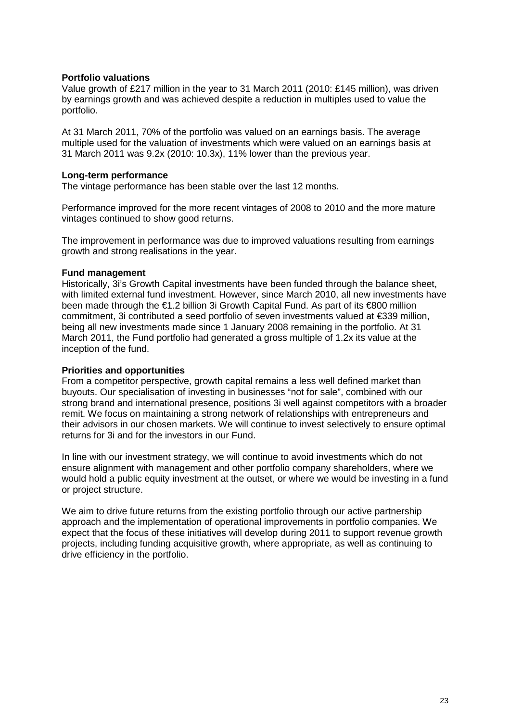## **Portfolio valuations**

Value growth of £217 million in the year to 31 March 2011 (2010: £145 million), was driven by earnings growth and was achieved despite a reduction in multiples used to value the portfolio.

At 31 March 2011, 70% of the portfolio was valued on an earnings basis. The average multiple used for the valuation of investments which were valued on an earnings basis at 31 March 2011 was 9.2x (2010: 10.3x), 11% lower than the previous year.

### **Long-term performance**

The vintage performance has been stable over the last 12 months.

Performance improved for the more recent vintages of 2008 to 2010 and the more mature vintages continued to show good returns.

The improvement in performance was due to improved valuations resulting from earnings growth and strong realisations in the year.

#### **Fund management**

Historically, 3i's Growth Capital investments have been funded through the balance sheet, with limited external fund investment. However, since March 2010, all new investments have been made through the €1.2 billion 3i Growth Capital Fund. As part of its €800 million commitment, 3i contributed a seed portfolio of seven investments valued at €339 million, being all new investments made since 1 January 2008 remaining in the portfolio. At 31 March 2011, the Fund portfolio had generated a gross multiple of 1.2x its value at the inception of the fund.

#### **Priorities and opportunities**

From a competitor perspective, growth capital remains a less well defined market than buyouts. Our specialisation of investing in businesses "not for sale", combined with our strong brand and international presence, positions 3i well against competitors with a broader remit. We focus on maintaining a strong network of relationships with entrepreneurs and their advisors in our chosen markets. We will continue to invest selectively to ensure optimal returns for 3i and for the investors in our Fund.

In line with our investment strategy, we will continue to avoid investments which do not ensure alignment with management and other portfolio company shareholders, where we would hold a public equity investment at the outset, or where we would be investing in a fund or project structure.

We aim to drive future returns from the existing portfolio through our active partnership approach and the implementation of operational improvements in portfolio companies. We expect that the focus of these initiatives will develop during 2011 to support revenue growth projects, including funding acquisitive growth, where appropriate, as well as continuing to drive efficiency in the portfolio.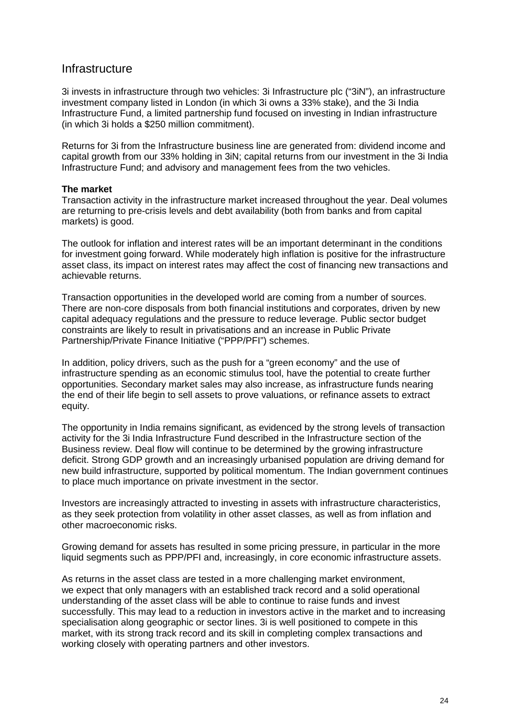## **Infrastructure**

3i invests in infrastructure through two vehicles: 3i Infrastructure plc ("3iN"), an infrastructure investment company listed in London (in which 3i owns a 33% stake), and the 3i India Infrastructure Fund, a limited partnership fund focused on investing in Indian infrastructure (in which 3i holds a \$250 million commitment).

Returns for 3i from the Infrastructure business line are generated from: dividend income and capital growth from our 33% holding in 3iN; capital returns from our investment in the 3i India Infrastructure Fund; and advisory and management fees from the two vehicles.

## **The market**

Transaction activity in the infrastructure market increased throughout the year. Deal volumes are returning to pre-crisis levels and debt availability (both from banks and from capital markets) is good.

The outlook for inflation and interest rates will be an important determinant in the conditions for investment going forward. While moderately high inflation is positive for the infrastructure asset class, its impact on interest rates may affect the cost of financing new transactions and achievable returns.

Transaction opportunities in the developed world are coming from a number of sources. There are non-core disposals from both financial institutions and corporates, driven by new capital adequacy regulations and the pressure to reduce leverage. Public sector budget constraints are likely to result in privatisations and an increase in Public Private Partnership/Private Finance Initiative ("PPP/PFI") schemes.

In addition, policy drivers, such as the push for a "green economy" and the use of infrastructure spending as an economic stimulus tool, have the potential to create further opportunities. Secondary market sales may also increase, as infrastructure funds nearing the end of their life begin to sell assets to prove valuations, or refinance assets to extract equity.

The opportunity in India remains significant, as evidenced by the strong levels of transaction activity for the 3i India Infrastructure Fund described in the Infrastructure section of the Business review. Deal flow will continue to be determined by the growing infrastructure deficit. Strong GDP growth and an increasingly urbanised population are driving demand for new build infrastructure, supported by political momentum. The Indian government continues to place much importance on private investment in the sector.

Investors are increasingly attracted to investing in assets with infrastructure characteristics, as they seek protection from volatility in other asset classes, as well as from inflation and other macroeconomic risks.

Growing demand for assets has resulted in some pricing pressure, in particular in the more liquid segments such as PPP/PFI and, increasingly, in core economic infrastructure assets.

As returns in the asset class are tested in a more challenging market environment, we expect that only managers with an established track record and a solid operational understanding of the asset class will be able to continue to raise funds and invest successfully. This may lead to a reduction in investors active in the market and to increasing specialisation along geographic or sector lines. 3i is well positioned to compete in this market, with its strong track record and its skill in completing complex transactions and working closely with operating partners and other investors.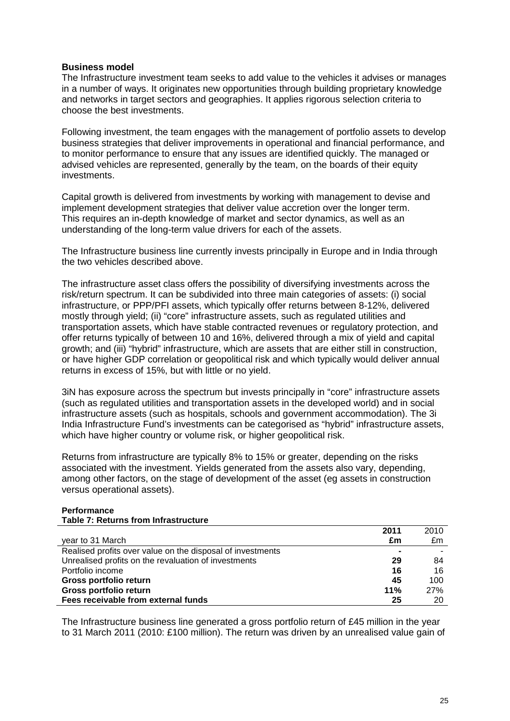## **Business model**

The Infrastructure investment team seeks to add value to the vehicles it advises or manages in a number of ways. It originates new opportunities through building proprietary knowledge and networks in target sectors and geographies. It applies rigorous selection criteria to choose the best investments.

Following investment, the team engages with the management of portfolio assets to develop business strategies that deliver improvements in operational and financial performance, and to monitor performance to ensure that any issues are identified quickly. The managed or advised vehicles are represented, generally by the team, on the boards of their equity investments.

Capital growth is delivered from investments by working with management to devise and implement development strategies that deliver value accretion over the longer term. This requires an in-depth knowledge of market and sector dynamics, as well as an understanding of the long-term value drivers for each of the assets.

The Infrastructure business line currently invests principally in Europe and in India through the two vehicles described above.

The infrastructure asset class offers the possibility of diversifying investments across the risk/return spectrum. It can be subdivided into three main categories of assets: (i) social infrastructure, or PPP/PFI assets, which typically offer returns between 8-12%, delivered mostly through yield; (ii) "core" infrastructure assets, such as regulated utilities and transportation assets, which have stable contracted revenues or regulatory protection, and offer returns typically of between 10 and 16%, delivered through a mix of yield and capital growth; and (iii) "hybrid" infrastructure, which are assets that are either still in construction, or have higher GDP correlation or geopolitical risk and which typically would deliver annual returns in excess of 15%, but with little or no yield.

3iN has exposure across the spectrum but invests principally in "core" infrastructure assets (such as regulated utilities and transportation assets in the developed world) and in social infrastructure assets (such as hospitals, schools and government accommodation). The 3i India Infrastructure Fund's investments can be categorised as "hybrid" infrastructure assets, which have higher country or volume risk, or higher geopolitical risk.

Returns from infrastructure are typically 8% to 15% or greater, depending on the risks associated with the investment. Yields generated from the assets also vary, depending, among other factors, on the stage of development of the asset (eg assets in construction versus operational assets).

#### **Performance Table 7: Returns from Infrastructure**

|                                                            | 2011 | 2010 |
|------------------------------------------------------------|------|------|
| year to 31 March                                           | £m   | £m   |
| Realised profits over value on the disposal of investments |      |      |
| Unrealised profits on the revaluation of investments       | 29   | 84   |
| Portfolio income                                           | 16   | 16   |
| Gross portfolio return                                     | 45   | 100  |
| Gross portfolio return                                     | 11%  | 27%  |
| Fees receivable from external funds                        | 25   | 20   |

The Infrastructure business line generated a gross portfolio return of £45 million in the year to 31 March 2011 (2010: £100 million). The return was driven by an unrealised value gain of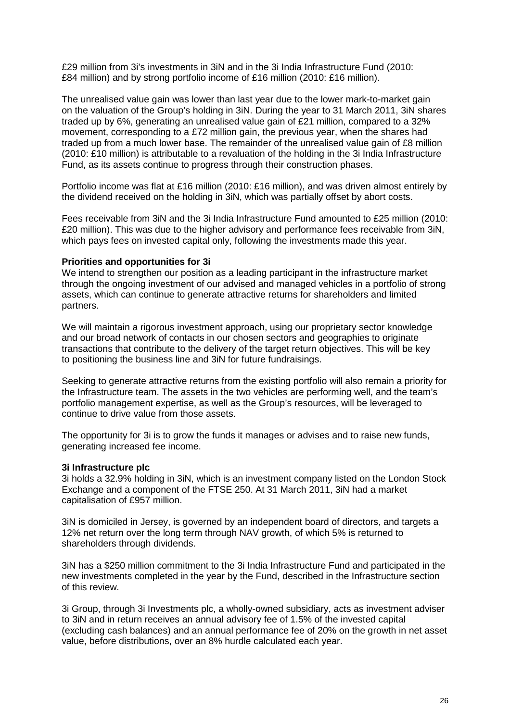£29 million from 3i's investments in 3iN and in the 3i India Infrastructure Fund (2010: £84 million) and by strong portfolio income of £16 million (2010: £16 million).

The unrealised value gain was lower than last year due to the lower mark-to-market gain on the valuation of the Group's holding in 3iN. During the year to 31 March 2011, 3iN shares traded up by 6%, generating an unrealised value gain of £21 million, compared to a 32% movement, corresponding to a £72 million gain, the previous year, when the shares had traded up from a much lower base. The remainder of the unrealised value gain of £8 million (2010: £10 million) is attributable to a revaluation of the holding in the 3i India Infrastructure Fund, as its assets continue to progress through their construction phases.

Portfolio income was flat at £16 million (2010: £16 million), and was driven almost entirely by the dividend received on the holding in 3iN, which was partially offset by abort costs.

Fees receivable from 3iN and the 3i India Infrastructure Fund amounted to £25 million (2010: £20 million). This was due to the higher advisory and performance fees receivable from 3iN, which pays fees on invested capital only, following the investments made this year.

## **Priorities and opportunities for 3i**

We intend to strengthen our position as a leading participant in the infrastructure market through the ongoing investment of our advised and managed vehicles in a portfolio of strong assets, which can continue to generate attractive returns for shareholders and limited partners.

We will maintain a rigorous investment approach, using our proprietary sector knowledge and our broad network of contacts in our chosen sectors and geographies to originate transactions that contribute to the delivery of the target return objectives. This will be key to positioning the business line and 3iN for future fundraisings.

Seeking to generate attractive returns from the existing portfolio will also remain a priority for the Infrastructure team. The assets in the two vehicles are performing well, and the team's portfolio management expertise, as well as the Group's resources, will be leveraged to continue to drive value from those assets.

The opportunity for 3i is to grow the funds it manages or advises and to raise new funds, generating increased fee income.

#### **3i Infrastructure plc**

3i holds a 32.9% holding in 3iN, which is an investment company listed on the London Stock Exchange and a component of the FTSE 250. At 31 March 2011, 3iN had a market capitalisation of £957 million.

3iN is domiciled in Jersey, is governed by an independent board of directors, and targets a 12% net return over the long term through NAV growth, of which 5% is returned to shareholders through dividends.

3iN has a \$250 million commitment to the 3i India Infrastructure Fund and participated in the new investments completed in the year by the Fund, described in the Infrastructure section of this review.

3i Group, through 3i Investments plc, a wholly-owned subsidiary, acts as investment adviser to 3iN and in return receives an annual advisory fee of 1.5% of the invested capital (excluding cash balances) and an annual performance fee of 20% on the growth in net asset value, before distributions, over an 8% hurdle calculated each year.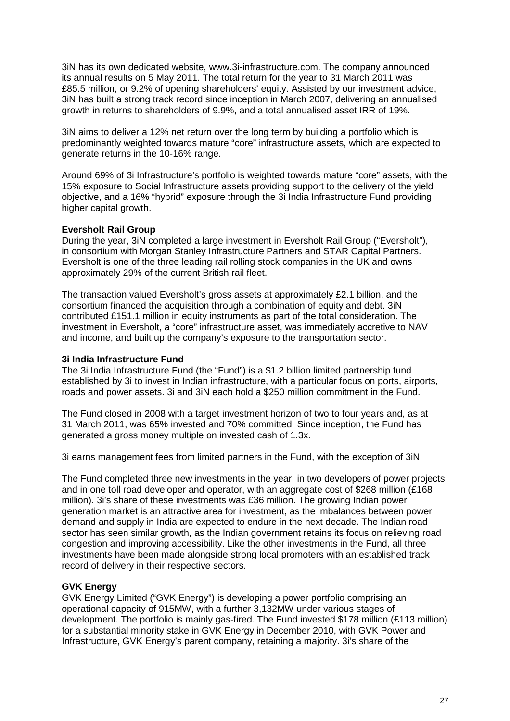3iN has its own dedicated website, www.3i-infrastructure.com. The company announced its annual results on 5 May 2011. The total return for the year to 31 March 2011 was £85.5 million, or 9.2% of opening shareholders' equity. Assisted by our investment advice, 3iN has built a strong track record since inception in March 2007, delivering an annualised growth in returns to shareholders of 9.9%, and a total annualised asset IRR of 19%.

3iN aims to deliver a 12% net return over the long term by building a portfolio which is predominantly weighted towards mature "core" infrastructure assets, which are expected to generate returns in the 10-16% range.

Around 69% of 3i Infrastructure's portfolio is weighted towards mature "core" assets, with the 15% exposure to Social Infrastructure assets providing support to the delivery of the yield objective, and a 16% "hybrid" exposure through the 3i India Infrastructure Fund providing higher capital growth.

## **Eversholt Rail Group**

During the year, 3iN completed a large investment in Eversholt Rail Group ("Eversholt"), in consortium with Morgan Stanley Infrastructure Partners and STAR Capital Partners. Eversholt is one of the three leading rail rolling stock companies in the UK and owns approximately 29% of the current British rail fleet.

The transaction valued Eversholt's gross assets at approximately £2.1 billion, and the consortium financed the acquisition through a combination of equity and debt. 3iN contributed £151.1 million in equity instruments as part of the total consideration. The investment in Eversholt, a "core" infrastructure asset, was immediately accretive to NAV and income, and built up the company's exposure to the transportation sector.

#### **3i India Infrastructure Fund**

The 3i India Infrastructure Fund (the "Fund") is a \$1.2 billion limited partnership fund established by 3i to invest in Indian infrastructure, with a particular focus on ports, airports, roads and power assets. 3i and 3iN each hold a \$250 million commitment in the Fund.

The Fund closed in 2008 with a target investment horizon of two to four years and, as at 31 March 2011, was 65% invested and 70% committed. Since inception, the Fund has generated a gross money multiple on invested cash of 1.3x.

3i earns management fees from limited partners in the Fund, with the exception of 3iN.

The Fund completed three new investments in the year, in two developers of power projects and in one toll road developer and operator, with an aggregate cost of \$268 million (£168 million). 3i's share of these investments was £36 million. The growing Indian power generation market is an attractive area for investment, as the imbalances between power demand and supply in India are expected to endure in the next decade. The Indian road sector has seen similar growth, as the Indian government retains its focus on relieving road congestion and improving accessibility. Like the other investments in the Fund, all three investments have been made alongside strong local promoters with an established track record of delivery in their respective sectors.

## **GVK Energy**

GVK Energy Limited ("GVK Energy") is developing a power portfolio comprising an operational capacity of 915MW, with a further 3,132MW under various stages of development. The portfolio is mainly gas-fired. The Fund invested \$178 million (£113 million) for a substantial minority stake in GVK Energy in December 2010, with GVK Power and Infrastructure, GVK Energy's parent company, retaining a majority. 3i's share of the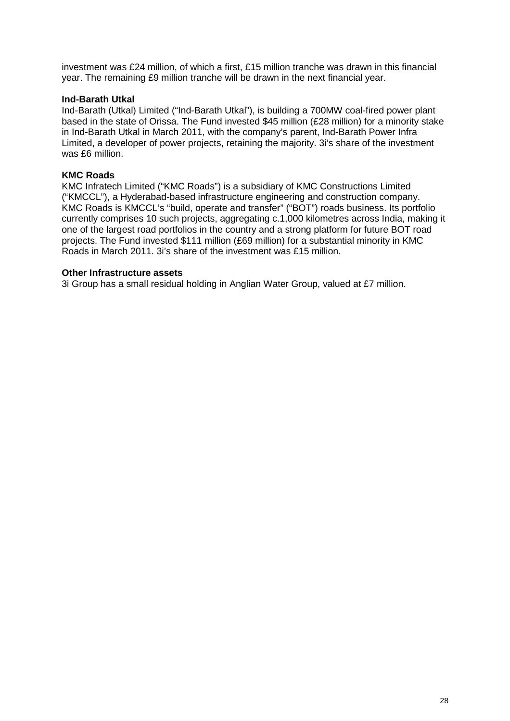investment was £24 million, of which a first, £15 million tranche was drawn in this financial year. The remaining £9 million tranche will be drawn in the next financial year.

## **Ind-Barath Utkal**

Ind-Barath (Utkal) Limited ("Ind-Barath Utkal"), is building a 700MW coal-fired power plant based in the state of Orissa. The Fund invested \$45 million (£28 million) for a minority stake in Ind-Barath Utkal in March 2011, with the company's parent, Ind-Barath Power Infra Limited, a developer of power projects, retaining the majority. 3i's share of the investment was £6 million.

## **KMC Roads**

KMC Infratech Limited ("KMC Roads") is a subsidiary of KMC Constructions Limited ("KMCCL"), a Hyderabad-based infrastructure engineering and construction company. KMC Roads is KMCCL's "build, operate and transfer" ("BOT") roads business. Its portfolio currently comprises 10 such projects, aggregating c.1,000 kilometres across India, making it one of the largest road portfolios in the country and a strong platform for future BOT road projects. The Fund invested \$111 million (£69 million) for a substantial minority in KMC Roads in March 2011. 3i's share of the investment was £15 million.

#### **Other Infrastructure assets**

3i Group has a small residual holding in Anglian Water Group, valued at £7 million.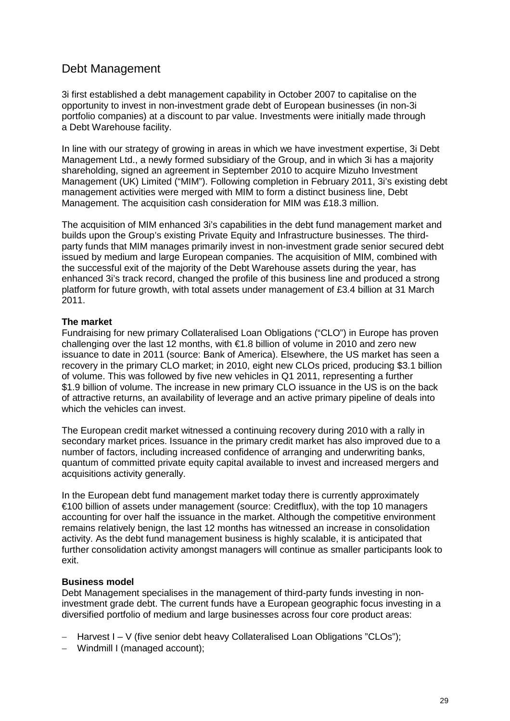# Debt Management

3i first established a debt management capability in October 2007 to capitalise on the opportunity to invest in non-investment grade debt of European businesses (in non-3i portfolio companies) at a discount to par value. Investments were initially made through a Debt Warehouse facility.

In line with our strategy of growing in areas in which we have investment expertise, 3i Debt Management Ltd., a newly formed subsidiary of the Group, and in which 3i has a majority shareholding, signed an agreement in September 2010 to acquire Mizuho Investment Management (UK) Limited ("MIM"). Following completion in February 2011, 3i's existing debt management activities were merged with MIM to form a distinct business line, Debt Management. The acquisition cash consideration for MIM was £18.3 million.

The acquisition of MIM enhanced 3i's capabilities in the debt fund management market and builds upon the Group's existing Private Equity and Infrastructure businesses. The thirdparty funds that MIM manages primarily invest in non-investment grade senior secured debt issued by medium and large European companies. The acquisition of MIM, combined with the successful exit of the majority of the Debt Warehouse assets during the year, has enhanced 3i's track record, changed the profile of this business line and produced a strong platform for future growth, with total assets under management of £3.4 billion at 31 March 2011.

## **The market**

Fundraising for new primary Collateralised Loan Obligations ("CLO") in Europe has proven challenging over the last 12 months, with  $\epsilon$ 1.8 billion of volume in 2010 and zero new issuance to date in 2011 (source: Bank of America). Elsewhere, the US market has seen a recovery in the primary CLO market; in 2010, eight new CLOs priced, producing \$3.1 billion of volume. This was followed by five new vehicles in Q1 2011, representing a further \$1.9 billion of volume. The increase in new primary CLO issuance in the US is on the back of attractive returns, an availability of leverage and an active primary pipeline of deals into which the vehicles can invest.

The European credit market witnessed a continuing recovery during 2010 with a rally in secondary market prices. Issuance in the primary credit market has also improved due to a number of factors, including increased confidence of arranging and underwriting banks, quantum of committed private equity capital available to invest and increased mergers and acquisitions activity generally.

In the European debt fund management market today there is currently approximately €100 billion of assets under management (source: Creditflux), with the top 10 managers accounting for over half the issuance in the market. Although the competitive environment remains relatively benign, the last 12 months has witnessed an increase in consolidation activity. As the debt fund management business is highly scalable, it is anticipated that further consolidation activity amongst managers will continue as smaller participants look to exit.

## **Business model**

Debt Management specialises in the management of third-party funds investing in noninvestment grade debt. The current funds have a European geographic focus investing in a diversified portfolio of medium and large businesses across four core product areas:

- − Harvest I V (five senior debt heavy Collateralised Loan Obligations "CLOs");
- − Windmill I (managed account);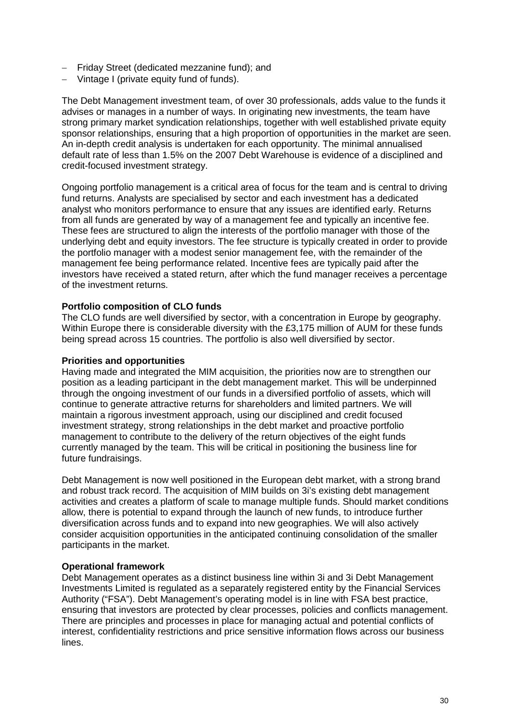- − Friday Street (dedicated mezzanine fund); and
- − Vintage I (private equity fund of funds).

The Debt Management investment team, of over 30 professionals, adds value to the funds it advises or manages in a number of ways. In originating new investments, the team have strong primary market syndication relationships, together with well established private equity sponsor relationships, ensuring that a high proportion of opportunities in the market are seen. An in-depth credit analysis is undertaken for each opportunity. The minimal annualised default rate of less than 1.5% on the 2007 Debt Warehouse is evidence of a disciplined and credit-focused investment strategy.

Ongoing portfolio management is a critical area of focus for the team and is central to driving fund returns. Analysts are specialised by sector and each investment has a dedicated analyst who monitors performance to ensure that any issues are identified early. Returns from all funds are generated by way of a management fee and typically an incentive fee. These fees are structured to align the interests of the portfolio manager with those of the underlying debt and equity investors. The fee structure is typically created in order to provide the portfolio manager with a modest senior management fee, with the remainder of the management fee being performance related. Incentive fees are typically paid after the investors have received a stated return, after which the fund manager receives a percentage of the investment returns.

## **Portfolio composition of CLO funds**

The CLO funds are well diversified by sector, with a concentration in Europe by geography. Within Europe there is considerable diversity with the £3,175 million of AUM for these funds being spread across 15 countries. The portfolio is also well diversified by sector.

#### **Priorities and opportunities**

Having made and integrated the MIM acquisition, the priorities now are to strengthen our position as a leading participant in the debt management market. This will be underpinned through the ongoing investment of our funds in a diversified portfolio of assets, which will continue to generate attractive returns for shareholders and limited partners. We will maintain a rigorous investment approach, using our disciplined and credit focused investment strategy, strong relationships in the debt market and proactive portfolio management to contribute to the delivery of the return objectives of the eight funds currently managed by the team. This will be critical in positioning the business line for future fundraisings.

Debt Management is now well positioned in the European debt market, with a strong brand and robust track record. The acquisition of MIM builds on 3i's existing debt management activities and creates a platform of scale to manage multiple funds. Should market conditions allow, there is potential to expand through the launch of new funds, to introduce further diversification across funds and to expand into new geographies. We will also actively consider acquisition opportunities in the anticipated continuing consolidation of the smaller participants in the market.

## **Operational framework**

Debt Management operates as a distinct business line within 3i and 3i Debt Management Investments Limited is regulated as a separately registered entity by the Financial Services Authority ("FSA"). Debt Management's operating model is in line with FSA best practice, ensuring that investors are protected by clear processes, policies and conflicts management. There are principles and processes in place for managing actual and potential conflicts of interest, confidentiality restrictions and price sensitive information flows across our business lines.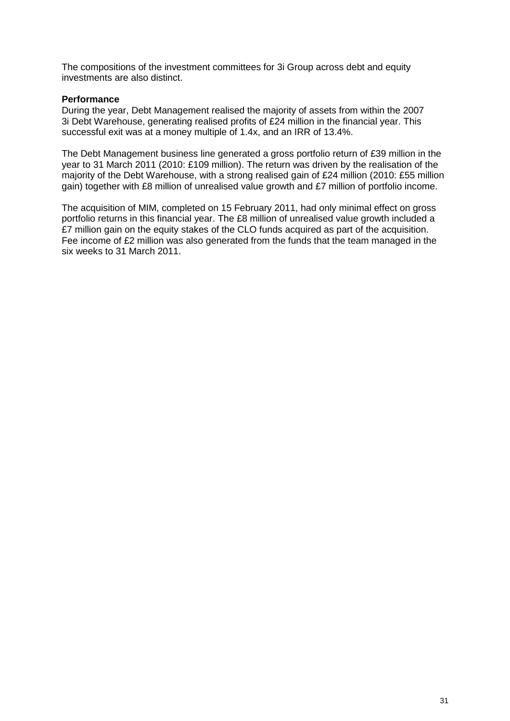The compositions of the investment committees for 3i Group across debt and equity investments are also distinct.

## **Performance**

During the year, Debt Management realised the majority of assets from within the 2007 3i Debt Warehouse, generating realised profits of £24 million in the financial year. This successful exit was at a money multiple of 1.4x, and an IRR of 13.4%.

The Debt Management business line generated a gross portfolio return of £39 million in the year to 31 March 2011 (2010: £109 million). The return was driven by the realisation of the majority of the Debt Warehouse, with a strong realised gain of £24 million (2010: £55 million gain) together with £8 million of unrealised value growth and £7 million of portfolio income.

The acquisition of MIM, completed on 15 February 2011, had only minimal effect on gross portfolio returns in this financial year. The £8 million of unrealised value growth included a £7 million gain on the equity stakes of the CLO funds acquired as part of the acquisition. Fee income of £2 million was also generated from the funds that the team managed in the six weeks to 31 March 2011.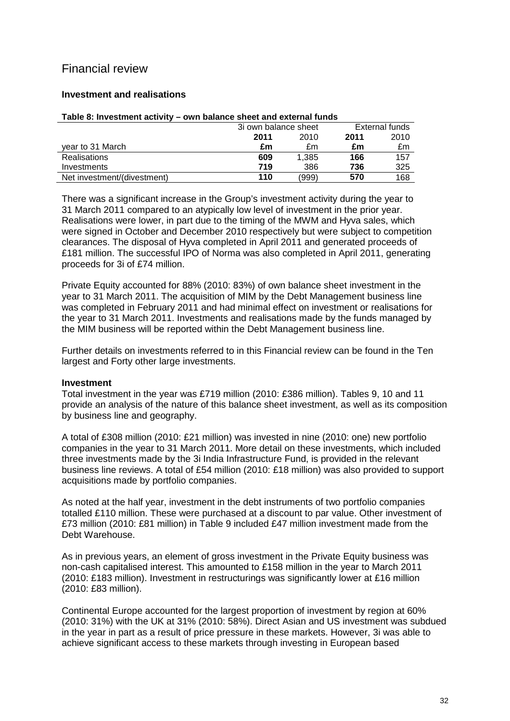# Financial review

## **Investment and realisations**

| $1$ univ vi iiivvuiliviit uvti ritt | <u>VIII MUNIVY VIIVYL UIIU VALVIIIUI IUIIUV</u> |                |      |
|-------------------------------------|-------------------------------------------------|----------------|------|
|                                     | 3i own balance sheet                            | External funds |      |
|                                     | 2010<br>2011                                    | 2011           | 2010 |
| vear to 31 March                    | £m<br>£m                                        | £m             | £m   |
| <b>Realisations</b>                 | 1.385<br>609                                    | 166            | 157  |
| Investments                         | 719<br>386                                      | 736            | 325  |
| Net investment/(divestment)         | 110<br>(999)                                    | 570            | 168  |

#### **Table 8: Investment activity – own balance sheet and external funds**

There was a significant increase in the Group's investment activity during the year to 31 March 2011 compared to an atypically low level of investment in the prior year. Realisations were lower, in part due to the timing of the MWM and Hyva sales, which were signed in October and December 2010 respectively but were subject to competition clearances. The disposal of Hyva completed in April 2011 and generated proceeds of £181 million. The successful IPO of Norma was also completed in April 2011, generating proceeds for 3i of £74 million.

Private Equity accounted for 88% (2010: 83%) of own balance sheet investment in the year to 31 March 2011. The acquisition of MIM by the Debt Management business line was completed in February 2011 and had minimal effect on investment or realisations for the year to 31 March 2011. Investments and realisations made by the funds managed by the MIM business will be reported within the Debt Management business line.

Further details on investments referred to in this Financial review can be found in the Ten largest and Forty other large investments.

## **Investment**

Total investment in the year was £719 million (2010: £386 million). Tables 9, 10 and 11 provide an analysis of the nature of this balance sheet investment, as well as its composition by business line and geography.

A total of £308 million (2010: £21 million) was invested in nine (2010: one) new portfolio companies in the year to 31 March 2011. More detail on these investments, which included three investments made by the 3i India Infrastructure Fund, is provided in the relevant business line reviews. A total of £54 million (2010: £18 million) was also provided to support acquisitions made by portfolio companies.

As noted at the half year, investment in the debt instruments of two portfolio companies totalled £110 million. These were purchased at a discount to par value. Other investment of £73 million (2010: £81 million) in Table 9 included £47 million investment made from the Debt Warehouse.

As in previous years, an element of gross investment in the Private Equity business was non-cash capitalised interest. This amounted to £158 million in the year to March 2011 (2010: £183 million). Investment in restructurings was significantly lower at £16 million (2010: £83 million).

Continental Europe accounted for the largest proportion of investment by region at 60% (2010: 31%) with the UK at 31% (2010: 58%). Direct Asian and US investment was subdued in the year in part as a result of price pressure in these markets. However, 3i was able to achieve significant access to these markets through investing in European based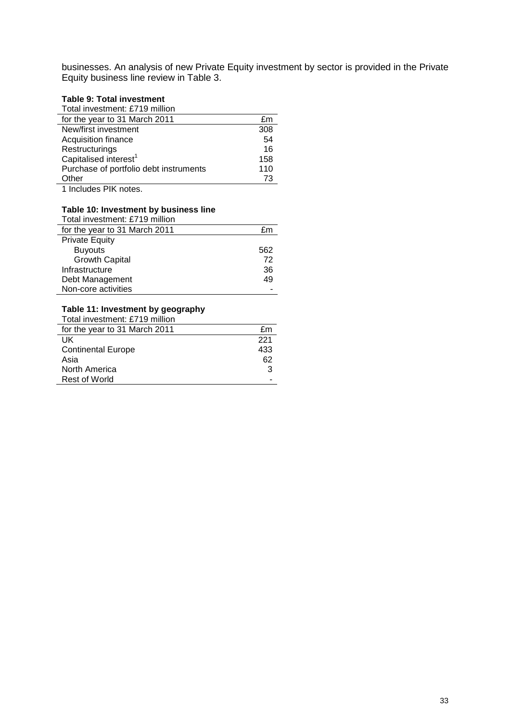businesses. An analysis of new Private Equity investment by sector is provided in the Private Equity business line review in Table 3.

## **Table 9: Total investment**

| Total investment: £719 million         |     |
|----------------------------------------|-----|
| for the year to 31 March 2011          | £m  |
| New/first investment                   | 308 |
| Acquisition finance                    | 54  |
| Restructurings                         | 16  |
| Capitalised interest <sup>1</sup>      | 158 |
| Purchase of portfolio debt instruments | 110 |
| Other                                  | 73  |
| 1 Includes PIK notes.                  |     |

#### **Table 10: Investment by business line**

| Total investment: £719 million |     |
|--------------------------------|-----|
| for the year to 31 March 2011  | fm  |
| <b>Private Equity</b>          |     |
| <b>Buyouts</b>                 | 562 |
| <b>Growth Capital</b>          | 72  |
| Infrastructure                 | 36  |
| Debt Management                | 49  |
| Non-core activities            |     |

## **Table 11: Investment by geography**

| Total investment: £719 million |     |
|--------------------------------|-----|
| for the year to 31 March 2011  | £m  |
| UK                             | 221 |
| <b>Continental Europe</b>      | 433 |
| Asia                           | 62  |
| North America                  | 3   |
| Rest of World                  |     |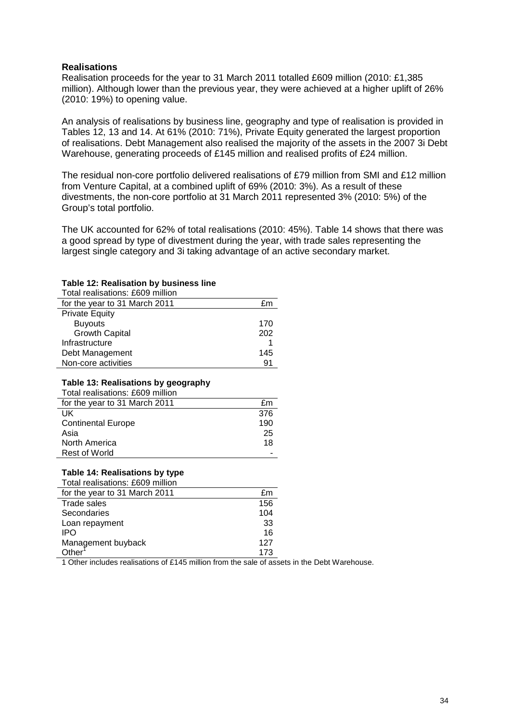### **Realisations**

Realisation proceeds for the year to 31 March 2011 totalled £609 million (2010: £1,385 million). Although lower than the previous year, they were achieved at a higher uplift of 26% (2010: 19%) to opening value.

An analysis of realisations by business line, geography and type of realisation is provided in Tables 12, 13 and 14. At 61% (2010: 71%), Private Equity generated the largest proportion of realisations. Debt Management also realised the majority of the assets in the 2007 3i Debt Warehouse, generating proceeds of £145 million and realised profits of £24 million.

The residual non-core portfolio delivered realisations of £79 million from SMI and £12 million from Venture Capital, at a combined uplift of 69% (2010: 3%). As a result of these divestments, the non-core portfolio at 31 March 2011 represented 3% (2010: 5%) of the Group's total portfolio.

The UK accounted for 62% of total realisations (2010: 45%). Table 14 shows that there was a good spread by type of divestment during the year, with trade sales representing the largest single category and 3i taking advantage of an active secondary market.

#### **Table 12: Realisation by business line**

| Total realisations: £609 million |     |
|----------------------------------|-----|
| for the year to 31 March 2011    | £m  |
| <b>Private Equity</b>            |     |
| <b>Buyouts</b>                   | 170 |
| <b>Growth Capital</b>            | 202 |
| Infrastructure                   |     |
| Debt Management                  | 145 |
| Non-core activities              | 91  |

## **Table 13: Realisations by geography**

| Total realisations: £609 million |     |
|----------------------------------|-----|
| for the year to 31 March 2011    | £m  |
| UK                               | 376 |
| <b>Continental Europe</b>        | 190 |
| Asia                             | 25  |
| North America                    | 18  |
| <b>Rest of World</b>             |     |

## **Table 14: Realisations by type**

| Total realisations: £609 million |     |
|----------------------------------|-----|
| for the year to 31 March 2011    | £m  |
| Trade sales                      | 156 |
| Secondaries                      | 104 |
| Loan repayment                   | 33  |
| IPO                              | 16  |
| Management buyback               | 127 |
| Other                            | 173 |

1 Other includes realisations of £145 million from the sale of assets in the Debt Warehouse.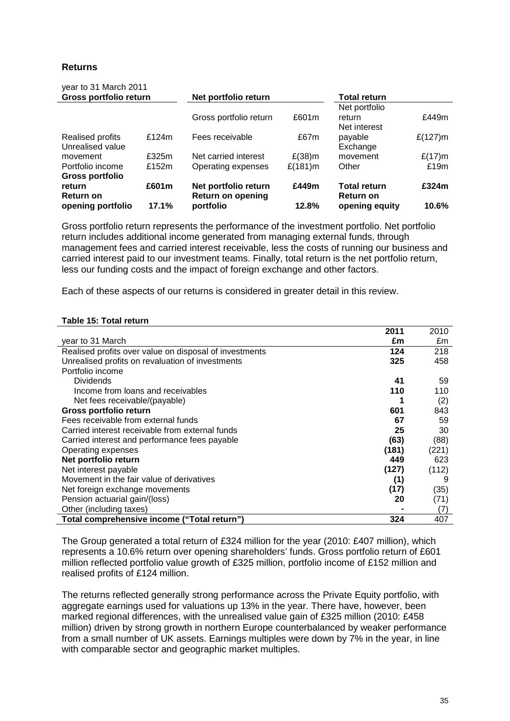## **Returns**

| year to 31 March 2011  |          | Net portfolio return   |           | <b>Total return</b> |           |
|------------------------|----------|------------------------|-----------|---------------------|-----------|
| Gross portfolio return |          |                        |           |                     |           |
|                        |          |                        |           | Net portfolio       |           |
|                        |          | Gross portfolio return | £601m     | return              | £449m     |
|                        |          |                        |           | Net interest        |           |
| Realised profits       | £124 $m$ | Fees receivable        | £67m      | payable             | £(127)m   |
| Unrealised value       |          |                        |           | Exchange            |           |
| movement               | £325m    | Net carried interest   | $E(38)$ m | movement            | $£(17)$ m |
| Portfolio income       | £152m    | Operating expenses     | £(181)m   | Other               | £19m      |
| <b>Gross portfolio</b> |          |                        |           |                     |           |
| return                 | £601m    | Net portfolio return   | £449m     | <b>Total return</b> | £324m     |
| <b>Return on</b>       |          | Return on opening      |           | Return on           |           |
| opening portfolio      | 17.1%    | portfolio              | 12.8%     | opening equity      | 10.6%     |

Gross portfolio return represents the performance of the investment portfolio. Net portfolio return includes additional income generated from managing external funds, through management fees and carried interest receivable, less the costs of running our business and carried interest paid to our investment teams. Finally, total return is the net portfolio return, less our funding costs and the impact of foreign exchange and other factors.

Each of these aspects of our returns is considered in greater detail in this review.

#### **Table 15: Total return**

|                                                        | 2011  | 2010  |
|--------------------------------------------------------|-------|-------|
| year to 31 March                                       | £m    | £m    |
| Realised profits over value on disposal of investments | 124   | 218   |
| Unrealised profits on revaluation of investments       | 325   | 458   |
| Portfolio income                                       |       |       |
| <b>Dividends</b>                                       | 41    | 59    |
| Income from loans and receivables                      | 110   | 110   |
| Net fees receivable/(payable)                          |       | (2)   |
| Gross portfolio return                                 | 601   | 843   |
| Fees receivable from external funds                    | 67    | 59    |
| Carried interest receivable from external funds        | 25    | 30    |
| Carried interest and performance fees payable          | (63)  | (88)  |
| Operating expenses                                     | (181) | (221) |
| Net portfolio return                                   | 449   | 623   |
| Net interest payable                                   | (127) | (112) |
| Movement in the fair value of derivatives              | (1)   | 9     |
| Net foreign exchange movements                         | (17)  | (35)  |
| Pension actuarial gain/(loss)                          | 20    | (71)  |
| Other (including taxes)                                |       | (7)   |
| Total comprehensive income ("Total return")            | 324   | 407   |

The Group generated a total return of £324 million for the year (2010: £407 million), which represents a 10.6% return over opening shareholders' funds. Gross portfolio return of £601 million reflected portfolio value growth of £325 million, portfolio income of £152 million and realised profits of £124 million.

The returns reflected generally strong performance across the Private Equity portfolio, with aggregate earnings used for valuations up 13% in the year. There have, however, been marked regional differences, with the unrealised value gain of £325 million (2010: £458 million) driven by strong growth in northern Europe counterbalanced by weaker performance from a small number of UK assets. Earnings multiples were down by 7% in the year, in line with comparable sector and geographic market multiples.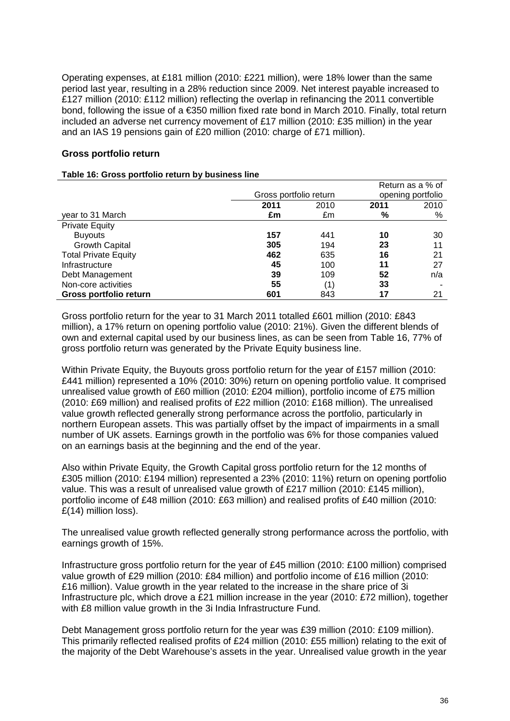Operating expenses, at £181 million (2010: £221 million), were 18% lower than the same period last year, resulting in a 28% reduction since 2009. Net interest payable increased to £127 million (2010: £112 million) reflecting the overlap in refinancing the 2011 convertible bond, following the issue of a €350 million fixed rate bond in March 2010. Finally, total return included an adverse net currency movement of £17 million (2010: £35 million) in the year and an IAS 19 pensions gain of £20 million (2010: charge of £71 million).

## **Gross portfolio return**

#### **Table 16: Gross portfolio return by business line**

|                             |                        |      |      | Return as a % of  |
|-----------------------------|------------------------|------|------|-------------------|
|                             | Gross portfolio return |      |      | opening portfolio |
|                             | 2011                   | 2010 | 2011 | 2010              |
| year to 31 March            | £m                     | £m   | %    | %                 |
| <b>Private Equity</b>       |                        |      |      |                   |
| <b>Buyouts</b>              | 157                    | 441  | 10   | 30                |
| <b>Growth Capital</b>       | 305                    | 194  | 23   | 11                |
| <b>Total Private Equity</b> | 462                    | 635  | 16   | 21                |
| Infrastructure              | 45                     | 100  | 11   | 27                |
| Debt Management             | 39                     | 109  | 52   | n/a               |
| Non-core activities         | 55                     | (1)  | 33   |                   |
| Gross portfolio return      | 601                    | 843  | 17   | 21                |

Gross portfolio return for the year to 31 March 2011 totalled £601 million (2010: £843 million), a 17% return on opening portfolio value (2010: 21%). Given the different blends of own and external capital used by our business lines, as can be seen from Table 16, 77% of gross portfolio return was generated by the Private Equity business line.

Within Private Equity, the Buyouts gross portfolio return for the year of £157 million (2010: £441 million) represented a 10% (2010: 30%) return on opening portfolio value. It comprised unrealised value growth of £60 million (2010: £204 million), portfolio income of £75 million (2010: £69 million) and realised profits of £22 million (2010: £168 million). The unrealised value growth reflected generally strong performance across the portfolio, particularly in northern European assets. This was partially offset by the impact of impairments in a small number of UK assets. Earnings growth in the portfolio was 6% for those companies valued on an earnings basis at the beginning and the end of the year.

Also within Private Equity, the Growth Capital gross portfolio return for the 12 months of £305 million (2010: £194 million) represented a 23% (2010: 11%) return on opening portfolio value. This was a result of unrealised value growth of £217 million (2010: £145 million), portfolio income of £48 million (2010: £63 million) and realised profits of £40 million (2010: £(14) million loss).

The unrealised value growth reflected generally strong performance across the portfolio, with earnings growth of 15%.

Infrastructure gross portfolio return for the year of £45 million (2010: £100 million) comprised value growth of £29 million (2010: £84 million) and portfolio income of £16 million (2010: £16 million). Value growth in the year related to the increase in the share price of 3i Infrastructure plc, which drove a £21 million increase in the year (2010: £72 million), together with £8 million value growth in the 3i India Infrastructure Fund.

Debt Management gross portfolio return for the year was £39 million (2010: £109 million). This primarily reflected realised profits of £24 million (2010: £55 million) relating to the exit of the majority of the Debt Warehouse's assets in the year. Unrealised value growth in the year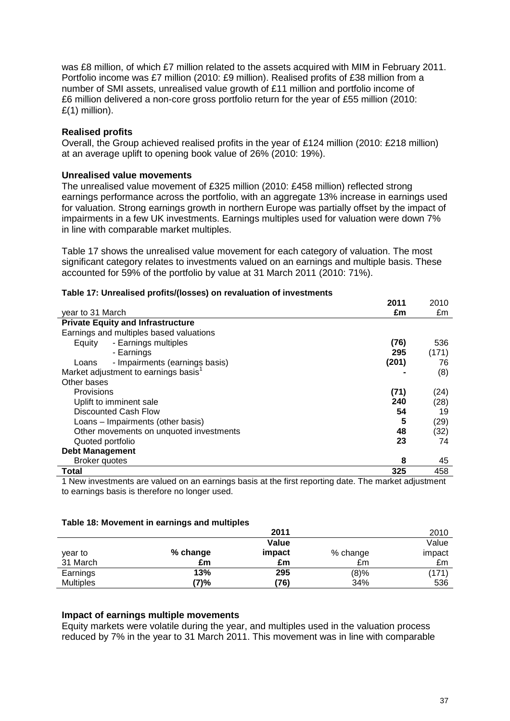was £8 million, of which £7 million related to the assets acquired with MIM in February 2011. Portfolio income was £7 million (2010: £9 million). Realised profits of £38 million from a number of SMI assets, unrealised value growth of £11 million and portfolio income of £6 million delivered a non-core gross portfolio return for the year of £55 million (2010: £(1) million).

## **Realised profits**

Overall, the Group achieved realised profits in the year of £124 million (2010: £218 million) at an average uplift to opening book value of 26% (2010: 19%).

## **Unrealised value movements**

The unrealised value movement of £325 million (2010: £458 million) reflected strong earnings performance across the portfolio, with an aggregate 13% increase in earnings used for valuation. Strong earnings growth in northern Europe was partially offset by the impact of impairments in a few UK investments. Earnings multiples used for valuation were down 7% in line with comparable market multiples.

Table 17 shows the unrealised value movement for each category of valuation. The most significant category relates to investments valued on an earnings and multiple basis. These accounted for 59% of the portfolio by value at 31 March 2011 (2010: 71%).

|                                                                                                      | 2011  | 2010  |
|------------------------------------------------------------------------------------------------------|-------|-------|
| vear to 31 March                                                                                     | £m    | £m    |
| <b>Private Equity and Infrastructure</b>                                                             |       |       |
| Earnings and multiples based valuations                                                              |       |       |
| - Earnings multiples<br>Equity                                                                       | (76)  | 536   |
| - Earnings                                                                                           | 295   | (171) |
| - Impairments (earnings basis)<br>Loans                                                              | (201) | 76    |
| Market adjustment to earnings basis <sup>1</sup>                                                     |       | (8)   |
| Other bases                                                                                          |       |       |
| Provisions                                                                                           | (71)  | (24)  |
| Uplift to imminent sale                                                                              | 240   | (28)  |
| Discounted Cash Flow                                                                                 | 54    | 19    |
| Loans - Impairments (other basis)                                                                    | 5     | (29)  |
| Other movements on unquoted investments                                                              | 48    | (32)  |
| Quoted portfolio                                                                                     | 23    | 74    |
| <b>Debt Management</b>                                                                               |       |       |
| <b>Broker quotes</b>                                                                                 | 8     | 45    |
| Total                                                                                                | 325   | 458   |
| 1 New investments are valued on an earnings basis at the first reporting date. The market adjustment |       |       |

#### **Table 17: Unrealised profits/(losses) on revaluation of investments**

1 New investments are valued on an earnings basis at the first reporting date. The market adjustment to earnings basis is therefore no longer used.

#### **Table 18: Movement in earnings and multiples**

|                  |          | 2011   |          | 2010   |
|------------------|----------|--------|----------|--------|
|                  |          | Value  |          | Value  |
| year to          | % change | impact | % change | impact |
| 31 March         | £m       | £m     | £m       | £m     |
| Earnings         | 13%      | 295    | (8)%     | (171)  |
| <b>Multiples</b> | '7)%     | (76)   | 34%      | 536    |

### **Impact of earnings multiple movements**

Equity markets were volatile during the year, and multiples used in the valuation process reduced by 7% in the year to 31 March 2011. This movement was in line with comparable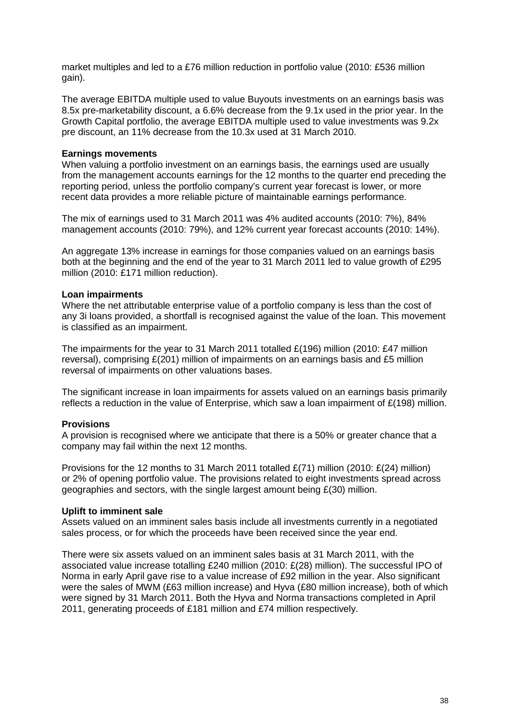market multiples and led to a £76 million reduction in portfolio value (2010: £536 million gain).

The average EBITDA multiple used to value Buyouts investments on an earnings basis was 8.5x pre-marketability discount, a 6.6% decrease from the 9.1x used in the prior year. In the Growth Capital portfolio, the average EBITDA multiple used to value investments was 9.2x pre discount, an 11% decrease from the 10.3x used at 31 March 2010.

## **Earnings movements**

When valuing a portfolio investment on an earnings basis, the earnings used are usually from the management accounts earnings for the 12 months to the quarter end preceding the reporting period, unless the portfolio company's current year forecast is lower, or more recent data provides a more reliable picture of maintainable earnings performance.

The mix of earnings used to 31 March 2011 was 4% audited accounts (2010: 7%), 84% management accounts (2010: 79%), and 12% current year forecast accounts (2010: 14%).

An aggregate 13% increase in earnings for those companies valued on an earnings basis both at the beginning and the end of the year to 31 March 2011 led to value growth of £295 million (2010: £171 million reduction).

## **Loan impairments**

Where the net attributable enterprise value of a portfolio company is less than the cost of any 3i loans provided, a shortfall is recognised against the value of the loan. This movement is classified as an impairment.

The impairments for the year to 31 March 2011 totalled £(196) million (2010: £47 million reversal), comprising £(201) million of impairments on an earnings basis and £5 million reversal of impairments on other valuations bases.

The significant increase in loan impairments for assets valued on an earnings basis primarily reflects a reduction in the value of Enterprise, which saw a loan impairment of  $E(198)$  million.

## **Provisions**

A provision is recognised where we anticipate that there is a 50% or greater chance that a company may fail within the next 12 months.

Provisions for the 12 months to 31 March 2011 totalled  $E(71)$  million (2010:  $E(24)$  million) or 2% of opening portfolio value. The provisions related to eight investments spread across geographies and sectors, with the single largest amount being  $E(30)$  million.

#### **Uplift to imminent sale**

Assets valued on an imminent sales basis include all investments currently in a negotiated sales process, or for which the proceeds have been received since the year end.

There were six assets valued on an imminent sales basis at 31 March 2011, with the associated value increase totalling £240 million (2010: £(28) million). The successful IPO of Norma in early April gave rise to a value increase of £92 million in the year. Also significant were the sales of MWM (£63 million increase) and Hyva (£80 million increase), both of which were signed by 31 March 2011. Both the Hyva and Norma transactions completed in April 2011, generating proceeds of £181 million and £74 million respectively.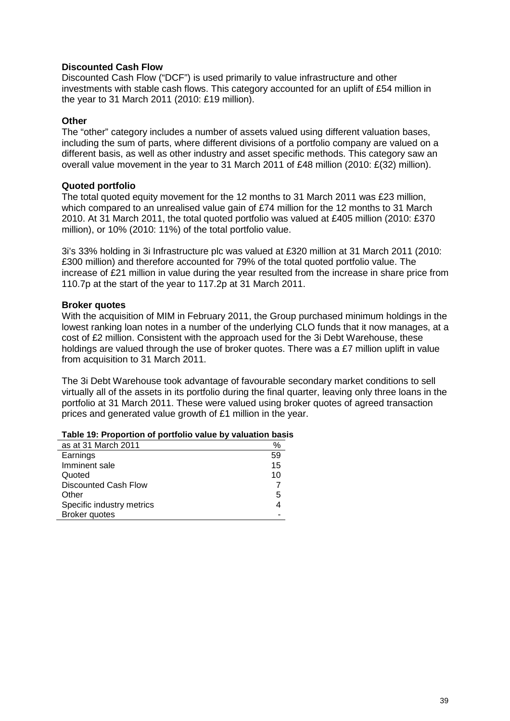## **Discounted Cash Flow**

Discounted Cash Flow ("DCF") is used primarily to value infrastructure and other investments with stable cash flows. This category accounted for an uplift of £54 million in the year to 31 March 2011 (2010: £19 million).

#### **Other**

The "other" category includes a number of assets valued using different valuation bases, including the sum of parts, where different divisions of a portfolio company are valued on a different basis, as well as other industry and asset specific methods. This category saw an overall value movement in the year to 31 March 2011 of £48 million (2010: £(32) million).

## **Quoted portfolio**

The total quoted equity movement for the 12 months to 31 March 2011 was £23 million, which compared to an unrealised value gain of £74 million for the 12 months to 31 March 2010. At 31 March 2011, the total quoted portfolio was valued at £405 million (2010: £370 million), or 10% (2010: 11%) of the total portfolio value.

3i's 33% holding in 3i Infrastructure plc was valued at £320 million at 31 March 2011 (2010: £300 million) and therefore accounted for 79% of the total quoted portfolio value. The increase of £21 million in value during the year resulted from the increase in share price from 110.7p at the start of the year to 117.2p at 31 March 2011.

## **Broker quotes**

With the acquisition of MIM in February 2011, the Group purchased minimum holdings in the lowest ranking loan notes in a number of the underlying CLO funds that it now manages, at a cost of £2 million. Consistent with the approach used for the 3i Debt Warehouse, these holdings are valued through the use of broker quotes. There was a £7 million uplift in value from acquisition to 31 March 2011.

The 3i Debt Warehouse took advantage of favourable secondary market conditions to sell virtually all of the assets in its portfolio during the final quarter, leaving only three loans in the portfolio at 31 March 2011. These were valued using broker quotes of agreed transaction prices and generated value growth of £1 million in the year.

| as at 31 March 2011         | %  |
|-----------------------------|----|
| Earnings                    | 59 |
| Imminent sale               | 15 |
| Quoted                      | 10 |
| <b>Discounted Cash Flow</b> |    |
| Other                       | 5  |
| Specific industry metrics   |    |
| <b>Broker quotes</b>        |    |

#### **Table 19: Proportion of portfolio value by valuation basis**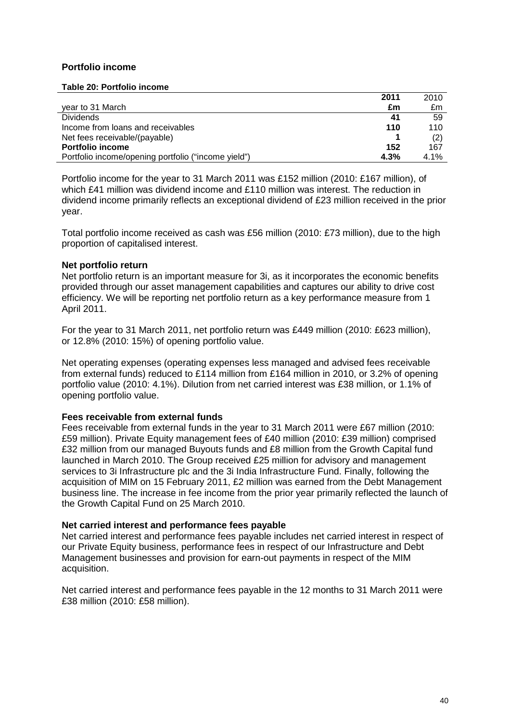## **Portfolio income**

#### **Table 20: Portfolio income**

|                                                     | 2011 | 2010 |
|-----------------------------------------------------|------|------|
| year to 31 March                                    | £m   | £m   |
| <b>Dividends</b>                                    | 41   | 59   |
| Income from loans and receivables                   | 110  | 110  |
| Net fees receivable/(payable)                       |      | (2)  |
| <b>Portfolio income</b>                             | 152  | 167  |
| Portfolio income/opening portfolio ("income yield") | 4.3% | 4.1% |

Portfolio income for the year to 31 March 2011 was £152 million (2010: £167 million), of which £41 million was dividend income and £110 million was interest. The reduction in dividend income primarily reflects an exceptional dividend of £23 million received in the prior year.

Total portfolio income received as cash was £56 million (2010: £73 million), due to the high proportion of capitalised interest.

## **Net portfolio return**

Net portfolio return is an important measure for 3i, as it incorporates the economic benefits provided through our asset management capabilities and captures our ability to drive cost efficiency. We will be reporting net portfolio return as a key performance measure from 1 April 2011.

For the year to 31 March 2011, net portfolio return was £449 million (2010: £623 million), or 12.8% (2010: 15%) of opening portfolio value.

Net operating expenses (operating expenses less managed and advised fees receivable from external funds) reduced to £114 million from £164 million in 2010, or 3.2% of opening portfolio value (2010: 4.1%). Dilution from net carried interest was £38 million, or 1.1% of opening portfolio value.

#### **Fees receivable from external funds**

Fees receivable from external funds in the year to 31 March 2011 were £67 million (2010: £59 million). Private Equity management fees of £40 million (2010: £39 million) comprised £32 million from our managed Buyouts funds and £8 million from the Growth Capital fund launched in March 2010. The Group received £25 million for advisory and management services to 3i Infrastructure plc and the 3i India Infrastructure Fund. Finally, following the acquisition of MIM on 15 February 2011, £2 million was earned from the Debt Management business line. The increase in fee income from the prior year primarily reflected the launch of the Growth Capital Fund on 25 March 2010.

#### **Net carried interest and performance fees payable**

Net carried interest and performance fees payable includes net carried interest in respect of our Private Equity business, performance fees in respect of our Infrastructure and Debt Management businesses and provision for earn-out payments in respect of the MIM acquisition.

Net carried interest and performance fees payable in the 12 months to 31 March 2011 were £38 million (2010: £58 million).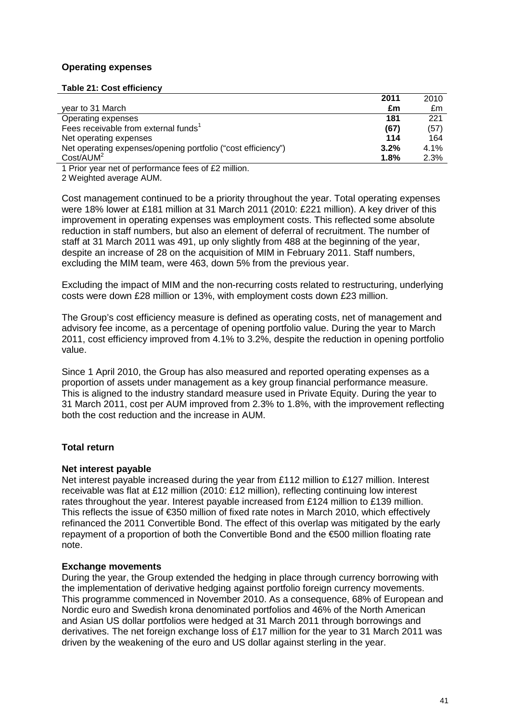## **Operating expenses**

#### **Table 21: Cost efficiency**

| 2011                                                                 | 2010 |
|----------------------------------------------------------------------|------|
| year to 31 March<br>£m                                               | £m   |
| 181<br>Operating expenses                                            | 221  |
| Fees receivable from external funds<br>(67)                          | (57) |
| 114<br>Net operating expenses                                        | 164  |
| Net operating expenses/opening portfolio ("cost efficiency")<br>3.2% | 4.1% |
| Cost/ACIM <sup>2</sup><br>1.8%                                       | 2.3% |

1 Prior year net of performance fees of £2 million.

2 Weighted average AUM.

Cost management continued to be a priority throughout the year. Total operating expenses were 18% lower at £181 million at 31 March 2011 (2010: £221 million). A key driver of this improvement in operating expenses was employment costs. This reflected some absolute reduction in staff numbers, but also an element of deferral of recruitment. The number of staff at 31 March 2011 was 491, up only slightly from 488 at the beginning of the year, despite an increase of 28 on the acquisition of MIM in February 2011. Staff numbers, excluding the MIM team, were 463, down 5% from the previous year.

Excluding the impact of MIM and the non-recurring costs related to restructuring, underlying costs were down £28 million or 13%, with employment costs down £23 million.

The Group's cost efficiency measure is defined as operating costs, net of management and advisory fee income, as a percentage of opening portfolio value. During the year to March 2011, cost efficiency improved from 4.1% to 3.2%, despite the reduction in opening portfolio value.

Since 1 April 2010, the Group has also measured and reported operating expenses as a proportion of assets under management as a key group financial performance measure. This is aligned to the industry standard measure used in Private Equity. During the year to 31 March 2011, cost per AUM improved from 2.3% to 1.8%, with the improvement reflecting both the cost reduction and the increase in AUM.

## **Total return**

#### **Net interest payable**

Net interest payable increased during the year from £112 million to £127 million. Interest receivable was flat at £12 million (2010: £12 million), reflecting continuing low interest rates throughout the year. Interest payable increased from £124 million to £139 million. This reflects the issue of €350 million of fixed rate notes in March 2010, which effectively refinanced the 2011 Convertible Bond. The effect of this overlap was mitigated by the early repayment of a proportion of both the Convertible Bond and the €500 million floating rate note.

## **Exchange movements**

During the year, the Group extended the hedging in place through currency borrowing with the implementation of derivative hedging against portfolio foreign currency movements. This programme commenced in November 2010. As a consequence, 68% of European and Nordic euro and Swedish krona denominated portfolios and 46% of the North American and Asian US dollar portfolios were hedged at 31 March 2011 through borrowings and derivatives. The net foreign exchange loss of £17 million for the year to 31 March 2011 was driven by the weakening of the euro and US dollar against sterling in the year.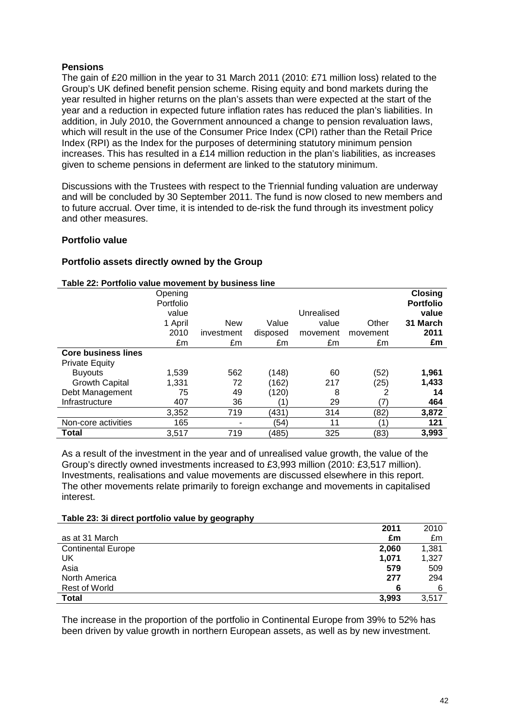## **Pensions**

The gain of £20 million in the year to 31 March 2011 (2010: £71 million loss) related to the Group's UK defined benefit pension scheme. Rising equity and bond markets during the year resulted in higher returns on the plan's assets than were expected at the start of the year and a reduction in expected future inflation rates has reduced the plan's liabilities. In addition, in July 2010, the Government announced a change to pension revaluation laws, which will result in the use of the Consumer Price Index (CPI) rather than the Retail Price Index (RPI) as the Index for the purposes of determining statutory minimum pension increases. This has resulted in a £14 million reduction in the plan's liabilities, as increases given to scheme pensions in deferment are linked to the statutory minimum.

Discussions with the Trustees with respect to the Triennial funding valuation are underway and will be concluded by 30 September 2011. The fund is now closed to new members and to future accrual. Over time, it is intended to de-risk the fund through its investment policy and other measures.

## **Portfolio value**

## **Portfolio assets directly owned by the Group**

#### **Table 22: Portfolio value movement by business line**

|                            | Opening<br>Portfolio |            |          |            |          | <b>Closing</b><br><b>Portfolio</b> |
|----------------------------|----------------------|------------|----------|------------|----------|------------------------------------|
|                            | value                |            |          | Unrealised |          | value                              |
|                            | 1 April              | <b>New</b> | Value    | value      | Other    | 31 March                           |
|                            | 2010                 | investment | disposed | movement   | movement | 2011                               |
|                            | £m                   | £m         | £m       | £m         | £m       | £m                                 |
| <b>Core business lines</b> |                      |            |          |            |          |                                    |
| <b>Private Equity</b>      |                      |            |          |            |          |                                    |
| <b>Buyouts</b>             | 1,539                | 562        | (148)    | 60         | (52)     | 1,961                              |
| <b>Growth Capital</b>      | 1,331                | 72         | (162)    | 217        | (25)     | 1,433                              |
| Debt Management            | 75                   | 49         | (120)    | 8          | 2        | 14                                 |
| Infrastructure             | 407                  | 36         |          | 29         | (7)      | 464                                |
|                            | 3,352                | 719        | (431)    | 314        | (82)     | 3,872                              |
| Non-core activities        | 165                  |            | (54)     | 11         | 1        | 121                                |
| Total                      | 3,517                | 719        | (485)    | 325        | (83)     | 3,993                              |

As a result of the investment in the year and of unrealised value growth, the value of the Group's directly owned investments increased to £3,993 million (2010: £3,517 million). Investments, realisations and value movements are discussed elsewhere in this report. The other movements relate primarily to foreign exchange and movements in capitalised interest.

#### **Table 23: 3i direct portfolio value by geography**

|                           | 2011  | 2010  |
|---------------------------|-------|-------|
| as at 31 March            | £m    | £m    |
| <b>Continental Europe</b> | 2,060 | 1,381 |
| UK                        | 1,071 | 1,327 |
| Asia                      | 579   | 509   |
| North America             | 277   | 294   |
| <b>Rest of World</b>      | 6     | 6     |
| Total                     | 3,993 | 3,517 |

The increase in the proportion of the portfolio in Continental Europe from 39% to 52% has been driven by value growth in northern European assets, as well as by new investment.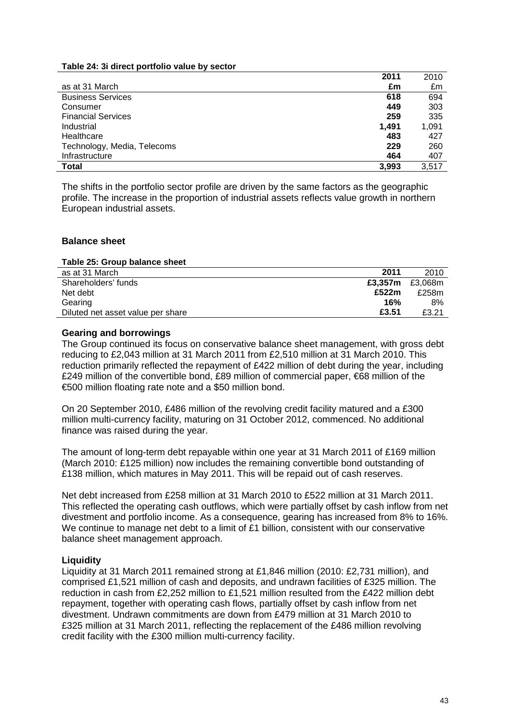#### **Table 24: 3i direct portfolio value by sector**

|                             | 2011  | 2010  |
|-----------------------------|-------|-------|
| as at 31 March              | £m    | £m    |
| <b>Business Services</b>    | 618   | 694   |
| Consumer                    | 449   | 303   |
| <b>Financial Services</b>   | 259   | 335   |
| Industrial                  | 1,491 | 1,091 |
| Healthcare                  | 483   | 427   |
| Technology, Media, Telecoms | 229   | 260   |
| Infrastructure              | 464   | 407   |
| <b>Total</b>                | 3,993 | 3,517 |

The shifts in the portfolio sector profile are driven by the same factors as the geographic profile. The increase in the proportion of industrial assets reflects value growth in northern European industrial assets.

#### **Balance sheet**

#### **Table 25: Group balance sheet**

| as at 31 March                    | 2011    | 2010    |
|-----------------------------------|---------|---------|
| Shareholders' funds               | £3.357m | £3.068m |
| Net debt                          | £522m   | £258m   |
| Gearing                           | 16%     | 8%      |
| Diluted net asset value per share | £3.51   | £3.21   |

#### **Gearing and borrowings**

The Group continued its focus on conservative balance sheet management, with gross debt reducing to £2,043 million at 31 March 2011 from £2,510 million at 31 March 2010. This reduction primarily reflected the repayment of £422 million of debt during the year, including £249 million of the convertible bond, £89 million of commercial paper, €68 million of the €500 million floating rate note and a \$50 million bond.

On 20 September 2010, £486 million of the revolving credit facility matured and a £300 million multi-currency facility, maturing on 31 October 2012, commenced. No additional finance was raised during the year.

The amount of long-term debt repayable within one year at 31 March 2011 of £169 million (March 2010: £125 million) now includes the remaining convertible bond outstanding of £138 million, which matures in May 2011. This will be repaid out of cash reserves.

Net debt increased from £258 million at 31 March 2010 to £522 million at 31 March 2011. This reflected the operating cash outflows, which were partially offset by cash inflow from net divestment and portfolio income. As a consequence, gearing has increased from 8% to 16%. We continue to manage net debt to a limit of £1 billion, consistent with our conservative balance sheet management approach.

#### **Liquidity**

Liquidity at 31 March 2011 remained strong at £1,846 million (2010: £2,731 million), and comprised £1,521 million of cash and deposits, and undrawn facilities of £325 million. The reduction in cash from £2,252 million to £1,521 million resulted from the £422 million debt repayment, together with operating cash flows, partially offset by cash inflow from net divestment. Undrawn commitments are down from £479 million at 31 March 2010 to £325 million at 31 March 2011, reflecting the replacement of the £486 million revolving credit facility with the £300 million multi-currency facility.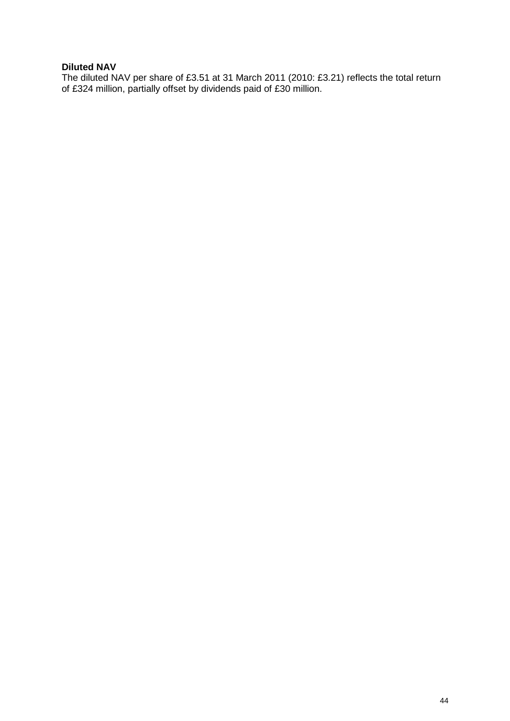## **Diluted NAV**

The diluted NAV per share of £3.51 at 31 March 2011 (2010: £3.21) reflects the total return of £324 million, partially offset by dividends paid of £30 million.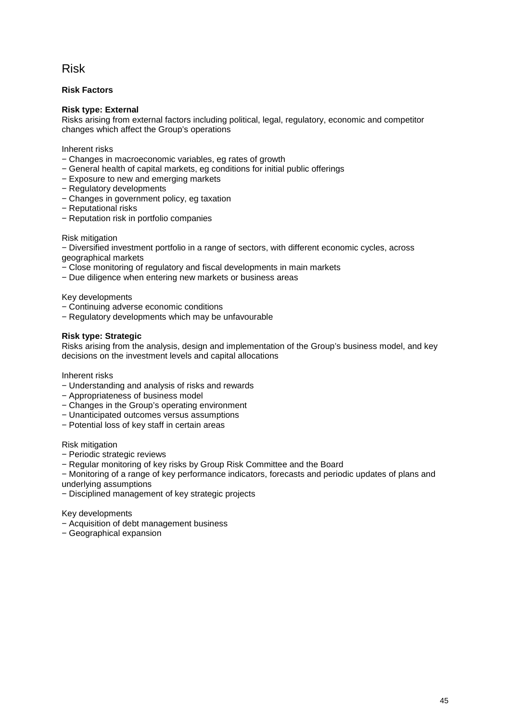## Risk

### **Risk Factors**

### **Risk type: External**

Risks arising from external factors including political, legal, regulatory, economic and competitor changes which affect the Group's operations

Inherent risks

- − Changes in macroeconomic variables, eg rates of growth
- − General health of capital markets, eg conditions for initial public offerings
- − Exposure to new and emerging markets
- − Regulatory developments
- − Changes in government policy, eg taxation
- − Reputational risks
- − Reputation risk in portfolio companies

#### Risk mitigation

− Diversified investment portfolio in a range of sectors, with different economic cycles, across geographical markets

- − Close monitoring of regulatory and fiscal developments in main markets
- − Due diligence when entering new markets or business areas

Key developments

- − Continuing adverse economic conditions
- − Regulatory developments which may be unfavourable

#### **Risk type: Strategic**

Risks arising from the analysis, design and implementation of the Group's business model, and key decisions on the investment levels and capital allocations

Inherent risks

- − Understanding and analysis of risks and rewards
- − Appropriateness of business model
- − Changes in the Group's operating environment
- − Unanticipated outcomes versus assumptions
- − Potential loss of key staff in certain areas

Risk mitigation

- − Periodic strategic reviews
- − Regular monitoring of key risks by Group Risk Committee and the Board

− Monitoring of a range of key performance indicators, forecasts and periodic updates of plans and underlying assumptions

− Disciplined management of key strategic projects

Key developments

- − Acquisition of debt management business
- − Geographical expansion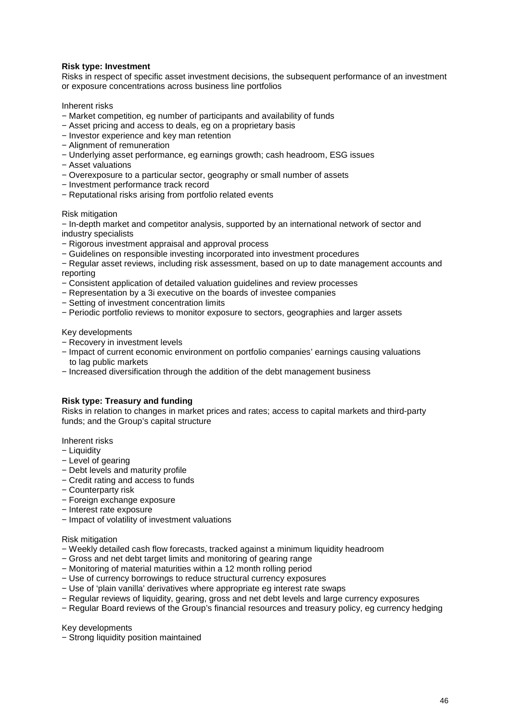#### **Risk type: Investment**

Risks in respect of specific asset investment decisions, the subsequent performance of an investment or exposure concentrations across business line portfolios

Inherent risks

- − Market competition, eg number of participants and availability of funds
- − Asset pricing and access to deals, eg on a proprietary basis
- − Investor experience and key man retention
- − Alignment of remuneration
- − Underlying asset performance, eg earnings growth; cash headroom, ESG issues
- − Asset valuations
- − Overexposure to a particular sector, geography or small number of assets
- − Investment performance track record
- − Reputational risks arising from portfolio related events

#### Risk mitigation

− In-depth market and competitor analysis, supported by an international network of sector and industry specialists

- − Rigorous investment appraisal and approval process
- − Guidelines on responsible investing incorporated into investment procedures
- − Regular asset reviews, including risk assessment, based on up to date management accounts and reporting
- − Consistent application of detailed valuation guidelines and review processes
- − Representation by a 3i executive on the boards of investee companies
- − Setting of investment concentration limits
- − Periodic portfolio reviews to monitor exposure to sectors, geographies and larger assets

Key developments

- − Recovery in investment levels
- − Impact of current economic environment on portfolio companies' earnings causing valuations to lag public markets
- − Increased diversification through the addition of the debt management business

#### **Risk type: Treasury and funding**

Risks in relation to changes in market prices and rates; access to capital markets and third-party funds; and the Group's capital structure

Inherent risks

- − Liquidity
- − Level of gearing
- − Debt levels and maturity profile
- − Credit rating and access to funds
- − Counterparty risk
- − Foreign exchange exposure
- − Interest rate exposure
- − Impact of volatility of investment valuations

Risk mitigation

- − Weekly detailed cash flow forecasts, tracked against a minimum liquidity headroom
- − Gross and net debt target limits and monitoring of gearing range
- − Monitoring of material maturities within a 12 month rolling period
- − Use of currency borrowings to reduce structural currency exposures
- − Use of 'plain vanilla' derivatives where appropriate eg interest rate swaps
- − Regular reviews of liquidity, gearing, gross and net debt levels and large currency exposures
- − Regular Board reviews of the Group's financial resources and treasury policy, eg currency hedging

Key developments

− Strong liquidity position maintained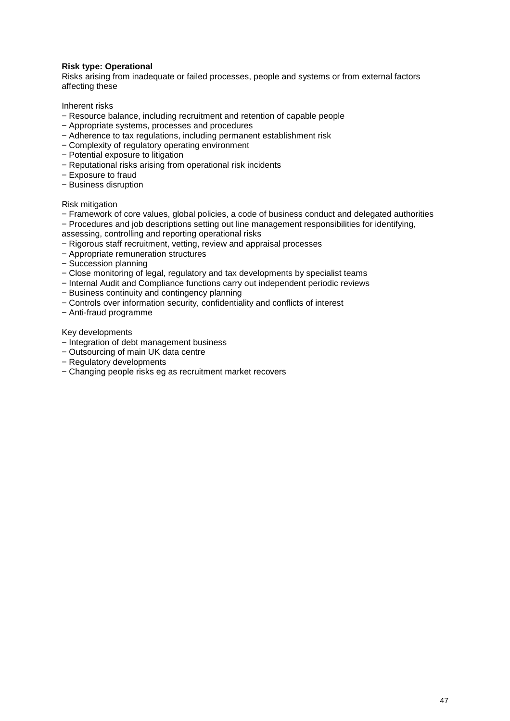### **Risk type: Operational**

Risks arising from inadequate or failed processes, people and systems or from external factors affecting these

Inherent risks

- − Resource balance, including recruitment and retention of capable people
- − Appropriate systems, processes and procedures
- − Adherence to tax regulations, including permanent establishment risk
- − Complexity of regulatory operating environment
- − Potential exposure to litigation
- − Reputational risks arising from operational risk incidents
- − Exposure to fraud
- − Business disruption

#### Risk mitigation

− Framework of core values, global policies, a code of business conduct and delegated authorities − Procedures and job descriptions setting out line management responsibilities for identifying,

- assessing, controlling and reporting operational risks
- − Rigorous staff recruitment, vetting, review and appraisal processes
- − Appropriate remuneration structures
- − Succession planning
- − Close monitoring of legal, regulatory and tax developments by specialist teams
- − Internal Audit and Compliance functions carry out independent periodic reviews
- − Business continuity and contingency planning
- − Controls over information security, confidentiality and conflicts of interest
- − Anti-fraud programme

Key developments

- − Integration of debt management business
- − Outsourcing of main UK data centre
- − Regulatory developments
- − Changing people risks eg as recruitment market recovers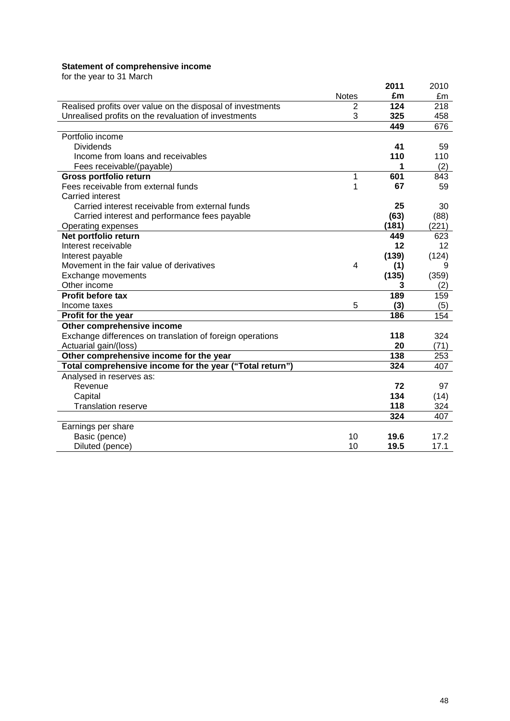#### **Statement of comprehensive income**

for the year to 31 March

| ior the your to or ividion                                 |                |       |       |
|------------------------------------------------------------|----------------|-------|-------|
|                                                            |                | 2011  | 2010  |
|                                                            | <b>Notes</b>   | £m    | £m    |
| Realised profits over value on the disposal of investments | $\overline{2}$ | 124   | 218   |
| Unrealised profits on the revaluation of investments       | 3              | 325   | 458   |
|                                                            |                | 449   | 676   |
| Portfolio income                                           |                |       |       |
| <b>Dividends</b>                                           |                | 41    | 59    |
| Income from loans and receivables                          |                | 110   | 110   |
| Fees receivable/(payable)                                  |                | 1     | (2)   |
| Gross portfolio return                                     | 1              | 601   | 843   |
| Fees receivable from external funds                        | 1              | 67    | 59    |
| Carried interest                                           |                |       |       |
| Carried interest receivable from external funds            |                | 25    | 30    |
| Carried interest and performance fees payable              |                | (63)  | (88)  |
| Operating expenses                                         |                | (181) | (221) |
| Net portfolio return                                       |                | 449   | 623   |
| Interest receivable                                        |                | 12    | 12    |
| Interest payable                                           |                | (139) | (124) |
| Movement in the fair value of derivatives                  | 4              | (1)   | 9     |
| Exchange movements                                         |                | (135) | (359) |
| Other income                                               |                | 3     | (2)   |
| Profit before tax                                          |                | 189   | 159   |
| Income taxes                                               | 5              | (3)   | (5)   |
| Profit for the year                                        |                | 186   | 154   |
| Other comprehensive income                                 |                |       |       |
| Exchange differences on translation of foreign operations  |                | 118   | 324   |
| Actuarial gain/(loss)                                      |                | 20    | (71)  |
| Other comprehensive income for the year                    |                | 138   | 253   |
| Total comprehensive income for the year ("Total return")   |                | 324   | 407   |
| Analysed in reserves as:                                   |                |       |       |
| Revenue                                                    |                | 72    | 97    |
| Capital                                                    |                | 134   | (14)  |
| <b>Translation reserve</b>                                 |                | 118   | 324   |
|                                                            |                | 324   | 407   |
| Earnings per share                                         |                |       |       |
| Basic (pence)                                              | 10             | 19.6  | 17.2  |
| Diluted (pence)                                            | 10             | 19.5  | 17.1  |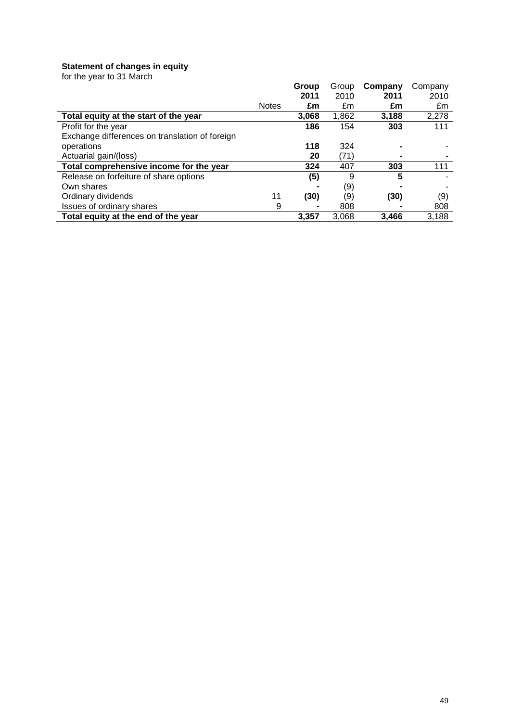#### **Statement of changes in equity**

for the year to 31 March

|                                                |              | Group | Group | Company | Company |
|------------------------------------------------|--------------|-------|-------|---------|---------|
|                                                |              | 2011  | 2010  | 2011    | 2010    |
|                                                | <b>Notes</b> | £m    | £m    | £m      | £m      |
| Total equity at the start of the year          |              | 3.068 | 1,862 | 3,188   | 2,278   |
| Profit for the year                            |              | 186   | 154   | 303     | 111     |
| Exchange differences on translation of foreign |              |       |       |         |         |
| operations                                     |              | 118   | 324   |         |         |
| Actuarial gain/(loss)                          |              | 20    | (71)  |         |         |
| Total comprehensive income for the year        |              | 324   | 407   | 303     | 111     |
| Release on forfeiture of share options         |              | (5)   | 9     | 5       |         |
| Own shares                                     |              |       | (9)   |         |         |
| Ordinary dividends                             | 11           | (30)  | (9)   | (30)    | (9)     |
| <b>Issues of ordinary shares</b>               | 9            |       | 808   |         | 808     |
| Total equity at the end of the year            |              | 3.357 | 3.068 | 3.466   | 3,188   |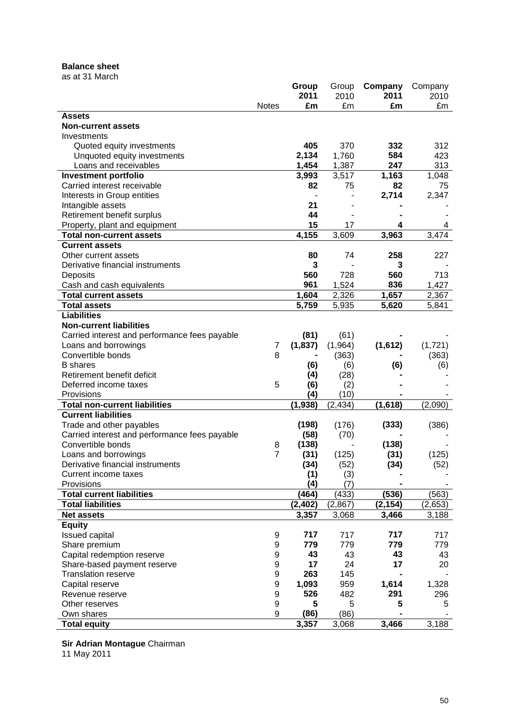## **Balance sheet**

as at 31 March

|                                                            |                  | Group    | Group          | Company  | Company     |
|------------------------------------------------------------|------------------|----------|----------------|----------|-------------|
|                                                            |                  | 2011     | 2010           | 2011     | 2010        |
|                                                            | <b>Notes</b>     | £m       | £m             | £m       | £m          |
| <b>Assets</b>                                              |                  |          |                |          |             |
| <b>Non-current assets</b>                                  |                  |          |                |          |             |
| Investments                                                |                  | 405      | 370            | 332      | 312         |
| Quoted equity investments                                  |                  | 2,134    | 1,760          | 584      | 423         |
| Unquoted equity investments<br>Loans and receivables       |                  | 1,454    |                | 247      | 313         |
|                                                            |                  | 3,993    | 1,387<br>3,517 | 1,163    |             |
| <b>Investment portfolio</b><br>Carried interest receivable |                  | 82       | 75             | 82       | 1,048<br>75 |
| Interests in Group entities                                |                  |          |                | 2,714    | 2,347       |
| Intangible assets                                          |                  | 21       |                |          |             |
| Retirement benefit surplus                                 |                  | 44       |                |          |             |
| Property, plant and equipment                              |                  | 15       | 17             | 4        | 4           |
| <b>Total non-current assets</b>                            |                  | 4,155    | 3,609          | 3,963    | 3,474       |
| <b>Current assets</b>                                      |                  |          |                |          |             |
| Other current assets                                       |                  | 80       | 74             | 258      | 227         |
| Derivative financial instruments                           |                  | 3        |                | 3        |             |
| Deposits                                                   |                  | 560      | 728            | 560      | 713         |
|                                                            |                  | 961      | 1,524          | 836      | 1,427       |
| Cash and cash equivalents<br><b>Total current assets</b>   |                  | 1,604    | 2,326          | 1,657    | 2,367       |
| <b>Total assets</b>                                        |                  | 5,759    | 5,935          | 5,620    | 5,841       |
| <b>Liabilities</b>                                         |                  |          |                |          |             |
| <b>Non-current liabilities</b>                             |                  |          |                |          |             |
| Carried interest and performance fees payable              |                  | (81)     | (61)           |          |             |
| Loans and borrowings                                       | 7                | (1, 837) | (1,964)        | (1,612)  | (1,721)     |
| Convertible bonds                                          | 8                |          | (363)          |          | (363)       |
| <b>B</b> shares                                            |                  | (6)      | (6)            | (6)      | (6)         |
| Retirement benefit deficit                                 |                  | (4)      | (28)           |          |             |
| Deferred income taxes                                      | 5                | (6)      | (2)            |          |             |
| Provisions                                                 |                  | (4)      | (10)           |          |             |
| <b>Total non-current liabilities</b>                       |                  | (1, 938) | (2, 434)       | (1,618)  | (2,090)     |
| <b>Current liabilities</b>                                 |                  |          |                |          |             |
| Trade and other payables                                   |                  | (198)    | (176)          | (333)    | (386)       |
| Carried interest and performance fees payable              |                  | (58)     | (70)           |          |             |
| Convertible bonds                                          | 8                | (138)    |                | (138)    |             |
| Loans and borrowings                                       | $\overline{7}$   | (31)     | (125)          | (31)     | (125)       |
| Derivative financial instruments                           |                  | (34)     | (52)           | (34)     | (52)        |
| Current income taxes                                       |                  | (1)      | (3)            |          |             |
| Provisions                                                 |                  | (4)      | (7)            |          |             |
| <b>Total current liabilities</b>                           |                  | (464)    | (433)          | (536)    | (563)       |
| <b>Total liabilities</b>                                   |                  | (2, 402) | (2, 867)       | (2, 154) | (2,653)     |
| <b>Net assets</b>                                          |                  | 3,357    | 3,068          | 3,466    | 3,188       |
| <b>Equity</b>                                              |                  |          |                |          |             |
| <b>Issued capital</b>                                      | 9                | 717      | 717            | 717      | 717         |
| Share premium                                              | 9                | 779      | 779            | 779      | 779         |
| Capital redemption reserve                                 | 9                | 43       | 43             | 43       | 43          |
| Share-based payment reserve                                | $\boldsymbol{9}$ | 17       | 24             | 17       | 20          |
| <b>Translation reserve</b>                                 | $\boldsymbol{9}$ | 263      | 145            |          |             |
| Capital reserve                                            | 9                | 1,093    | 959            | 1,614    | 1,328       |
| Revenue reserve                                            | 9                | 526      | 482            | 291      | 296         |
| Other reserves                                             | 9                | 5        | 5              | 5        | 5           |
| Own shares                                                 | 9                | (86)     | (86)           |          |             |
| <b>Total equity</b>                                        |                  | 3,357    | 3,068          | 3,466    | 3,188       |

**Sir Adrian Montague** Chairman

11 May 2011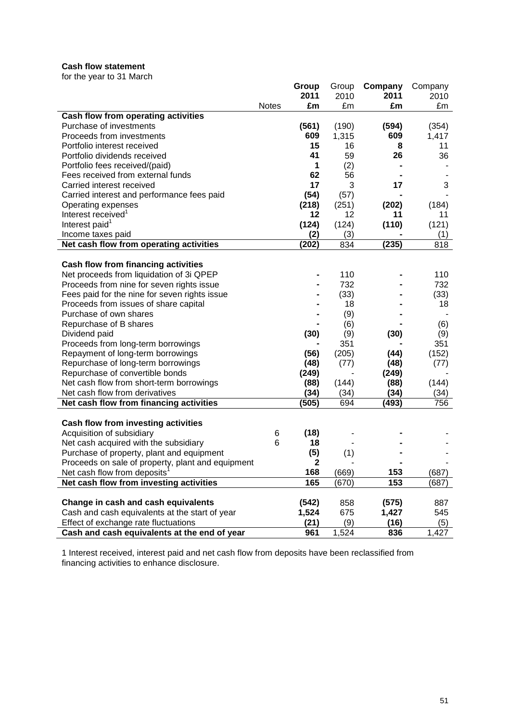## **Cash flow statement**

for the year to 31 March

|                                                   |              | Group        | Group | Company | Company |
|---------------------------------------------------|--------------|--------------|-------|---------|---------|
|                                                   |              | 2011         | 2010  | 2011    | 2010    |
|                                                   | <b>Notes</b> | £m           | £m    | £m      | £m      |
| Cash flow from operating activities               |              |              |       |         |         |
| Purchase of investments                           |              | (561)        | (190) | (594)   | (354)   |
| Proceeds from investments                         |              | 609          | 1,315 | 609     | 1,417   |
| Portfolio interest received                       |              | 15           | 16    | 8       | 11      |
| Portfolio dividends received                      |              | 41           | 59    | 26      | 36      |
| Portfolio fees received/(paid)                    |              | 1            | (2)   |         |         |
| Fees received from external funds                 |              | 62           | 56    |         |         |
| Carried interest received                         |              | 17           | 3     | 17      | 3       |
| Carried interest and performance fees paid        |              | (54)         | (57)  |         |         |
| Operating expenses                                |              | (218)        | (251) | (202)   | (184)   |
| Interest received <sup>1</sup>                    |              | 12           | 12    | 11      | 11      |
| Interest paid <sup>1</sup>                        |              | (124)        | (124) | (110)   | (121)   |
| Income taxes paid                                 |              | (2)          | (3)   |         | (1)     |
| Net cash flow from operating activities           |              | (202)        | 834   | (235)   | 818     |
|                                                   |              |              |       |         |         |
| <b>Cash flow from financing activities</b>        |              |              |       |         |         |
| Net proceeds from liquidation of 3i QPEP          |              |              | 110   |         | 110     |
| Proceeds from nine for seven rights issue         |              |              | 732   |         | 732     |
| Fees paid for the nine for seven rights issue     |              |              | (33)  |         | (33)    |
| Proceeds from issues of share capital             |              |              | 18    |         | 18      |
| Purchase of own shares                            |              |              | (9)   |         |         |
| Repurchase of B shares                            |              |              | (6)   |         | (6)     |
| Dividend paid                                     |              | (30)         | (9)   | (30)    | (9)     |
| Proceeds from long-term borrowings                |              |              | 351   |         | 351     |
| Repayment of long-term borrowings                 |              | (56)         | (205) | (44)    | (152)   |
| Repurchase of long-term borrowings                |              | (48)         | (77)  | (48)    | (77)    |
| Repurchase of convertible bonds                   |              | (249)        |       | (249)   |         |
| Net cash flow from short-term borrowings          |              | (88)         | (144) | (88)    | (144)   |
| Net cash flow from derivatives                    |              | (34)         | (34)  | (34)    | (34)    |
| Net cash flow from financing activities           |              | (505)        | 694   | (493)   | 756     |
|                                                   |              |              |       |         |         |
| Cash flow from investing activities               |              |              |       |         |         |
| Acquisition of subsidiary                         | 6            | (18)         |       |         |         |
| Net cash acquired with the subsidiary             | 6            | 18           |       |         |         |
| Purchase of property, plant and equipment         |              | (5)          | (1)   |         |         |
| Proceeds on sale of property, plant and equipment |              | $\mathbf{2}$ |       |         |         |
| Net cash flow from deposits <sup>1</sup>          |              | 168          | (669) | 153     | (687)   |
| Net cash flow from investing activities           |              | 165          | (670) | 153     | (687)   |
|                                                   |              |              |       |         |         |
| Change in cash and cash equivalents               |              | (542)        | 858   | (575)   | 887     |
| Cash and cash equivalents at the start of year    |              | 1,524        | 675   | 1,427   | 545     |
| Effect of exchange rate fluctuations              |              | (21)         | (9)   | (16)    | (5)     |
| Cash and cash equivalents at the end of year      |              | 961          | 1,524 | 836     | 1,427   |

1 Interest received, interest paid and net cash flow from deposits have been reclassified from financing activities to enhance disclosure.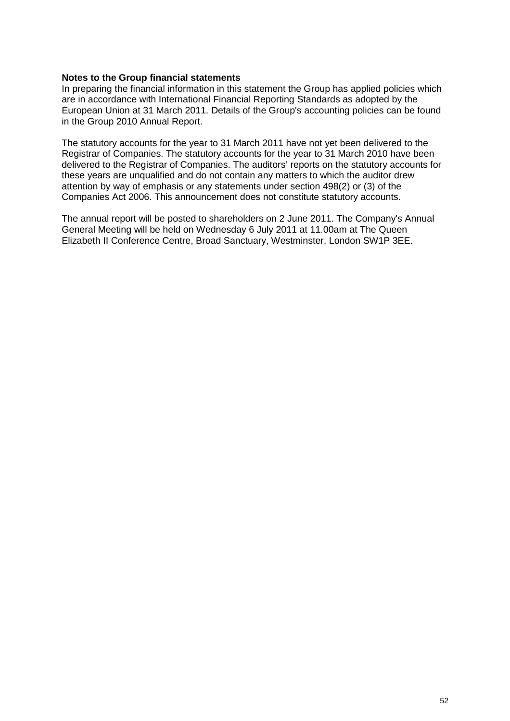### **Notes to the Group financial statements**

In preparing the financial information in this statement the Group has applied policies which are in accordance with International Financial Reporting Standards as adopted by the European Union at 31 March 2011. Details of the Group's accounting policies can be found in the Group 2010 Annual Report.

The statutory accounts for the year to 31 March 2011 have not yet been delivered to the Registrar of Companies. The statutory accounts for the year to 31 March 2010 have been delivered to the Registrar of Companies. The auditors' reports on the statutory accounts for these years are unqualified and do not contain any matters to which the auditor drew attention by way of emphasis or any statements under section 498(2) or (3) of the Companies Act 2006. This announcement does not constitute statutory accounts.

The annual report will be posted to shareholders on 2 June 2011. The Company's Annual General Meeting will be held on Wednesday 6 July 2011 at 11.00am at The Queen Elizabeth II Conference Centre, Broad Sanctuary, Westminster, London SW1P 3EE.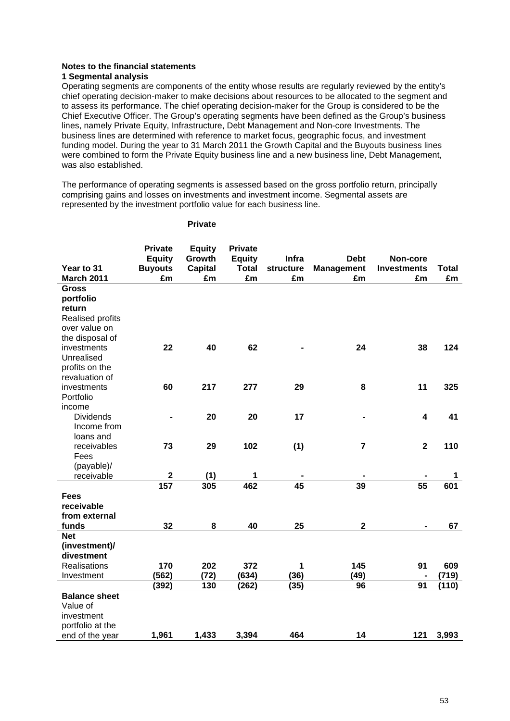#### **Notes to the financial statements 1 Segmental analysis**

Operating segments are components of the entity whose results are regularly reviewed by the entity's chief operating decision-maker to make decisions about resources to be allocated to the segment and to assess its performance. The chief operating decision-maker for the Group is considered to be the Chief Executive Officer. The Group's operating segments have been defined as the Group's business lines, namely Private Equity, Infrastructure, Debt Management and Non-core Investments. The business lines are determined with reference to market focus, geographic focus, and investment funding model. During the year to 31 March 2011 the Growth Capital and the Buyouts business lines were combined to form the Private Equity business line and a new business line, Debt Management, was also established.

The performance of operating segments is assessed based on the gross portfolio return, principally comprising gains and losses on investments and investment income. Segmental assets are represented by the investment portfolio value for each business line.

|                      | <b>Private</b> | <b>Equity</b>  | <b>Private</b> |                 |                   |                         |              |
|----------------------|----------------|----------------|----------------|-----------------|-------------------|-------------------------|--------------|
|                      | <b>Equity</b>  | Growth         | <b>Equity</b>  | Infra           | <b>Debt</b>       | Non-core                |              |
| Year to 31           | <b>Buyouts</b> | <b>Capital</b> | <b>Total</b>   | structure       | <b>Management</b> | <b>Investments</b>      | <b>Total</b> |
| <b>March 2011</b>    | £m             | £m             | £m             | £m              | £m                | £m                      | £m           |
| <b>Gross</b>         |                |                |                |                 |                   |                         |              |
| portfolio            |                |                |                |                 |                   |                         |              |
| return               |                |                |                |                 |                   |                         |              |
| Realised profits     |                |                |                |                 |                   |                         |              |
| over value on        |                |                |                |                 |                   |                         |              |
| the disposal of      |                |                |                |                 |                   |                         |              |
| investments          | 22             | 40             | 62             |                 | 24                | 38                      | 124          |
| Unrealised           |                |                |                |                 |                   |                         |              |
| profits on the       |                |                |                |                 |                   |                         |              |
| revaluation of       |                |                |                |                 |                   |                         |              |
| investments          | 60             | 217            | 277            | 29              | 8                 | 11                      | 325          |
| Portfolio            |                |                |                |                 |                   |                         |              |
| income               |                |                |                |                 |                   |                         |              |
| <b>Dividends</b>     | $\blacksquare$ | 20             | 20             | 17              |                   | $\overline{\mathbf{4}}$ | 41           |
| Income from          |                |                |                |                 |                   |                         |              |
| loans and            |                |                |                |                 |                   |                         |              |
| receivables          | 73             | 29             | 102            | (1)             | $\overline{7}$    | $\overline{\mathbf{2}}$ | 110          |
| Fees                 |                |                |                |                 |                   |                         |              |
| (payable)/           | $\mathbf 2$    |                | 1              |                 |                   |                         |              |
| receivable           | 157            | (1)<br>305     | 462            | $\overline{45}$ | 39                | $\overline{55}$         | 1<br>601     |
| <b>Fees</b>          |                |                |                |                 |                   |                         |              |
| receivable           |                |                |                |                 |                   |                         |              |
| from external        |                |                |                |                 |                   |                         |              |
| funds                | 32             | 8              | 40             | 25              | $\mathbf 2$       |                         | 67           |
| <b>Net</b>           |                |                |                |                 |                   |                         |              |
| (investment)/        |                |                |                |                 |                   |                         |              |
| divestment           |                |                |                |                 |                   |                         |              |
| Realisations         | 170            | 202            | 372            | 1               | 145               | 91                      | 609          |
| Investment           | (562)          | (72)           | (634)          | (36)            | (49)              |                         | (719)        |
|                      | (392)          | 130            | (262)          | (35)            | 96                | 91                      | (110)        |
| <b>Balance sheet</b> |                |                |                |                 |                   |                         |              |
| Value of             |                |                |                |                 |                   |                         |              |
| investment           |                |                |                |                 |                   |                         |              |
| portfolio at the     |                |                |                |                 |                   |                         |              |
| end of the year      | 1,961          | 1,433          | 3,394          | 464             | 14                | 121                     | 3,993        |

#### **Private**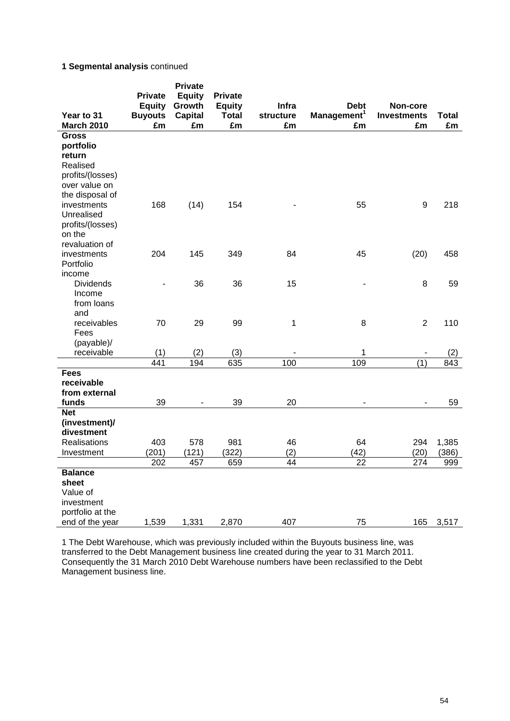## **1 Segmental analysis** continued

|                            | <b>Private</b><br><b>Equity</b> | <b>Private</b><br><b>Equity</b><br>Growth | <b>Private</b><br><b>Equity</b> | Infra     | <b>Debt</b>             | Non-core           |              |
|----------------------------|---------------------------------|-------------------------------------------|---------------------------------|-----------|-------------------------|--------------------|--------------|
| Year to 31                 | <b>Buyouts</b>                  | <b>Capital</b>                            | <b>Total</b>                    | structure | Management <sup>1</sup> | <b>Investments</b> | <b>Total</b> |
| <b>March 2010</b>          | £m                              | £m                                        | £m                              | £m        | £m                      | £m                 | £m           |
| <b>Gross</b>               |                                 |                                           |                                 |           |                         |                    |              |
| portfolio                  |                                 |                                           |                                 |           |                         |                    |              |
| return                     |                                 |                                           |                                 |           |                         |                    |              |
| Realised                   |                                 |                                           |                                 |           |                         |                    |              |
| profits/(losses)           |                                 |                                           |                                 |           |                         |                    |              |
| over value on              |                                 |                                           |                                 |           |                         |                    |              |
| the disposal of            |                                 |                                           |                                 |           |                         |                    |              |
| investments                | 168                             | (14)                                      | 154                             |           | 55                      | 9                  | 218          |
| Unrealised                 |                                 |                                           |                                 |           |                         |                    |              |
| profits/(losses)<br>on the |                                 |                                           |                                 |           |                         |                    |              |
| revaluation of             |                                 |                                           |                                 |           |                         |                    |              |
| investments                | 204                             | 145                                       | 349                             | 84        | 45                      | (20)               | 458          |
| Portfolio                  |                                 |                                           |                                 |           |                         |                    |              |
| income                     |                                 |                                           |                                 |           |                         |                    |              |
| <b>Dividends</b>           |                                 | 36                                        | 36                              | 15        |                         | 8                  | 59           |
| Income                     |                                 |                                           |                                 |           |                         |                    |              |
| from loans                 |                                 |                                           |                                 |           |                         |                    |              |
| and                        |                                 |                                           |                                 |           |                         |                    |              |
| receivables                | 70                              | 29                                        | 99                              | 1         | 8                       | $\overline{2}$     | 110          |
| Fees                       |                                 |                                           |                                 |           |                         |                    |              |
| (payable)/                 |                                 |                                           |                                 |           |                         |                    |              |
| receivable                 | (1)                             | (2)                                       | (3)                             |           | 1                       |                    | (2)          |
|                            | 441                             | 194                                       | 635                             | 100       | 109                     | (1)                | 843          |
| <b>Fees</b>                |                                 |                                           |                                 |           |                         |                    |              |
| receivable                 |                                 |                                           |                                 |           |                         |                    |              |
| from external<br>funds     | 39                              |                                           | 39                              | 20        |                         |                    | 59           |
| <b>Net</b>                 |                                 |                                           |                                 |           |                         |                    |              |
| (investment)/              |                                 |                                           |                                 |           |                         |                    |              |
| divestment                 |                                 |                                           |                                 |           |                         |                    |              |
| <b>Realisations</b>        | 403                             | 578                                       | 981                             | 46        | 64                      | 294                | 1,385        |
| Investment                 | (201)                           | (121)                                     | (322)                           | (2)       | (42)                    | (20)               | (386)        |
|                            | 202                             | 457                                       | 659                             | 44        | 22                      | 274                | 999          |
| <b>Balance</b>             |                                 |                                           |                                 |           |                         |                    |              |
| sheet                      |                                 |                                           |                                 |           |                         |                    |              |
| Value of                   |                                 |                                           |                                 |           |                         |                    |              |
| investment                 |                                 |                                           |                                 |           |                         |                    |              |
| portfolio at the           |                                 |                                           |                                 |           |                         |                    |              |
| end of the year            | 1,539                           | 1,331                                     | 2,870                           | 407       | 75                      | 165                | 3,517        |

1 The Debt Warehouse, which was previously included within the Buyouts business line, was transferred to the Debt Management business line created during the year to 31 March 2011. Consequently the 31 March 2010 Debt Warehouse numbers have been reclassified to the Debt Management business line.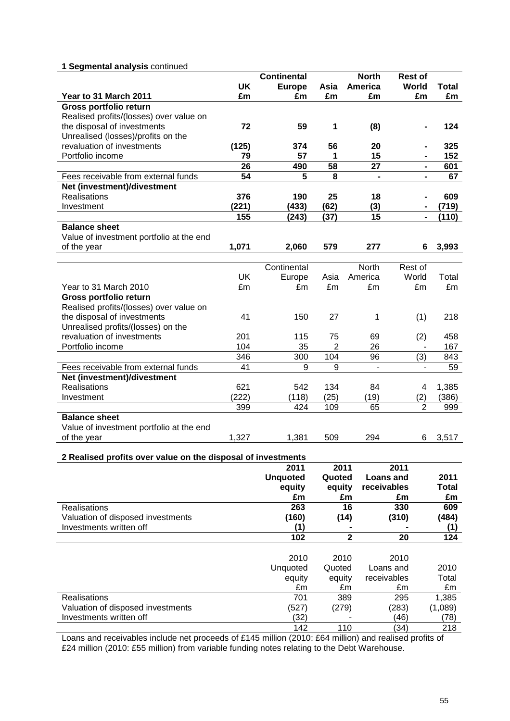## **1 Segmental analysis** continued

|                                                              |           | <b>Continental</b> |                | <b>North</b>             | Rest of                  |              |
|--------------------------------------------------------------|-----------|--------------------|----------------|--------------------------|--------------------------|--------------|
|                                                              | <b>UK</b> | <b>Europe</b>      | Asia           | America                  | World                    | <b>Total</b> |
| Year to 31 March 2011                                        | £m        | £m                 | £m             | £m                       | £m                       | £m           |
| Gross portfolio return                                       |           |                    |                |                          |                          |              |
| Realised profits/(losses) over value on                      |           |                    |                |                          |                          |              |
| the disposal of investments                                  | 72        | 59                 | 1              | (8)                      |                          | 124          |
| Unrealised (losses)/profits on the                           |           |                    |                |                          |                          |              |
| revaluation of investments                                   | (125)     | 374                | 56             | 20                       |                          | 325          |
| Portfolio income                                             | 79        | 57                 | 1              | 15                       | $\blacksquare$           | 152          |
|                                                              | 26        | 490                | 58             | 27                       | $\blacksquare$           | 601          |
| Fees receivable from external funds                          | 54        | 5                  | 8              | $\overline{\phantom{0}}$ | $\blacksquare$           | 67           |
| Net (investment)/divestment                                  |           |                    |                |                          |                          |              |
| <b>Realisations</b>                                          | 376       | 190                | 25             | 18                       | $\blacksquare$           | 609          |
| Investment                                                   | (221)     | (433)              | (62)           | (3)                      | ٠                        | (719)        |
|                                                              | 155       | (243)              | (37)           | 15                       | $\blacksquare$           | (110)        |
| <b>Balance sheet</b>                                         |           |                    |                |                          |                          |              |
| Value of investment portfolio at the end                     |           |                    |                |                          |                          |              |
| of the year                                                  | 1,071     | 2,060              | 579            | 277                      | 6                        | 3,993        |
|                                                              |           |                    |                |                          |                          |              |
|                                                              |           | Continental        |                | North                    | Rest of                  |              |
|                                                              | <b>UK</b> | Europe             | Asia           | America                  | World                    | Total        |
| Year to 31 March 2010                                        | £m        | £m                 | £m             | £m                       | £m                       | £m           |
| Gross portfolio return                                       |           |                    |                |                          |                          |              |
| Realised profits/(losses) over value on                      |           |                    |                |                          |                          |              |
| the disposal of investments                                  | 41        | 150                | 27             | 1                        | (1)                      | 218          |
| Unrealised profits/(losses) on the                           |           |                    |                |                          |                          |              |
| revaluation of investments                                   | 201       | 115                | 75             | 69                       | (2)                      | 458          |
| Portfolio income                                             | 104       | 35                 | $\overline{2}$ | 26                       |                          | 167          |
|                                                              | 346       | 300                | 104            | 96                       | (3)                      | 843          |
| Fees receivable from external funds                          | 41        | 9                  | 9              | $\blacksquare$           | $\overline{\phantom{0}}$ | 59           |
| Net (investment)/divestment                                  |           |                    |                |                          |                          |              |
| <b>Realisations</b>                                          | 621       | 542                | 134            | 84                       | 4                        | 1,385        |
| Investment                                                   | (222)     | (118)              | (25)           | (19)                     | (2)                      | (386)        |
|                                                              | 399       | 424                | 109            | 65                       | $\overline{2}$           | 999          |
| <b>Balance sheet</b>                                         |           |                    |                |                          |                          |              |
| Value of investment portfolio at the end                     |           |                    |                |                          |                          |              |
| of the year                                                  | 1,327     | 1,381              | 509            | 294                      | 6                        | 3,517        |
|                                                              |           |                    |                |                          |                          |              |
| 2 Realised profits over value on the disposal of investments |           |                    |                |                          |                          |              |
|                                                              |           | 2011               | 2011           |                          | 2011                     |              |
|                                                              |           | <b>Unquoted</b>    | Quoted         |                          | <b>Loans and</b>         | 2011         |
|                                                              |           | equity             | equity         |                          | receivables              | <b>Total</b> |
|                                                              |           | £m                 |                | £m                       | £m                       | £m           |
| <b>Realisations</b>                                          |           | 263                |                | 16                       | 330                      | 609          |
| Valuation of disposed investments                            |           | (160)              |                | (14)                     | (310)                    | (484)        |
| Investments written off                                      |           | (1)                |                |                          |                          | (1)          |
|                                                              |           | 102                |                | $\overline{\mathbf{2}}$  | 20                       | 124          |
|                                                              |           |                    |                |                          |                          |              |
|                                                              |           | 2010               | 2010           |                          | 2010                     |              |
|                                                              |           | Unquoted           | Quoted         |                          | Loans and                | 2010         |
|                                                              |           | equity             | equity         |                          | receivables              | Total        |
|                                                              |           | £m                 |                | £m                       | £m                       | £m           |
| Realisations                                                 |           | 701                |                | 389                      | 295                      | 1,385        |
| Valuation of disposed investments                            |           | (527)              | (279)          |                          | (283)                    | (1,089)      |
| Investments written off                                      |           | (32)               |                |                          | (46)                     | (78)         |
|                                                              |           | 142                |                | 110                      | (34)                     | 218          |

Loans and receivables include net proceeds of £145 million (2010: £64 million) and realised profits of £24 million (2010: £55 million) from variable funding notes relating to the Debt Warehouse.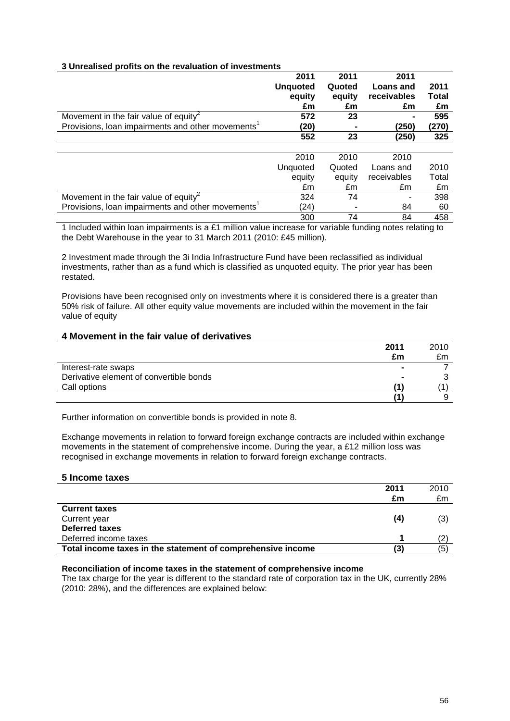### **3 Unrealised profits on the revaluation of investments**

|                                                               | 2011            | 2011   | 2011        |              |
|---------------------------------------------------------------|-----------------|--------|-------------|--------------|
|                                                               | <b>Unquoted</b> | Quoted | Loans and   | 2011         |
|                                                               | equity          | equity | receivables | <b>Total</b> |
|                                                               | £m              | £m     | £m          | £m           |
| Movement in the fair value of equity                          | 572             | 23     |             | 595          |
| Provisions, Ioan impairments and other movements <sup>1</sup> | (20)            |        | (250)       | (270)        |
|                                                               | 552             | 23     | (250)       | 325          |
|                                                               |                 |        |             |              |
|                                                               | 2010            | 2010   | 2010        |              |
|                                                               | Unquoted        | Quoted | Loans and   | 2010         |
|                                                               | equity          | equity | receivables | Total        |
|                                                               | £m              | £m     | £m          | £m           |
| Movement in the fair value of equity                          | 324             | 74     |             | 398          |
| Provisions, loan impairments and other movements <sup>1</sup> | (24)            |        | 84          | 60           |
|                                                               | 300             | 74     | 84          | 458          |

1 Included within loan impairments is a £1 million value increase for variable funding notes relating to the Debt Warehouse in the year to 31 March 2011 (2010: £45 million).

2 Investment made through the 3i India Infrastructure Fund have been reclassified as individual investments, rather than as a fund which is classified as unquoted equity. The prior year has been restated.

Provisions have been recognised only on investments where it is considered there is a greater than 50% risk of failure. All other equity value movements are included within the movement in the fair value of equity

#### **4 Movement in the fair value of derivatives**

|                                         | 2011 | 2010 |
|-----------------------------------------|------|------|
|                                         | £m   | £m   |
| Interest-rate swaps                     |      |      |
| Derivative element of convertible bonds |      |      |
| Call options                            | 11   |      |
|                                         |      |      |

Further information on convertible bonds is provided in note 8.

Exchange movements in relation to forward foreign exchange contracts are included within exchange movements in the statement of comprehensive income. During the year, a £12 million loss was recognised in exchange movements in relation to forward foreign exchange contracts.

#### **5 Income taxes**

|                                                             | 2011 | 2010 |
|-------------------------------------------------------------|------|------|
|                                                             | £m   | £m   |
| <b>Current taxes</b>                                        |      |      |
| Current year                                                | (4)  | (3)  |
| Deferred taxes                                              |      |      |
| Deferred income taxes                                       |      | (2   |
| Total income taxes in the statement of comprehensive income | (3   | (5)  |
|                                                             |      |      |

#### **Reconciliation of income taxes in the statement of comprehensive income**

The tax charge for the year is different to the standard rate of corporation tax in the UK, currently 28% (2010: 28%), and the differences are explained below: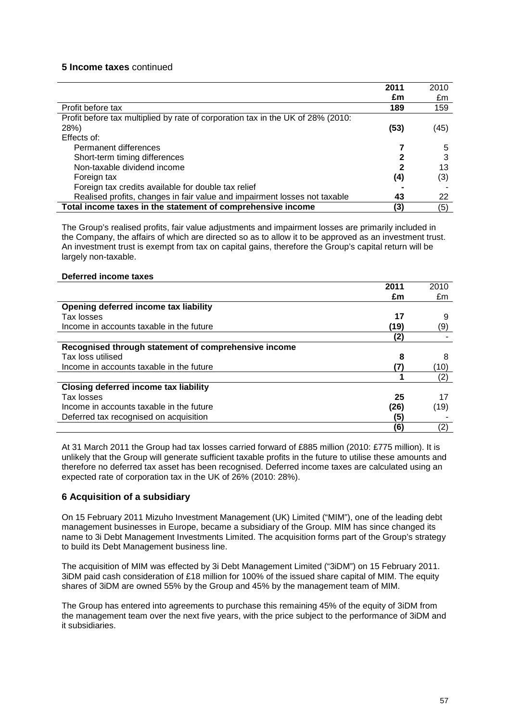## **5 Income taxes** continued

|                                                                                 | 2011 | 2010 |
|---------------------------------------------------------------------------------|------|------|
|                                                                                 | £m   | £m   |
| Profit before tax                                                               | 189  | 159  |
| Profit before tax multiplied by rate of corporation tax in the UK of 28% (2010: |      |      |
| 28%)                                                                            | (53) | (45) |
| Effects of:                                                                     |      |      |
| Permanent differences                                                           |      | 5    |
| Short-term timing differences                                                   |      | 3    |
| Non-taxable dividend income                                                     | 2    | 13   |
| Foreign tax                                                                     | (4)  | (3)  |
| Foreign tax credits available for double tax relief                             |      |      |
| Realised profits, changes in fair value and impairment losses not taxable       | 43   | 22   |
| Total income taxes in the statement of comprehensive income                     | (3)  | (5)  |

The Group's realised profits, fair value adjustments and impairment losses are primarily included in the Company, the affairs of which are directed so as to allow it to be approved as an investment trust. An investment trust is exempt from tax on capital gains, therefore the Group's capital return will be largely non-taxable.

#### **Deferred income taxes**

|                                                      | 2011 | 2010 |
|------------------------------------------------------|------|------|
|                                                      | £m   | £m   |
| Opening deferred income tax liability                |      |      |
| Tax losses                                           | 17   | 9    |
| Income in accounts taxable in the future             | (19) | (9)  |
|                                                      | (2)  |      |
| Recognised through statement of comprehensive income |      |      |
| Tax loss utilised                                    | 8    | 8    |
| Income in accounts taxable in the future             | (7)  | (10) |
|                                                      |      | (2)  |
| <b>Closing deferred income tax liability</b>         |      |      |
| Tax losses                                           | 25   | 17   |
| Income in accounts taxable in the future             | (26) | (19) |
| Deferred tax recognised on acquisition               | (5)  |      |
|                                                      | (6)  | (2)  |

At 31 March 2011 the Group had tax losses carried forward of £885 million (2010: £775 million). It is unlikely that the Group will generate sufficient taxable profits in the future to utilise these amounts and therefore no deferred tax asset has been recognised. Deferred income taxes are calculated using an expected rate of corporation tax in the UK of 26% (2010: 28%).

#### **6 Acquisition of a subsidiary**

On 15 February 2011 Mizuho Investment Management (UK) Limited ("MIM"), one of the leading debt management businesses in Europe, became a subsidiary of the Group. MIM has since changed its name to 3i Debt Management Investments Limited. The acquisition forms part of the Group's strategy to build its Debt Management business line.

The acquisition of MIM was effected by 3i Debt Management Limited ("3iDM") on 15 February 2011. 3iDM paid cash consideration of £18 million for 100% of the issued share capital of MIM. The equity shares of 3iDM are owned 55% by the Group and 45% by the management team of MIM.

The Group has entered into agreements to purchase this remaining 45% of the equity of 3iDM from the management team over the next five years, with the price subject to the performance of 3iDM and it subsidiaries.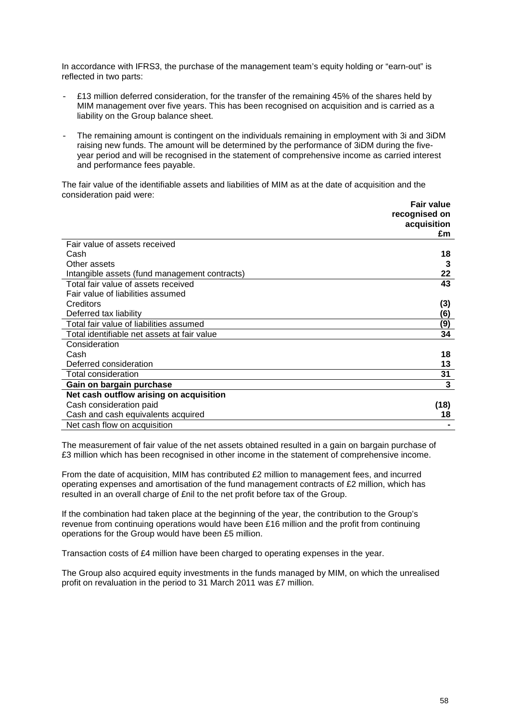In accordance with IFRS3, the purchase of the management team's equity holding or "earn-out" is reflected in two parts:

- £13 million deferred consideration, for the transfer of the remaining 45% of the shares held by MIM management over five years. This has been recognised on acquisition and is carried as a liability on the Group balance sheet.
- The remaining amount is contingent on the individuals remaining in employment with 3i and 3iDM raising new funds. The amount will be determined by the performance of 3iDM during the fiveyear period and will be recognised in the statement of comprehensive income as carried interest and performance fees payable.

The fair value of the identifiable assets and liabilities of MIM as at the date of acquisition and the consideration paid were:

|                                               | <b>Fair value</b><br>recognised on |
|-----------------------------------------------|------------------------------------|
|                                               | acquisition                        |
|                                               | £m                                 |
| Fair value of assets received                 |                                    |
| Cash                                          | 18                                 |
| Other assets                                  | 3                                  |
| Intangible assets (fund management contracts) | 22                                 |
| Total fair value of assets received           | 43                                 |
| Fair value of liabilities assumed             |                                    |
| Creditors                                     | (3)                                |
| Deferred tax liability                        | (6)                                |
| Total fair value of liabilities assumed       | (9)                                |
| Total identifiable net assets at fair value   | 34                                 |
| Consideration                                 |                                    |
| Cash                                          | 18                                 |
| Deferred consideration                        | 13                                 |
| Total consideration                           | 31                                 |
| Gain on bargain purchase                      | 3                                  |
| Net cash outflow arising on acquisition       |                                    |
| Cash consideration paid                       | (18)                               |
| Cash and cash equivalents acquired            | 18                                 |
| Net cash flow on acquisition                  |                                    |

The measurement of fair value of the net assets obtained resulted in a gain on bargain purchase of £3 million which has been recognised in other income in the statement of comprehensive income.

From the date of acquisition, MIM has contributed £2 million to management fees, and incurred operating expenses and amortisation of the fund management contracts of £2 million, which has resulted in an overall charge of £nil to the net profit before tax of the Group.

If the combination had taken place at the beginning of the year, the contribution to the Group's revenue from continuing operations would have been £16 million and the profit from continuing operations for the Group would have been £5 million.

Transaction costs of £4 million have been charged to operating expenses in the year.

The Group also acquired equity investments in the funds managed by MIM, on which the unrealised profit on revaluation in the period to 31 March 2011 was £7 million.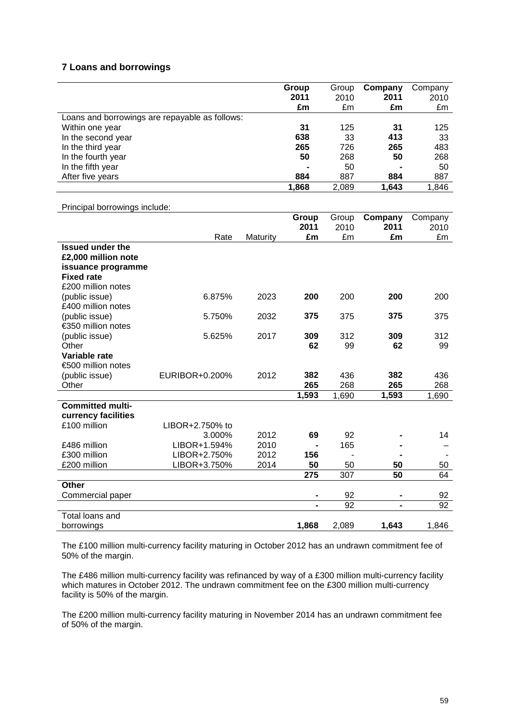## **7 Loans and borrowings**

|                                                | Group | Group | Company | Company |
|------------------------------------------------|-------|-------|---------|---------|
|                                                | 2011  | 2010  | 2011    | 2010    |
|                                                | £m    | £m    | £m      | £m      |
| Loans and borrowings are repayable as follows: |       |       |         |         |
| Within one year                                | 31    | 125   | 31      | 125     |
| In the second year                             | 638   | 33    | 413     | 33      |
| In the third year                              | 265   | 726   | 265     | 483     |
| In the fourth year                             | 50    | 268   | 50      | 268     |
| In the fifth year                              |       | 50    |         | 50      |
| After five years                               | 884   | 887   | 884     | 887     |
|                                                | 1,868 | 2,089 | 1.643   | 1,846   |

#### Principal borrowings include:

|                                      |                 |          | Group<br>2011 | Group<br>2010 | Company<br>2011 | Company<br>2010 |
|--------------------------------------|-----------------|----------|---------------|---------------|-----------------|-----------------|
|                                      | Rate            | Maturity | £m            | £m            | £m              | £m              |
| <b>Issued under the</b>              |                 |          |               |               |                 |                 |
| £2,000 million note                  |                 |          |               |               |                 |                 |
| issuance programme                   |                 |          |               |               |                 |                 |
| <b>Fixed rate</b>                    |                 |          |               |               |                 |                 |
| £200 million notes                   |                 |          |               |               |                 |                 |
| (public issue)                       | 6.875%          | 2023     | 200           | 200           | 200             | 200             |
| £400 million notes                   |                 |          |               |               |                 |                 |
| (public issue)<br>€350 million notes | 5.750%          | 2032     | 375           | 375           | 375             | 375             |
|                                      | 5.625%          | 2017     | 309           | 312           | 309             | 312             |
| (public issue)<br>Other              |                 |          | 62            | 99            | 62              | 99              |
| Variable rate                        |                 |          |               |               |                 |                 |
| €500 million notes                   |                 |          |               |               |                 |                 |
| (public issue)                       | EURIBOR+0.200%  | 2012     | 382           | 436           | 382             | 436             |
| Other                                |                 |          | 265           | 268           | 265             | 268             |
|                                      |                 |          | 1,593         | 1,690         | 1,593           | 1,690           |
| <b>Committed multi-</b>              |                 |          |               |               |                 |                 |
| currency facilities                  |                 |          |               |               |                 |                 |
| £100 million                         | LIBOR+2.750% to |          |               |               |                 |                 |
|                                      | 3.000%          | 2012     | 69            | 92            |                 | 14              |
| £486 million                         | LIBOR+1.594%    | 2010     |               | 165           |                 |                 |
| £300 million                         | LIBOR+2.750%    | 2012     | 156           |               |                 |                 |
| £200 million                         | LIBOR+3.750%    | 2014     | 50            | 50            | 50              | 50              |
|                                      |                 |          | 275           | 307           | 50              | 64              |
| Other<br>Commercial paper            |                 |          |               | 92            |                 | 92              |
|                                      |                 |          |               | 92            | $\blacksquare$  | 92              |
| Total loans and                      |                 |          |               |               |                 |                 |
| borrowings                           |                 |          | 1,868         | 2,089         | 1,643           | 1,846           |
|                                      |                 |          |               |               |                 |                 |

The £100 million multi-currency facility maturing in October 2012 has an undrawn commitment fee of 50% of the margin.

The £486 million multi-currency facility was refinanced by way of a £300 million multi-currency facility which matures in October 2012. The undrawn commitment fee on the £300 million multi-currency facility is 50% of the margin.

The £200 million multi-currency facility maturing in November 2014 has an undrawn commitment fee of 50% of the margin.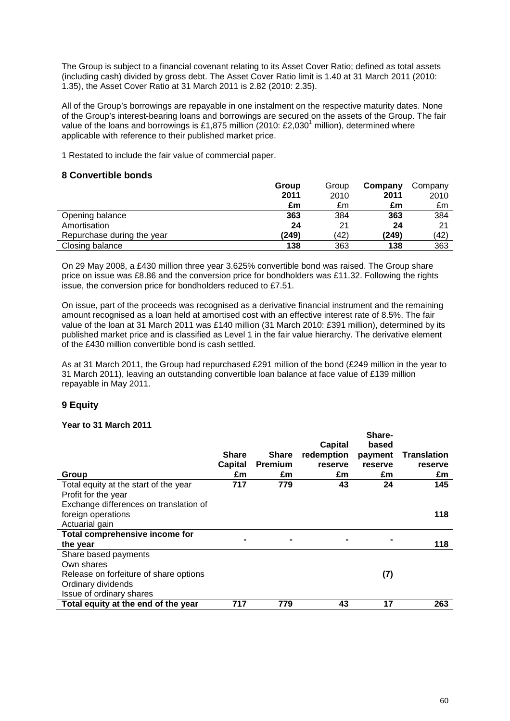The Group is subject to a financial covenant relating to its Asset Cover Ratio; defined as total assets (including cash) divided by gross debt. The Asset Cover Ratio limit is 1.40 at 31 March 2011 (2010: 1.35), the Asset Cover Ratio at 31 March 2011 is 2.82 (2010: 2.35).

All of the Group's borrowings are repayable in one instalment on the respective maturity dates. None of the Group's interest-bearing loans and borrowings are secured on the assets of the Group. The fair value of the loans and borrowings is £1,875 million (2010: £2,030<sup>1</sup> million), determined where applicable with reference to their published market price.

1 Restated to include the fair value of commercial paper.

### **8 Convertible bonds**

|                            | Group | Group | Company | Company |
|----------------------------|-------|-------|---------|---------|
|                            | 2011  | 2010  | 2011    | 2010    |
|                            | £m    | £m    | £m      | £m      |
| Opening balance            | 363   | 384   | 363     | 384     |
| Amortisation               | 24    | 21    | 24      | 21      |
| Repurchase during the year | (249) | (42)  | (249)   | (42)    |
| Closing balance            | 138   | 363   | 138     | 363     |

On 29 May 2008, a £430 million three year 3.625% convertible bond was raised. The Group share price on issue was £8.86 and the conversion price for bondholders was £11.32. Following the rights issue, the conversion price for bondholders reduced to £7.51.

On issue, part of the proceeds was recognised as a derivative financial instrument and the remaining amount recognised as a loan held at amortised cost with an effective interest rate of 8.5%. The fair value of the loan at 31 March 2011 was £140 million (31 March 2010: £391 million), determined by its published market price and is classified as Level 1 in the fair value hierarchy. The derivative element of the £430 million convertible bond is cash settled.

As at 31 March 2011, the Group had repurchased £291 million of the bond (£249 million in the year to 31 March 2011), leaving an outstanding convertible loan balance at face value of £139 million repayable in May 2011.

## **9 Equity**

#### **Year to 31 March 2011**

|                                        |                |                | <b>Capital</b> | Share-<br>based |                    |
|----------------------------------------|----------------|----------------|----------------|-----------------|--------------------|
|                                        | <b>Share</b>   | <b>Share</b>   | redemption     | payment         | <b>Translation</b> |
|                                        | <b>Capital</b> | <b>Premium</b> | reserve        | reserve         | reserve            |
| Group                                  | £m             | £m             | £m             | £m              | £m                 |
| Total equity at the start of the year  | 717            | 779            | 43             | 24              | 145                |
| Profit for the year                    |                |                |                |                 |                    |
| Exchange differences on translation of |                |                |                |                 |                    |
| foreign operations                     |                |                |                |                 | 118                |
| Actuarial gain                         |                |                |                |                 |                    |
| Total comprehensive income for         |                |                |                |                 |                    |
| the year                               |                |                |                |                 | 118                |
| Share based payments                   |                |                |                |                 |                    |
| Own shares                             |                |                |                |                 |                    |
| Release on forfeiture of share options |                |                |                | (7)             |                    |
| Ordinary dividends                     |                |                |                |                 |                    |
| Issue of ordinary shares               |                |                |                |                 |                    |
| Total equity at the end of the year    | 717            | 779            | 43             | 17              | 263                |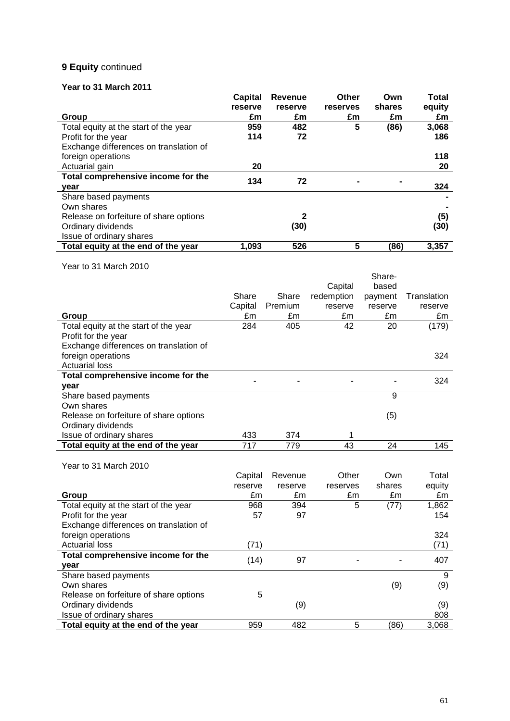## **9 Equity** continued

## **Year to 31 March 2011**

|                                        | Capital | <b>Revenue</b> | Other    | Own    | Total  |
|----------------------------------------|---------|----------------|----------|--------|--------|
|                                        | reserve | reserve        | reserves | shares | equity |
| Group                                  | £m      | £m             | £m       | £m     | £m     |
| Total equity at the start of the year  | 959     | 482            | 5        | (86)   | 3,068  |
| Profit for the year                    | 114     | 72             |          |        | 186    |
| Exchange differences on translation of |         |                |          |        |        |
| foreign operations                     |         |                |          |        | 118    |
| Actuarial gain                         | 20      |                |          |        | 20     |
| Total comprehensive income for the     | 134     | 72             |          |        |        |
| year                                   |         |                |          |        | 324    |
| Share based payments                   |         |                |          |        |        |
| Own shares                             |         |                |          |        |        |
| Release on forfeiture of share options |         | $\mathbf 2$    |          |        | (5)    |
| Ordinary dividends                     |         | (30)           |          |        | (30)   |
| Issue of ordinary shares               |         |                |          |        |        |
| Total equity at the end of the year    | 1,093   | 526            | 5        | (86)   | 3,357  |

Year to 31 March 2010

|                                        |         |         |            | Share-  |             |
|----------------------------------------|---------|---------|------------|---------|-------------|
|                                        |         |         | Capital    | based   |             |
|                                        | Share   | Share   | redemption | payment | Translation |
|                                        | Capital | Premium | reserve    | reserve | reserve     |
| Group                                  | £m      | £m      | £m         | £m      | £m          |
| Total equity at the start of the year  | 284     | 405     | 42         | 20      | (179)       |
| Profit for the year                    |         |         |            |         |             |
| Exchange differences on translation of |         |         |            |         |             |
| foreign operations                     |         |         |            |         | 324         |
| <b>Actuarial loss</b>                  |         |         |            |         |             |
| Total comprehensive income for the     |         |         |            |         | 324         |
| year                                   |         |         |            |         |             |
| Share based payments                   |         |         |            | 9       |             |
| Own shares                             |         |         |            |         |             |
| Release on forfeiture of share options |         |         |            | (5)     |             |
| Ordinary dividends                     |         |         |            |         |             |
| Issue of ordinary shares               | 433     | 374     | 1          |         |             |
| Total equity at the end of the year    | 717     | 779     | 43         | 24      | 145         |
|                                        |         |         |            |         |             |
| Year to 31 March 2010                  |         |         |            |         |             |
|                                        | Capital | Revenue | Other      | Own     | Total       |
|                                        | reserve | reserve | reserves   | shares  | equity      |
| Group                                  | £m      | £m      | £m         | £m      | £m          |
| Total equity at the start of the year  | 968     | 394     | 5          | (77)    | 1,862       |
| Profit for the year                    | 57      | 97      |            |         | 154         |
| Exchange differences on translation of |         |         |            |         | 324         |
| foreign operations                     |         |         |            |         |             |
| <b>Actuarial loss</b>                  | (71)    |         |            |         | (71)        |
| Total comprehensive income for the     | (14)    | 97      |            |         | 407         |
| year                                   |         |         |            |         |             |
| Share based payments                   |         |         |            |         | 9           |
| Own shares                             |         |         |            | (9)     | (9)         |
| Release on forfeiture of share options | 5       |         |            |         |             |
| Ordinary dividends                     |         | (9)     |            |         | (9)         |

Issue of ordinary shares 808 **Total equity at the end of the year** 959 482 5 (86) 3,068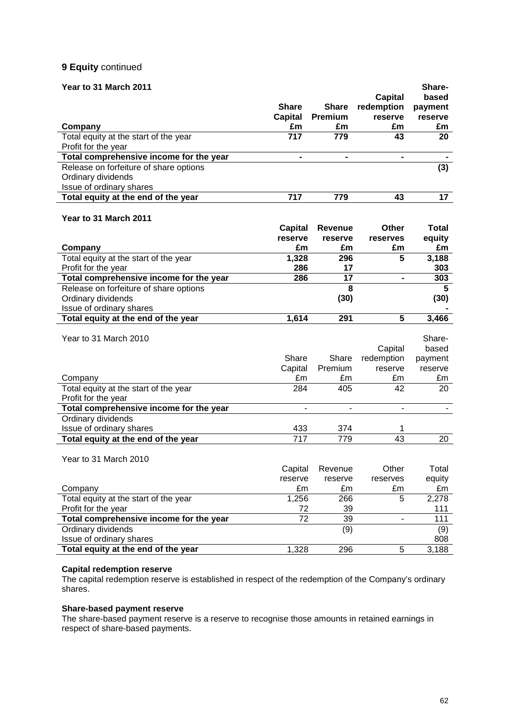## **9 Equity** continued

## **Year to 31 March 2011 Share-**

| Teal to 31 March Zuil                                          |                |                |                              | JIIdi U-        |
|----------------------------------------------------------------|----------------|----------------|------------------------------|-----------------|
|                                                                |                |                | Capital                      | based           |
|                                                                | <b>Share</b>   | <b>Share</b>   | redemption                   | payment         |
|                                                                | <b>Capital</b> | Premium        | reserve                      | reserve         |
| Company                                                        | £m             | £m             | £m                           | £m              |
| Total equity at the start of the year                          | 717            | 779            | 43                           | 20              |
| Profit for the year                                            |                |                |                              |                 |
| Total comprehensive income for the year                        | $\blacksquare$ | $\blacksquare$ | $\qquad \qquad \blacksquare$ |                 |
| Release on forfeiture of share options                         |                |                |                              | (3)             |
| Ordinary dividends                                             |                |                |                              |                 |
| Issue of ordinary shares                                       |                |                |                              |                 |
| Total equity at the end of the year                            | 717            | 779            | 43                           | 17 <sub>2</sub> |
|                                                                |                |                |                              |                 |
| Year to 31 March 2011                                          |                |                |                              |                 |
|                                                                | Capital        | <b>Revenue</b> | Other                        | <b>Total</b>    |
|                                                                | reserve        | reserve        | reserves                     | equity          |
| Company                                                        | £m             | £m             | £m                           | £m              |
| Total equity at the start of the year                          | 1,328          | 296            | 5                            | 3,188           |
| Profit for the year                                            | 286            | 17             |                              | 303             |
| Total comprehensive income for the year                        | 286            | 17             | $\blacksquare$               | 303             |
| Release on forfeiture of share options                         |                | 8              |                              | 5               |
| Ordinary dividends                                             |                | (30)           |                              | (30)            |
| Issue of ordinary shares                                       |                |                |                              |                 |
| Total equity at the end of the year                            | 1,614          | 291            | 5                            | 3,466           |
|                                                                |                |                |                              |                 |
| Year to 31 March 2010                                          |                |                |                              | Share-          |
|                                                                |                |                | Capital                      | based           |
|                                                                | Share          | Share          | redemption                   | payment         |
|                                                                | Capital        | Premium        | reserve                      | reserve         |
| Company                                                        | £m             | £m             | £m                           | £m              |
| Total equity at the start of the year                          | 284            | 405            | 42                           | 20              |
|                                                                |                |                |                              |                 |
| Profit for the year<br>Total comprehensive income for the year | $\frac{1}{2}$  | $\blacksquare$ | $\blacksquare$               |                 |
| Ordinary dividends                                             |                |                |                              |                 |
| Issue of ordinary shares                                       | 433            | 374            | 1                            |                 |
|                                                                | 717            | 779            | 43                           | 20              |
| Total equity at the end of the year                            |                |                |                              |                 |
| Year to 31 March 2010                                          |                |                |                              |                 |
|                                                                |                |                |                              |                 |
|                                                                | Capital        | Revenue        | Other                        | Total           |
|                                                                | reserve        | reserve        | reserves                     | equity          |
| Company                                                        | £m             | £m             | £m                           | £m              |
| Total equity at the start of the year                          | 1,256          | 266            | 5                            | 2,278           |
| Profit for the year                                            | 72             | 39             |                              | 111             |
| Total comprehensive income for the year                        | 72             | 39             |                              | 111             |
| Ordinary dividends                                             |                | (9)            |                              | (9)             |
| Issue of ordinary shares                                       |                |                |                              | 808             |
| Total equity at the end of the year                            | 1,328          | 296            | 5                            | 3,188           |

#### **Capital redemption reserve**

The capital redemption reserve is established in respect of the redemption of the Company's ordinary shares.

#### **Share-based payment reserve**

The share-based payment reserve is a reserve to recognise those amounts in retained earnings in respect of share-based payments.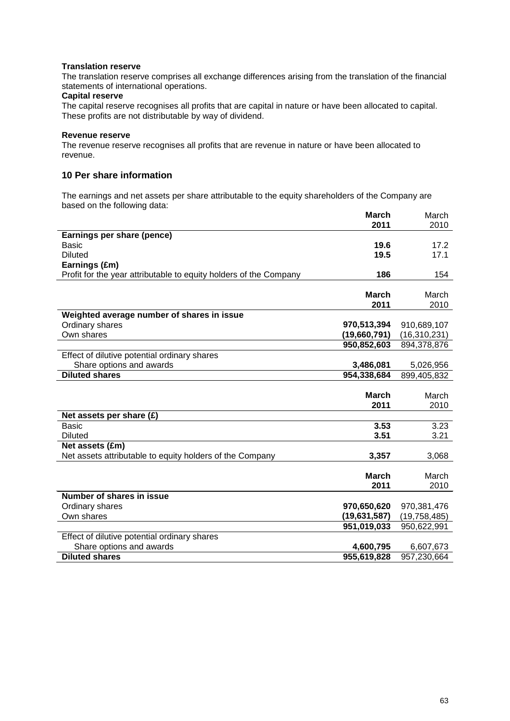#### **Translation reserve**

The translation reserve comprises all exchange differences arising from the translation of the financial statements of international operations.

#### **Capital reserve**

The capital reserve recognises all profits that are capital in nature or have been allocated to capital. These profits are not distributable by way of dividend.

#### **Revenue reserve**

The revenue reserve recognises all profits that are revenue in nature or have been allocated to revenue.

## **10 Per share information**

The earnings and net assets per share attributable to the equity shareholders of the Company are based on the following data:

|                                                                   | <b>March</b> | March          |
|-------------------------------------------------------------------|--------------|----------------|
|                                                                   | 2011         | 2010           |
| Earnings per share (pence)                                        |              |                |
| <b>Basic</b>                                                      | 19.6         | 17.2           |
| <b>Diluted</b>                                                    | 19.5         | 17.1           |
| Earnings (£m)                                                     |              |                |
| Profit for the year attributable to equity holders of the Company | 186          | 154            |
|                                                                   |              |                |
|                                                                   | <b>March</b> | March          |
|                                                                   | 2011         | 2010           |
| Weighted average number of shares in issue                        |              |                |
| Ordinary shares                                                   | 970,513,394  | 910,689,107    |
| Own shares                                                        | (19,660,791) | (16, 310, 231) |
|                                                                   | 950,852,603  | 894,378,876    |
| Effect of dilutive potential ordinary shares                      |              |                |
| Share options and awards                                          | 3,486,081    | 5,026,956      |
| <b>Diluted shares</b>                                             | 954,338,684  | 899,405,832    |
|                                                                   |              |                |
|                                                                   | <b>March</b> | March          |
|                                                                   | 2011         | 2010           |
| Net assets per share (£)                                          |              |                |
| Basic                                                             | 3.53         | 3.23           |
| <b>Diluted</b>                                                    | 3.51         | 3.21           |
| Net assets (£m)                                                   |              |                |
| Net assets attributable to equity holders of the Company          | 3,357        | 3,068          |
|                                                                   |              |                |
|                                                                   | <b>March</b> | March          |
|                                                                   | 2011         | 2010           |
| Number of shares in issue                                         |              |                |
| Ordinary shares                                                   | 970,650,620  | 970,381,476    |
| Own shares                                                        | (19,631,587) | (19, 758, 485) |
|                                                                   | 951,019,033  | 950,622,991    |
| Effect of dilutive potential ordinary shares                      |              |                |
| Share options and awards                                          | 4,600,795    | 6,607,673      |
| <b>Diluted shares</b>                                             | 955,619,828  | 957,230,664    |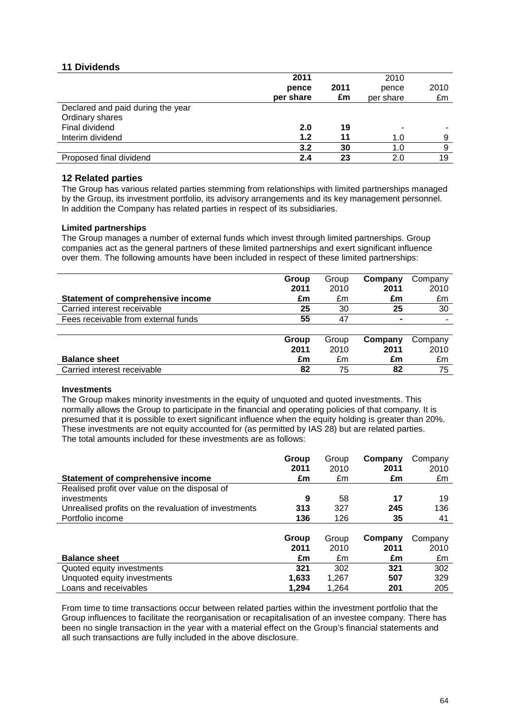## **11 Dividends**

|                                   | 2011      |      | 2010      |      |
|-----------------------------------|-----------|------|-----------|------|
|                                   | pence     | 2011 | pence     | 2010 |
|                                   | per share | £m   | per share | £m   |
| Declared and paid during the year |           |      |           |      |
| Ordinary shares                   |           |      |           |      |
| Final dividend                    | 2.0       | 19   |           |      |
| Interim dividend                  | 1.2       | 11   | 1.0       | a    |
|                                   | 3.2       | 30   | 1.0       |      |
| Proposed final dividend           | 2.4       | 23   | 2.0       | 19   |

### **12 Related parties**

The Group has various related parties stemming from relationships with limited partnerships managed by the Group, its investment portfolio, its advisory arrangements and its key management personnel. In addition the Company has related parties in respect of its subsidiaries.

#### **Limited partnerships**

The Group manages a number of external funds which invest through limited partnerships. Group companies act as the general partners of these limited partnerships and exert significant influence over them. The following amounts have been included in respect of these limited partnerships:

|                                     | Group | Group | Company        | Company |
|-------------------------------------|-------|-------|----------------|---------|
|                                     | 2011  | 2010  | 2011           | 2010    |
| Statement of comprehensive income   | £m    | £m    | £m             | £m      |
| Carried interest receivable         | 25    | 30    | 25             | 30      |
| Fees receivable from external funds | 55    | 47    | $\blacksquare$ |         |
|                                     |       |       |                |         |
|                                     | Group | Group | Company        | Company |
|                                     | 2011  | 2010  | 2011           | 2010    |
| <b>Balance sheet</b>                | £m    | £m    | £m             | £m      |

| Dalallut Silttl             | zu           | .<br>ᅬ | -111 |  |
|-----------------------------|--------------|--------|------|--|
| Carried interest receivable | $\mathbf{u}$ | --     | .    |  |

#### **Investments**

The Group makes minority investments in the equity of unquoted and quoted investments. This normally allows the Group to participate in the financial and operating policies of that company. It is presumed that it is possible to exert significant influence when the equity holding is greater than 20%. These investments are not equity accounted for (as permitted by IAS 28) but are related parties. The total amounts included for these investments are as follows:

|                                                      | Group<br>2011 | Group<br>2010 | Company<br>2011 | Company<br>2010 |
|------------------------------------------------------|---------------|---------------|-----------------|-----------------|
| Statement of comprehensive income                    | £m            | £m            | £m              | £m              |
| Realised profit over value on the disposal of        |               |               |                 |                 |
| investments                                          | 9             | 58            | 17              | 19              |
| Unrealised profits on the revaluation of investments | 313           | 327           | 245             | 136             |
| Portfolio income                                     | 136           | 126           | 35              | 41              |
|                                                      |               |               |                 |                 |
|                                                      | Group         | Group         | Company         | Company         |
|                                                      | 2011          | 2010          | 2011            | 2010            |
| <b>Balance sheet</b>                                 | £m            | £m            | £m              | £m              |
| Quoted equity investments                            | 321           | 302           | 321             | 302             |
| Unquoted equity investments                          | 1,633         | 1,267         | 507             | 329             |
| Loans and receivables                                | 1.294         | 1.264         | 201             | 205             |

From time to time transactions occur between related parties within the investment portfolio that the Group influences to facilitate the reorganisation or recapitalisation of an investee company. There has been no single transaction in the year with a material effect on the Group's financial statements and all such transactions are fully included in the above disclosure.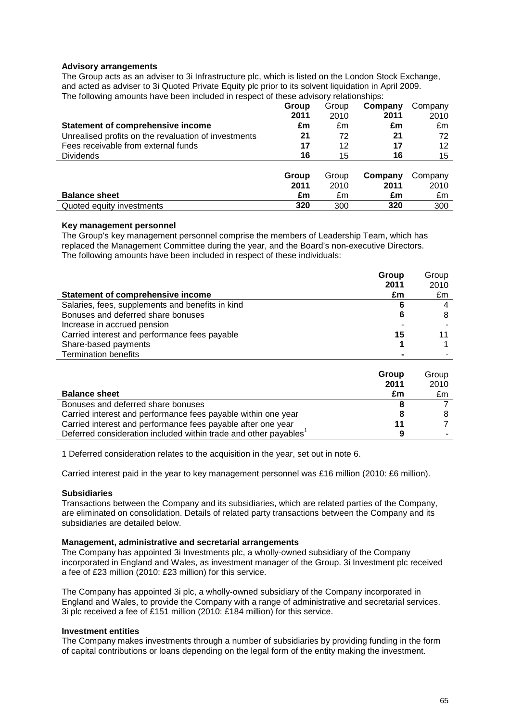#### **Advisory arrangements**

The Group acts as an adviser to 3i Infrastructure plc, which is listed on the London Stock Exchange, and acted as adviser to 3i Quoted Private Equity plc prior to its solvent liquidation in April 2009. The following amounts have been included in respect of these advisory relationships:

|                                                      | Group | Group | Company | Company |
|------------------------------------------------------|-------|-------|---------|---------|
|                                                      | 2011  | 2010  | 2011    | 2010    |
| <b>Statement of comprehensive income</b>             | £m    | £m    | £m      | £m      |
| Unrealised profits on the revaluation of investments | 21    | 72    | 21      | 72      |
| Fees receivable from external funds                  | 17    | 12    | 17      | 12      |
| <b>Dividends</b>                                     | 16    | 15    | 16      | 15      |
|                                                      |       |       |         |         |
|                                                      | Group | Group | Company | Company |
|                                                      | 2011  | 2010  | 2011    | 2010    |
| <b>Balance sheet</b>                                 | £m    | £m    | £m      | £m      |
| Quoted equity investments                            | 320   | 300   | 320     | 300     |

#### **Key management personnel**

The Group's key management personnel comprise the members of Leadership Team, which has replaced the Management Committee during the year, and the Board's non-executive Directors. The following amounts have been included in respect of these individuals:

|                                                  | Group | Group |
|--------------------------------------------------|-------|-------|
|                                                  | 2011  | 2010  |
| Statement of comprehensive income                | £m    | £m    |
| Salaries, fees, supplements and benefits in kind |       | 4     |
| Bonuses and deferred share bonuses               |       | 8     |
| Increase in accrued pension                      |       |       |
| Carried interest and performance fees payable    | 15    | 11    |
| Share-based payments                             |       |       |
| <b>Termination benefits</b>                      |       |       |

|                                                                              | Group | Group |
|------------------------------------------------------------------------------|-------|-------|
|                                                                              | 2011  | 2010  |
| <b>Balance sheet</b>                                                         | £m    | £m    |
| Bonuses and deferred share bonuses                                           |       |       |
| Carried interest and performance fees payable within one year                |       |       |
| Carried interest and performance fees payable after one year                 | 11    |       |
| Deferred consideration included within trade and other payables <sup>1</sup> | a     |       |

1 Deferred consideration relates to the acquisition in the year, set out in note 6.

Carried interest paid in the year to key management personnel was £16 million (2010: £6 million).

#### **Subsidiaries**

Transactions between the Company and its subsidiaries, which are related parties of the Company, are eliminated on consolidation. Details of related party transactions between the Company and its subsidiaries are detailed below.

#### **Management, administrative and secretarial arrangements**

The Company has appointed 3i Investments plc, a wholly-owned subsidiary of the Company incorporated in England and Wales, as investment manager of the Group. 3i Investment plc received a fee of £23 million (2010: £23 million) for this service.

The Company has appointed 3i plc, a wholly-owned subsidiary of the Company incorporated in England and Wales, to provide the Company with a range of administrative and secretarial services. 3i plc received a fee of £151 million (2010: £184 million) for this service.

#### **Investment entities**

The Company makes investments through a number of subsidiaries by providing funding in the form of capital contributions or loans depending on the legal form of the entity making the investment.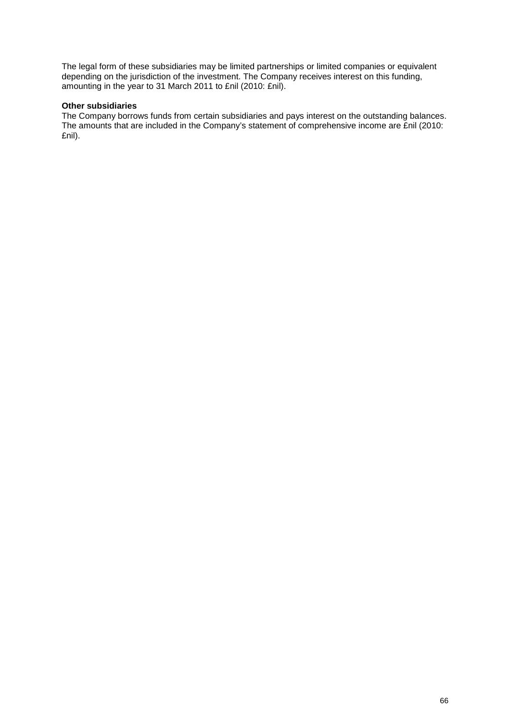The legal form of these subsidiaries may be limited partnerships or limited companies or equivalent depending on the jurisdiction of the investment. The Company receives interest on this funding, amounting in the year to 31 March 2011 to £nil (2010: £nil).

## **Other subsidiaries**

The Company borrows funds from certain subsidiaries and pays interest on the outstanding balances. The amounts that are included in the Company's statement of comprehensive income are £nil (2010: £nil).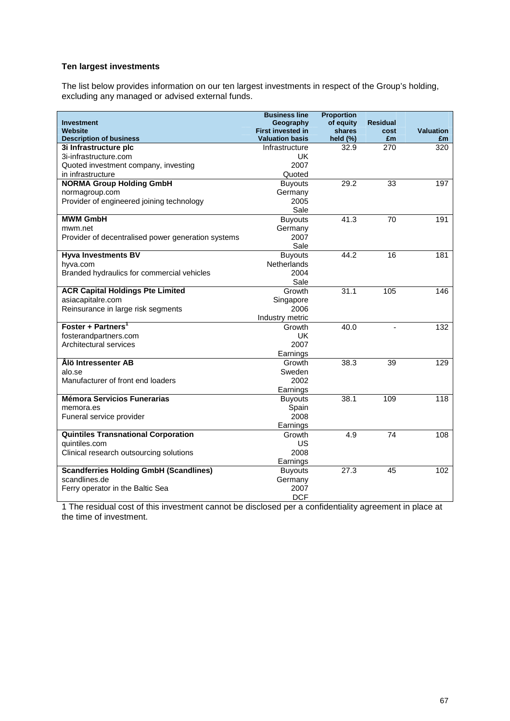## **Ten largest investments**

The list below provides information on our ten largest investments in respect of the Group's holding, excluding any managed or advised external funds.

|                                                    | <b>Business line</b>     | <b>Proportion</b> |                 |                  |
|----------------------------------------------------|--------------------------|-------------------|-----------------|------------------|
| <b>Investment</b>                                  | Geography                | of equity         | <b>Residual</b> |                  |
| Website                                            | <b>First invested in</b> | shares            | cost            | <b>Valuation</b> |
| <b>Description of business</b>                     | <b>Valuation basis</b>   | held $(\%)$       | £m              | £m               |
| 3i Infrastructure plc                              | Infrastructure           | 32.9              | 270             | 320              |
| 3i-infrastructure.com                              | UK                       |                   |                 |                  |
| Quoted investment company, investing               | 2007                     |                   |                 |                  |
| in infrastructure                                  | Quoted                   |                   |                 |                  |
| <b>NORMA Group Holding GmbH</b>                    | <b>Buyouts</b>           | 29.2              | 33              | 197              |
| normagroup.com                                     | Germany                  |                   |                 |                  |
| Provider of engineered joining technology          | 2005                     |                   |                 |                  |
|                                                    | Sale                     |                   |                 |                  |
| <b>MWM GmbH</b>                                    | <b>Buyouts</b>           | 41.3              | 70              | 191              |
| mwm.net                                            | Germany                  |                   |                 |                  |
| Provider of decentralised power generation systems | 2007                     |                   |                 |                  |
|                                                    | Sale                     |                   |                 |                  |
| <b>Hyva Investments BV</b>                         | <b>Buyouts</b>           | 44.2              | 16              | 181              |
| hyva.com                                           | Netherlands              |                   |                 |                  |
| Branded hydraulics for commercial vehicles         | 2004                     |                   |                 |                  |
|                                                    | Sale                     |                   |                 |                  |
| <b>ACR Capital Holdings Pte Limited</b>            | Growth                   | 31.1              | 105             | 146              |
| asiacapitalre.com                                  | Singapore                |                   |                 |                  |
| Reinsurance in large risk segments                 | 2006                     |                   |                 |                  |
|                                                    | Industry metric          |                   |                 |                  |
| Foster + Partners <sup>1</sup>                     | Growth                   | 40.0              |                 | 132              |
| fosterandpartners.com                              | UK                       |                   |                 |                  |
| Architectural services                             | 2007                     |                   |                 |                  |
|                                                    | Earnings                 |                   |                 |                  |
| Ålö Intressenter AB                                | Growth                   | 38.3              | 39              | 129              |
| alo.se                                             | Sweden                   |                   |                 |                  |
| Manufacturer of front end loaders                  | 2002                     |                   |                 |                  |
|                                                    | Earnings                 |                   |                 |                  |
| <b>Mémora Servicios Funerarias</b>                 | <b>Buyouts</b>           | 38.1              | 109             | $\overline{118}$ |
| memora.es                                          | Spain                    |                   |                 |                  |
| Funeral service provider                           | 2008                     |                   |                 |                  |
|                                                    | Earnings                 |                   |                 |                  |
| <b>Quintiles Transnational Corporation</b>         | Growth                   | 4.9               | 74              | 108              |
| quintiles.com                                      | US                       |                   |                 |                  |
| Clinical research outsourcing solutions            | 2008                     |                   |                 |                  |
|                                                    | Earnings                 |                   |                 |                  |
| <b>Scandferries Holding GmbH (Scandlines)</b>      | <b>Buyouts</b>           | 27.3              | 45              | 102              |
| scandlines.de                                      | Germany                  |                   |                 |                  |
| Ferry operator in the Baltic Sea                   | 2007                     |                   |                 |                  |
|                                                    | <b>DCF</b>               |                   |                 |                  |

1 The residual cost of this investment cannot be disclosed per a confidentiality agreement in place at the time of investment.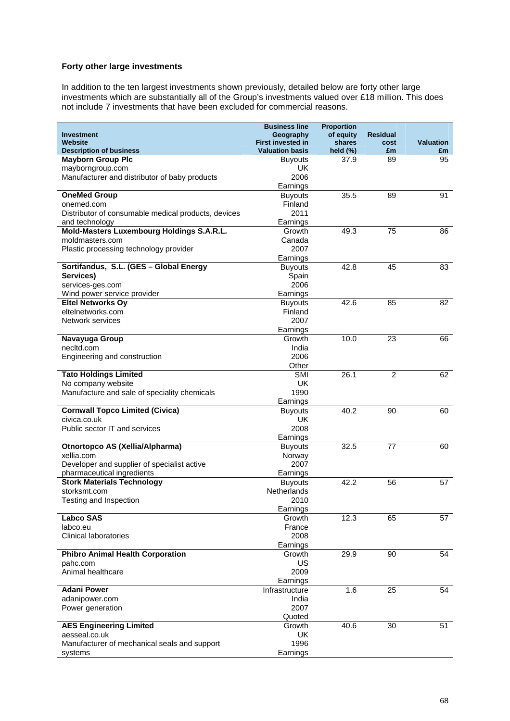## **Forty other large investments**

In addition to the ten largest investments shown previously, detailed below are forty other large investments which are substantially all of the Group's investments valued over £18 million. This does not include 7 investments that have been excluded for commercial reasons.

|                                                                           | <b>Business line</b>                  | <b>Proportion</b>   |                         |                  |
|---------------------------------------------------------------------------|---------------------------------------|---------------------|-------------------------|------------------|
| <b>Investment</b><br><b>Website</b>                                       | Geography<br><b>First invested in</b> | of equity<br>shares | <b>Residual</b><br>cost | <b>Valuation</b> |
| <b>Description of business</b>                                            | <b>Valuation basis</b>                | held $(\%)$         | £m                      | £m               |
| <b>Mayborn Group Plc</b>                                                  | <b>Buyouts</b>                        | 37.9                | 89                      | 95               |
| mayborngroup.com                                                          | <b>UK</b>                             |                     |                         |                  |
| Manufacturer and distributor of baby products                             | 2006                                  |                     |                         |                  |
|                                                                           | Earnings                              |                     |                         |                  |
| <b>OneMed Group</b>                                                       | <b>Buyouts</b>                        | 35.5                | 89                      | 91               |
| onemed.com                                                                | Finland                               |                     |                         |                  |
| Distributor of consumable medical products, devices                       | 2011                                  |                     |                         |                  |
| and technology<br>Mold-Masters Luxembourg Holdings S.A.R.L.               | Earnings<br>Growth                    | 49.3                | 75                      |                  |
| moldmasters.com                                                           | Canada                                |                     |                         | 86               |
| Plastic processing technology provider                                    | 2007                                  |                     |                         |                  |
|                                                                           | Earnings                              |                     |                         |                  |
| Sortifandus, S.L. (GES - Global Energy                                    | <b>Buyouts</b>                        | 42.8                | 45                      | 83               |
| Services)                                                                 | Spain                                 |                     |                         |                  |
| services-ges.com                                                          | 2006                                  |                     |                         |                  |
| Wind power service provider                                               | Earnings                              |                     |                         |                  |
| <b>Eltel Networks Oy</b>                                                  | <b>Buyouts</b>                        | 42.6                | 85                      | 82               |
| eltelnetworks.com                                                         | Finland                               |                     |                         |                  |
| Network services                                                          | 2007                                  |                     |                         |                  |
|                                                                           | Earnings                              |                     |                         |                  |
| Navayuga Group                                                            | Growth<br>India                       | 10.0                | 23                      | 66               |
| necltd.com<br>Engineering and construction                                | 2006                                  |                     |                         |                  |
|                                                                           | Other                                 |                     |                         |                  |
| <b>Tato Holdings Limited</b>                                              | <b>SMI</b>                            | 26.1                | 2                       | 62               |
| No company website                                                        | <b>UK</b>                             |                     |                         |                  |
| Manufacture and sale of speciality chemicals                              | 1990                                  |                     |                         |                  |
|                                                                           | Earnings                              |                     |                         |                  |
| <b>Cornwall Topco Limited (Civica)</b>                                    | <b>Buyouts</b>                        | 40.2                | 90                      | 60               |
| civica.co.uk                                                              | <b>UK</b>                             |                     |                         |                  |
| Public sector IT and services                                             | 2008                                  |                     |                         |                  |
|                                                                           | Earnings                              |                     |                         |                  |
| Otnortopco AS (Xellia/Alpharma)                                           | <b>Buyouts</b>                        | 32.5                | 77                      | 60               |
| xellia.com                                                                | Norway                                |                     |                         |                  |
| Developer and supplier of specialist active<br>pharmaceutical ingredients | 2007<br>Earnings                      |                     |                         |                  |
| <b>Stork Materials Technology</b>                                         | <b>Buyouts</b>                        | 42.2                | 56                      | 57               |
| storksmt.com                                                              | Netherlands                           |                     |                         |                  |
| Testing and Inspection                                                    | 2010                                  |                     |                         |                  |
|                                                                           | Earnings                              |                     |                         |                  |
| <b>Labco SAS</b>                                                          | Growth                                | 12.3                | 65                      | 57               |
| labco.eu                                                                  | France                                |                     |                         |                  |
| <b>Clinical laboratories</b>                                              | 2008                                  |                     |                         |                  |
|                                                                           | Earnings                              |                     |                         |                  |
| <b>Phibro Animal Health Corporation</b>                                   | Growth                                | 29.9                | 90                      | 54               |
| pahc.com<br>Animal healthcare                                             | US<br>2009                            |                     |                         |                  |
|                                                                           | Earnings                              |                     |                         |                  |
| <b>Adani Power</b>                                                        | Infrastructure                        | 1.6                 | 25                      | 54               |
| adanipower.com                                                            | India                                 |                     |                         |                  |
| Power generation                                                          | 2007                                  |                     |                         |                  |
|                                                                           | Quoted                                |                     |                         |                  |
| <b>AES Engineering Limited</b>                                            | Growth                                | 40.6                | 30                      | 51               |
| aesseal.co.uk                                                             | UK                                    |                     |                         |                  |
| Manufacturer of mechanical seals and support                              | 1996                                  |                     |                         |                  |
| systems                                                                   | Earnings                              |                     |                         |                  |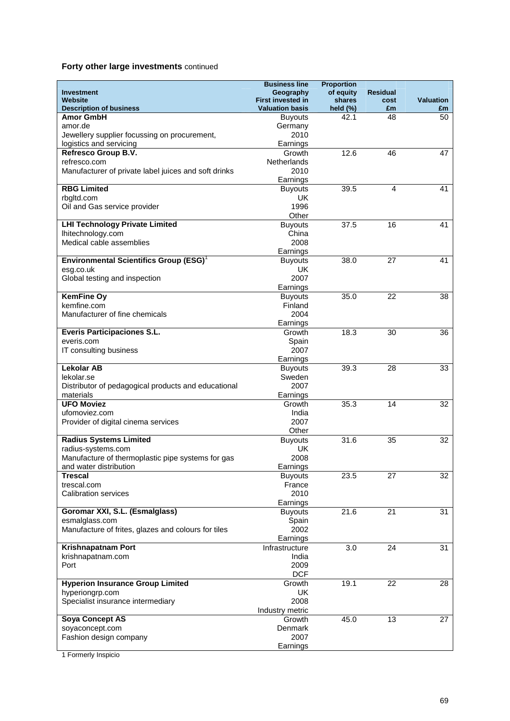## **Forty other large investments** continued

|                                                                         | <b>Business line</b>                  | <b>Proportion</b>   |                         |                  |
|-------------------------------------------------------------------------|---------------------------------------|---------------------|-------------------------|------------------|
| <b>Investment</b><br>Website                                            | Geography<br><b>First invested in</b> | of equity<br>shares | <b>Residual</b><br>cost | <b>Valuation</b> |
| <b>Description of business</b>                                          | <b>Valuation basis</b>                | held $(\%)$         | £m                      | £m               |
| <b>Amor GmbH</b>                                                        | <b>Buyouts</b>                        | 42.1                | 48                      | 50               |
| amor.de                                                                 | Germany                               |                     |                         |                  |
| Jewellery supplier focussing on procurement,                            | 2010                                  |                     |                         |                  |
| logistics and servicing<br>Refresco Group B.V.                          | Earnings<br>Growth                    | 12.6                | 46                      | 47               |
| refresco.com                                                            | Netherlands                           |                     |                         |                  |
| Manufacturer of private label juices and soft drinks                    | 2010                                  |                     |                         |                  |
|                                                                         | Earnings                              |                     |                         |                  |
| <b>RBG Limited</b>                                                      | <b>Buyouts</b>                        | 39.5                | 4                       | 41               |
| rbgltd.com                                                              | UK                                    |                     |                         |                  |
| Oil and Gas service provider                                            | 1996<br>Other                         |                     |                         |                  |
| <b>LHI Technology Private Limited</b>                                   | <b>Buyouts</b>                        | 37.5                | 16                      | 41               |
| Ihitechnology.com                                                       | China                                 |                     |                         |                  |
| Medical cable assemblies                                                | 2008                                  |                     |                         |                  |
|                                                                         | Earnings                              |                     |                         |                  |
| <b>Environmental Scientifics Group (ESG)</b> <sup>1</sup>               | <b>Buyouts</b>                        | 38.0                | 27                      | 41               |
| esg.co.uk<br>Global testing and inspection                              | UK<br>2007                            |                     |                         |                  |
|                                                                         | Earnings                              |                     |                         |                  |
| <b>KemFine Oy</b>                                                       | <b>Buyouts</b>                        | 35.0                | 22                      | 38               |
| kemfine.com                                                             | Finland                               |                     |                         |                  |
| Manufacturer of fine chemicals                                          | 2004                                  |                     |                         |                  |
|                                                                         | Earnings                              |                     |                         |                  |
| <b>Everis Participaciones S.L.</b><br>everis.com                        | Growth                                | 18.3                | 30                      | 36               |
| IT consulting business                                                  | Spain<br>2007                         |                     |                         |                  |
|                                                                         | Earnings                              |                     |                         |                  |
| <b>Lekolar AB</b>                                                       | <b>Buyouts</b>                        | 39.3                | 28                      | 33               |
| lekolar.se                                                              | Sweden                                |                     |                         |                  |
| Distributor of pedagogical products and educational                     | 2007                                  |                     |                         |                  |
| materials<br><b>UFO Moviez</b>                                          | Earnings<br>Growth                    | 35.3                | 14                      | 32               |
| ufomoviez.com                                                           | India                                 |                     |                         |                  |
| Provider of digital cinema services                                     | 2007                                  |                     |                         |                  |
|                                                                         | Other                                 |                     |                         |                  |
| <b>Radius Systems Limited</b>                                           | <b>Buyouts</b>                        | 31.6                | 35                      | 32               |
| radius-systems.com<br>Manufacture of thermoplastic pipe systems for gas | UK<br>2008                            |                     |                         |                  |
| and water distribution                                                  | Earnings                              |                     |                         |                  |
| <b>Trescal</b>                                                          | <b>Buyouts</b>                        | 23.5                | 27                      | 32               |
| trescal.com                                                             | France                                |                     |                         |                  |
| <b>Calibration services</b>                                             | 2010                                  |                     |                         |                  |
| Goromar XXI, S.L. (Esmalglass)                                          | Earnings<br><b>Buyouts</b>            | 21.6                | 21                      | 31               |
| esmalglass.com                                                          | Spain                                 |                     |                         |                  |
| Manufacture of frites, glazes and colours for tiles                     | 2002                                  |                     |                         |                  |
|                                                                         | Earnings                              |                     |                         |                  |
| Krishnapatnam Port                                                      | Infrastructure                        | 3.0                 | 24                      | 31               |
| krishnapatnam.com                                                       | India                                 |                     |                         |                  |
| Port                                                                    | 2009<br><b>DCF</b>                    |                     |                         |                  |
| <b>Hyperion Insurance Group Limited</b>                                 | Growth                                | 19.1                | 22                      | 28               |
| hyperiongrp.com                                                         | <b>UK</b>                             |                     |                         |                  |
| Specialist insurance intermediary                                       | 2008                                  |                     |                         |                  |
|                                                                         | Industry metric                       |                     |                         |                  |
| <b>Soya Concept AS</b>                                                  | Growth                                | 45.0                | 13                      | 27               |
| soyaconcept.com<br>Fashion design company                               | Denmark<br>2007                       |                     |                         |                  |
|                                                                         | Earnings                              |                     |                         |                  |

1 Formerly Inspicio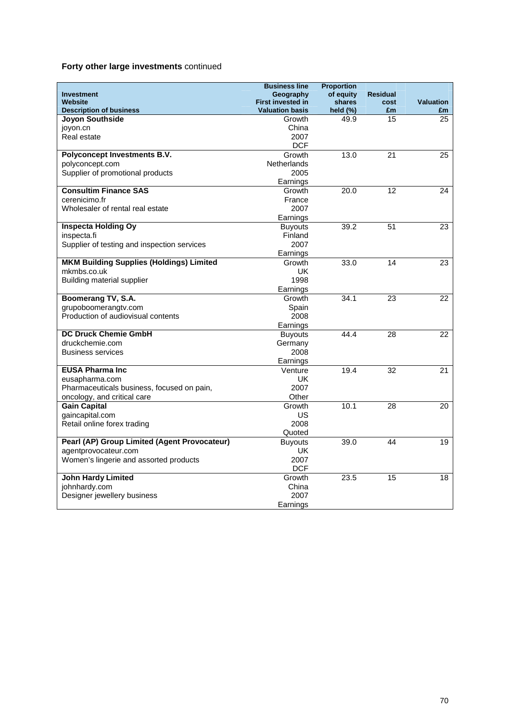## **Forty other large investments** continued

|                                                            | <b>Business line</b>       | <b>Proportion</b> |                 |                  |
|------------------------------------------------------------|----------------------------|-------------------|-----------------|------------------|
| <b>Investment</b>                                          | Geography                  | of equity         | <b>Residual</b> |                  |
| <b>Website</b>                                             | <b>First invested in</b>   | shares            | cost            | <b>Valuation</b> |
| <b>Description of business</b>                             | <b>Valuation basis</b>     | held $(\%)$       | £m              | £m               |
| <b>Joyon Southside</b>                                     | Growth                     | 49.9              | 15              | 25               |
| joyon.cn                                                   | China                      |                   |                 |                  |
| Real estate                                                | 2007                       |                   |                 |                  |
|                                                            | <b>DCF</b>                 |                   |                 |                  |
| Polyconcept Investments B.V.                               | Growth                     | 13.0              | 21              | 25               |
| polyconcept.com<br>Supplier of promotional products        | Netherlands<br>2005        |                   |                 |                  |
|                                                            |                            |                   |                 |                  |
| <b>Consultim Finance SAS</b>                               | Earnings<br>Growth         | 20.0              | 12              | 24               |
| cerenicimo.fr                                              | France                     |                   |                 |                  |
| Wholesaler of rental real estate                           | 2007                       |                   |                 |                  |
|                                                            | Earnings                   |                   |                 |                  |
| <b>Inspecta Holding Oy</b>                                 |                            | 39.2              | $\overline{51}$ | $\overline{23}$  |
| inspecta.fi                                                | <b>Buyouts</b>             |                   |                 |                  |
|                                                            | Finland<br>2007            |                   |                 |                  |
| Supplier of testing and inspection services                |                            |                   |                 |                  |
| <b>MKM Building Supplies (Holdings) Limited</b>            | Earnings<br>Growth         | 33.0              | 14              | $\overline{23}$  |
| mkmbs.co.uk                                                | <b>UK</b>                  |                   |                 |                  |
| <b>Building material supplier</b>                          | 1998                       |                   |                 |                  |
|                                                            | Earnings                   |                   |                 |                  |
| Boomerang TV, S.A.                                         |                            | 34.1              | 23              | 22               |
|                                                            | Growth                     |                   |                 |                  |
| grupoboomerangtv.com<br>Production of audiovisual contents | Spain                      |                   |                 |                  |
|                                                            | 2008                       |                   |                 |                  |
| <b>DC Druck Chemie GmbH</b>                                | Earnings<br><b>Buyouts</b> | 44.4              | $\overline{28}$ | $\overline{22}$  |
| druckchemie.com                                            | Germany                    |                   |                 |                  |
| <b>Business services</b>                                   | 2008                       |                   |                 |                  |
|                                                            | Earnings                   |                   |                 |                  |
| <b>EUSA Pharma Inc.</b>                                    | Venture                    | 19.4              | 32              | 21               |
| eusapharma.com                                             | UK.                        |                   |                 |                  |
| Pharmaceuticals business, focused on pain,                 | 2007                       |                   |                 |                  |
| oncology, and critical care                                | Other                      |                   |                 |                  |
| <b>Gain Capital</b>                                        | Growth                     | 10.1              | 28              | 20               |
| gaincapital.com                                            | US                         |                   |                 |                  |
| Retail online forex trading                                | 2008                       |                   |                 |                  |
|                                                            | Quoted                     |                   |                 |                  |
| Pearl (AP) Group Limited (Agent Provocateur)               | <b>Buyouts</b>             | 39.0              | 44              | 19               |
| agentprovocateur.com                                       | <b>UK</b>                  |                   |                 |                  |
| Women's lingerie and assorted products                     | 2007                       |                   |                 |                  |
|                                                            | <b>DCF</b>                 |                   |                 |                  |
| <b>John Hardy Limited</b>                                  | Growth                     | 23.5              | $\overline{15}$ | $\overline{18}$  |
| johnhardy.com                                              | China                      |                   |                 |                  |
| Designer jewellery business                                | 2007                       |                   |                 |                  |
|                                                            | Earnings                   |                   |                 |                  |